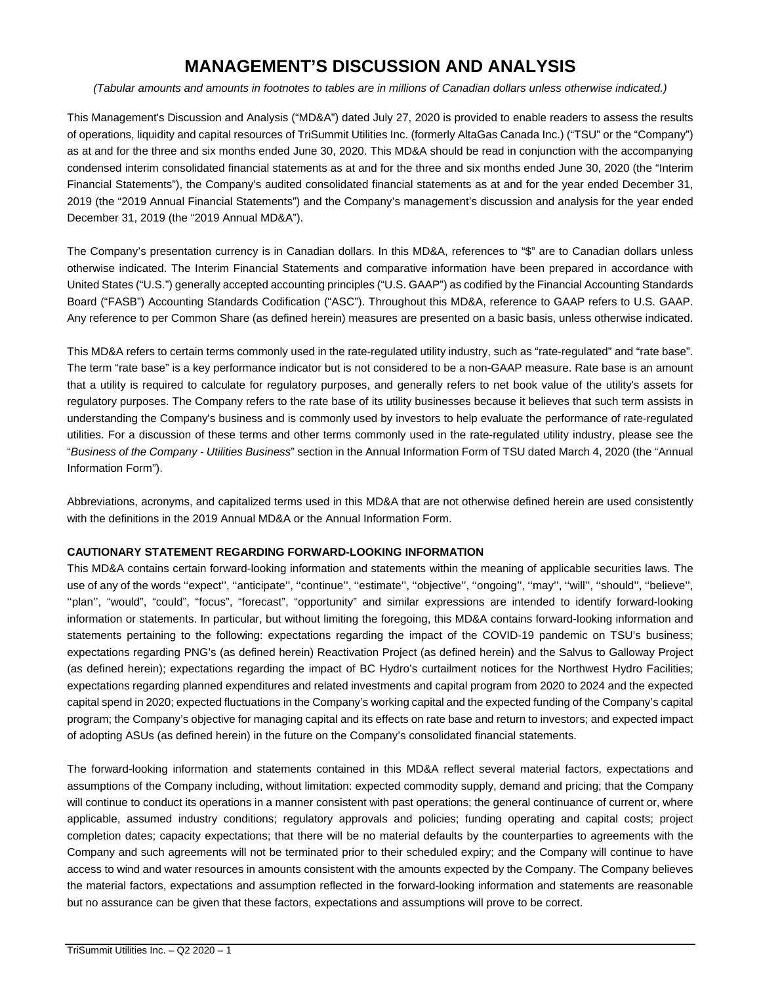# **MANAGEMENT'S DISCUSSION AND ANALYSIS**

*(Tabular amounts and amounts in footnotes to tables are in millions of Canadian dollars unless otherwise indicated.)* 

This Management's Discussion and Analysis ("MD&A") dated July 27, 2020 is provided to enable readers to assess the results of operations, liquidity and capital resources of TriSummit Utilities Inc. (formerly AltaGas Canada Inc.) ("TSU" or the "Company") as at and for the three and six months ended June 30, 2020. This MD&A should be read in conjunction with the accompanying condensed interim consolidated financial statements as at and for the three and six months ended June 30, 2020 (the "Interim Financial Statements"), the Company's audited consolidated financial statements as at and for the year ended December 31, 2019 (the "2019 Annual Financial Statements") and the Company's management's discussion and analysis for the year ended December 31, 2019 (the "2019 Annual MD&A").

The Company's presentation currency is in Canadian dollars. In this MD&A, references to "\$" are to Canadian dollars unless otherwise indicated. The Interim Financial Statements and comparative information have been prepared in accordance with United States ("U.S.") generally accepted accounting principles ("U.S. GAAP") as codified by the Financial Accounting Standards Board ("FASB") Accounting Standards Codification ("ASC"). Throughout this MD&A, reference to GAAP refers to U.S. GAAP. Any reference to per Common Share (as defined herein) measures are presented on a basic basis, unless otherwise indicated.

This MD&A refers to certain terms commonly used in the rate-regulated utility industry, such as "rate-regulated" and "rate base". The term "rate base" is a key performance indicator but is not considered to be a non-GAAP measure. Rate base is an amount that a utility is required to calculate for regulatory purposes, and generally refers to net book value of the utility's assets for regulatory purposes. The Company refers to the rate base of its utility businesses because it believes that such term assists in understanding the Company's business and is commonly used by investors to help evaluate the performance of rate-regulated utilities. For a discussion of these terms and other terms commonly used in the rate-regulated utility industry, please see the "*Business of the Company - Utilities Business*" section in the Annual Information Form of TSU dated March 4, 2020 (the "Annual Information Form").

Abbreviations, acronyms, and capitalized terms used in this MD&A that are not otherwise defined herein are used consistently with the definitions in the 2019 Annual MD&A or the Annual Information Form.

# **CAUTIONARY STATEMENT REGARDING FORWARD-LOOKING INFORMATION**

This MD&A contains certain forward-looking information and statements within the meaning of applicable securities laws. The use of any of the words "expect", "anticipate", "continue", "estimate", "objective", "ongoing", "may", "will", "should", "believe", "plan", "would", "could", "focus", "forecast", "opportunity" and similar expressions are intended to identify forward-looking information or statements. In particular, but without limiting the foregoing, this MD&A contains forward-looking information and statements pertaining to the following: expectations regarding the impact of the COVID-19 pandemic on TSU's business; expectations regarding PNG's (as defined herein) Reactivation Project (as defined herein) and the Salvus to Galloway Project (as defined herein); expectations regarding the impact of BC Hydro's curtailment notices for the Northwest Hydro Facilities; expectations regarding planned expenditures and related investments and capital program from 2020 to 2024 and the expected capital spend in 2020; expected fluctuations in the Company's working capital and the expected funding of the Company's capital program; the Company's objective for managing capital and its effects on rate base and return to investors; and expected impact of adopting ASUs (as defined herein) in the future on the Company's consolidated financial statements.

The forward-looking information and statements contained in this MD&A reflect several material factors, expectations and assumptions of the Company including, without limitation: expected commodity supply, demand and pricing; that the Company will continue to conduct its operations in a manner consistent with past operations; the general continuance of current or, where applicable, assumed industry conditions; regulatory approvals and policies; funding operating and capital costs; project completion dates; capacity expectations; that there will be no material defaults by the counterparties to agreements with the Company and such agreements will not be terminated prior to their scheduled expiry; and the Company will continue to have access to wind and water resources in amounts consistent with the amounts expected by the Company. The Company believes the material factors, expectations and assumption reflected in the forward-looking information and statements are reasonable but no assurance can be given that these factors, expectations and assumptions will prove to be correct.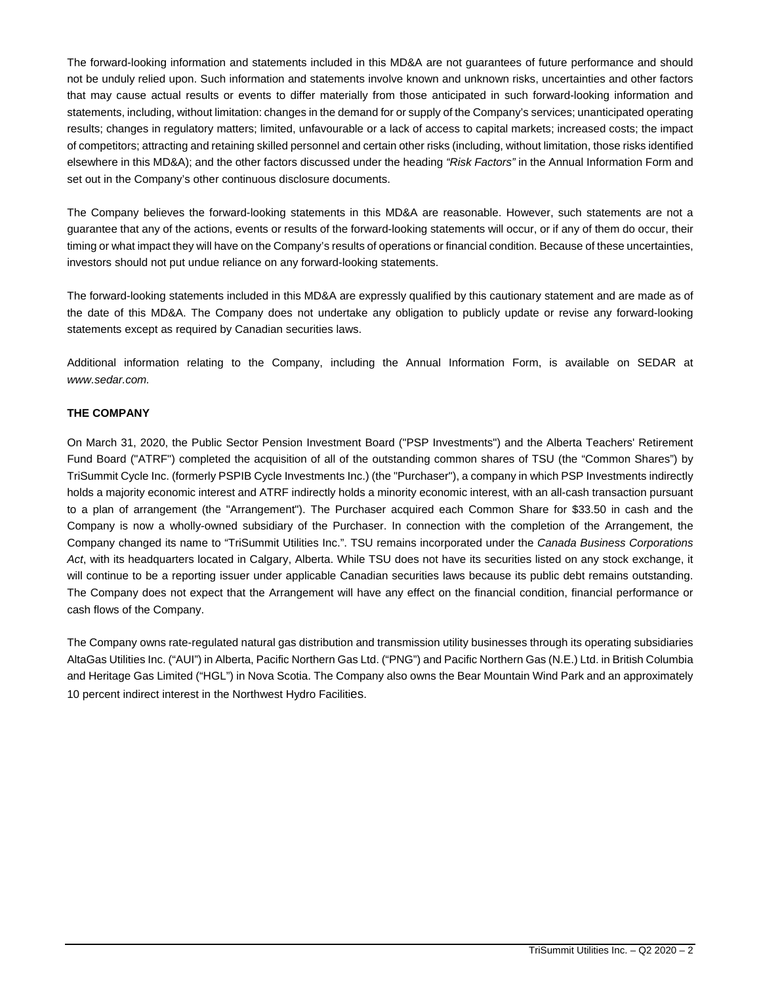The forward-looking information and statements included in this MD&A are not guarantees of future performance and should not be unduly relied upon. Such information and statements involve known and unknown risks, uncertainties and other factors that may cause actual results or events to differ materially from those anticipated in such forward-looking information and statements, including, without limitation: changes in the demand for or supply of the Company's services; unanticipated operating results; changes in regulatory matters; limited, unfavourable or a lack of access to capital markets; increased costs; the impact of competitors; attracting and retaining skilled personnel and certain other risks (including, without limitation, those risks identified elsewhere in this MD&A); and the other factors discussed under the heading *"Risk Factors"* in the Annual Information Form and set out in the Company's other continuous disclosure documents.

The Company believes the forward-looking statements in this MD&A are reasonable. However, such statements are not a guarantee that any of the actions, events or results of the forward-looking statements will occur, or if any of them do occur, their timing or what impact they will have on the Company's results of operations or financial condition. Because of these uncertainties, investors should not put undue reliance on any forward-looking statements.

The forward-looking statements included in this MD&A are expressly qualified by this cautionary statement and are made as of the date of this MD&A. The Company does not undertake any obligation to publicly update or revise any forward-looking statements except as required by Canadian securities laws.

Additional information relating to the Company, including the Annual Information Form, is available on SEDAR at *www.sedar.com.*

# **THE COMPANY**

On March 31, 2020, the Public Sector Pension Investment Board ("PSP Investments") and the Alberta Teachers' Retirement Fund Board ("ATRF") completed the acquisition of all of the outstanding common shares of TSU (the "Common Shares") by TriSummit Cycle Inc. (formerly PSPIB Cycle Investments Inc.) (the "Purchaser"), a company in which PSP Investments indirectly holds a majority economic interest and ATRF indirectly holds a minority economic interest, with an all-cash transaction pursuant to a plan of arrangement (the "Arrangement"). The Purchaser acquired each Common Share for \$33.50 in cash and the Company is now a wholly-owned subsidiary of the Purchaser. In connection with the completion of the Arrangement, the Company changed its name to "TriSummit Utilities Inc.". TSU remains incorporated under the *Canada Business Corporations Act*, with its headquarters located in Calgary, Alberta. While TSU does not have its securities listed on any stock exchange, it will continue to be a reporting issuer under applicable Canadian securities laws because its public debt remains outstanding. The Company does not expect that the Arrangement will have any effect on the financial condition, financial performance or cash flows of the Company.

The Company owns rate-regulated natural gas distribution and transmission utility businesses through its operating subsidiaries AltaGas Utilities Inc. ("AUI") in Alberta, Pacific Northern Gas Ltd. ("PNG") and Pacific Northern Gas (N.E.) Ltd. in British Columbia and Heritage Gas Limited ("HGL") in Nova Scotia. The Company also owns the Bear Mountain Wind Park and an approximately 10 percent indirect interest in the Northwest Hydro Facilities.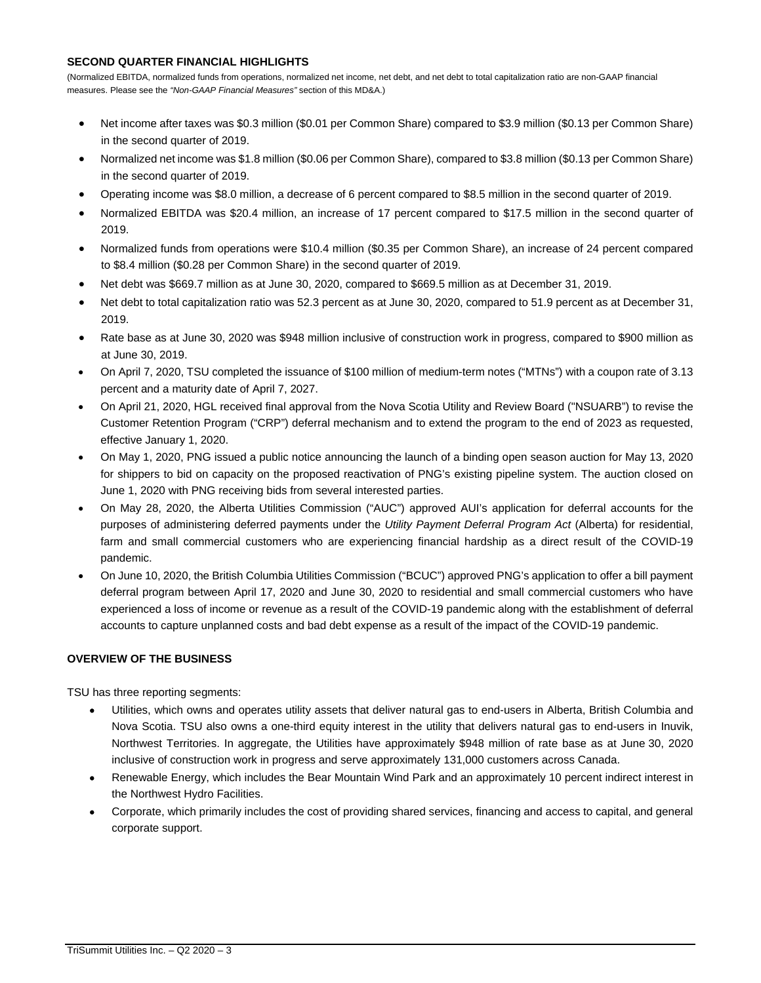# **SECOND QUARTER FINANCIAL HIGHLIGHTS**

(Normalized EBITDA, normalized funds from operations, normalized net income, net debt, and net debt to total capitalization ratio are non-GAAP financial measures. Please see the *"Non-GAAP Financial Measures"* section of this MD&A.)

- Net income after taxes was \$0.3 million (\$0.01 per Common Share) compared to \$3.9 million (\$0.13 per Common Share) in the second quarter of 2019.
- Normalized net income was \$1.8 million (\$0.06 per Common Share), compared to \$3.8 million (\$0.13 per Common Share) in the second quarter of 2019.
- Operating income was \$8.0 million, a decrease of 6 percent compared to \$8.5 million in the second quarter of 2019.
- Normalized EBITDA was \$20.4 million, an increase of 17 percent compared to \$17.5 million in the second quarter of 2019.
- Normalized funds from operations were \$10.4 million (\$0.35 per Common Share), an increase of 24 percent compared to \$8.4 million (\$0.28 per Common Share) in the second quarter of 2019.
- Net debt was \$669.7 million as at June 30, 2020, compared to \$669.5 million as at December 31, 2019.
- Net debt to total capitalization ratio was 52.3 percent as at June 30, 2020, compared to 51.9 percent as at December 31, 2019.
- Rate base as at June 30, 2020 was \$948 million inclusive of construction work in progress, compared to \$900 million as at June 30, 2019.
- On April 7, 2020, TSU completed the issuance of \$100 million of medium-term notes ("MTNs") with a coupon rate of 3.13 percent and a maturity date of April 7, 2027.
- On April 21, 2020, HGL received final approval from the Nova Scotia Utility and Review Board ("NSUARB") to revise the Customer Retention Program ("CRP") deferral mechanism and to extend the program to the end of 2023 as requested, effective January 1, 2020.
- On May 1, 2020, PNG issued a public notice announcing the launch of a binding open season auction for May 13, 2020 for shippers to bid on capacity on the proposed reactivation of PNG's existing pipeline system. The auction closed on June 1, 2020 with PNG receiving bids from several interested parties.
- On May 28, 2020, the Alberta Utilities Commission ("AUC") approved AUI's application for deferral accounts for the purposes of administering deferred payments under the *Utility Payment Deferral Program Act* (Alberta) for residential, farm and small commercial customers who are experiencing financial hardship as a direct result of the COVID-19 pandemic.
- On June 10, 2020, the British Columbia Utilities Commission ("BCUC") approved PNG's application to offer a bill payment deferral program between April 17, 2020 and June 30, 2020 to residential and small commercial customers who have experienced a loss of income or revenue as a result of the COVID-19 pandemic along with the establishment of deferral accounts to capture unplanned costs and bad debt expense as a result of the impact of the COVID-19 pandemic.

# **OVERVIEW OF THE BUSINESS**

TSU has three reporting segments:

- Utilities, which owns and operates utility assets that deliver natural gas to end-users in Alberta, British Columbia and Nova Scotia. TSU also owns a one-third equity interest in the utility that delivers natural gas to end-users in Inuvik, Northwest Territories. In aggregate, the Utilities have approximately \$948 million of rate base as at June 30, 2020 inclusive of construction work in progress and serve approximately 131,000 customers across Canada.
- Renewable Energy, which includes the Bear Mountain Wind Park and an approximately 10 percent indirect interest in the Northwest Hydro Facilities.
- Corporate, which primarily includes the cost of providing shared services, financing and access to capital, and general corporate support.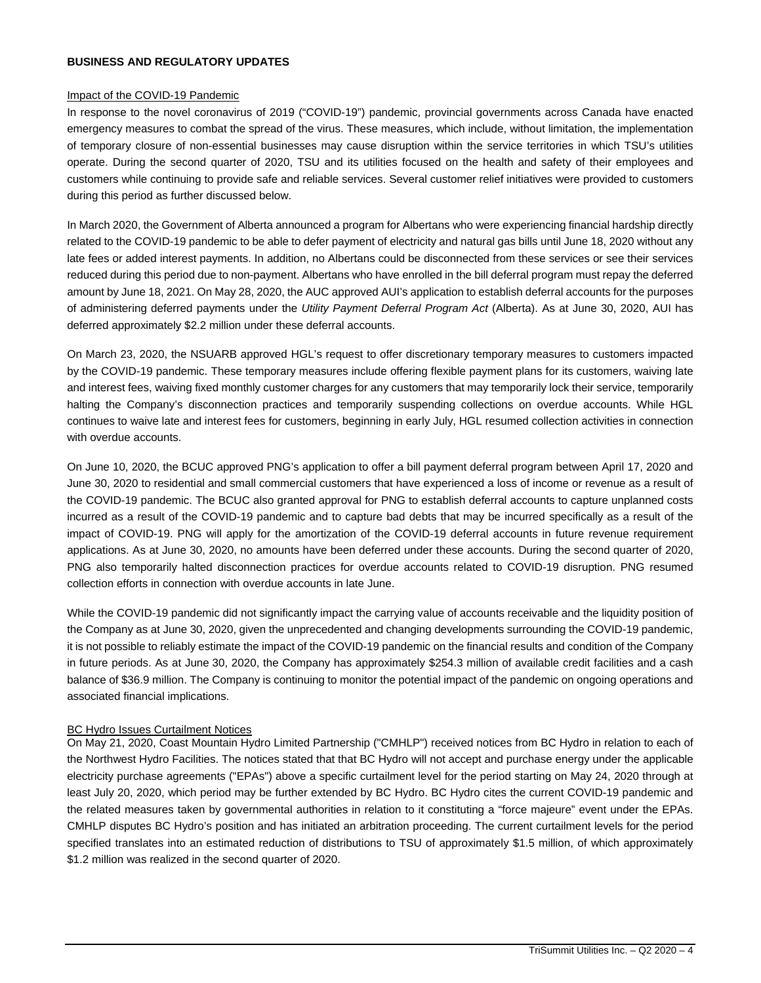#### **BUSINESS AND REGULATORY UPDATES**

#### Impact of the COVID-19 Pandemic

In response to the novel coronavirus of 2019 ("COVID-19") pandemic, provincial governments across Canada have enacted emergency measures to combat the spread of the virus. These measures, which include, without limitation, the implementation of temporary closure of non-essential businesses may cause disruption within the service territories in which TSU's utilities operate. During the second quarter of 2020, TSU and its utilities focused on the health and safety of their employees and customers while continuing to provide safe and reliable services. Several customer relief initiatives were provided to customers during this period as further discussed below.

In March 2020, the Government of Alberta announced a program for Albertans who were experiencing financial hardship directly related to the COVID-19 pandemic to be able to defer payment of electricity and natural gas bills until June 18, 2020 without any late fees or added interest payments. In addition, no Albertans could be disconnected from these services or see their services reduced during this period due to non-payment. Albertans who have enrolled in the bill deferral program must repay the deferred amount by June 18, 2021. On May 28, 2020, the AUC approved AUI's application to establish deferral accounts for the purposes of administering deferred payments under the *Utility Payment Deferral Program Act* (Alberta). As at June 30, 2020, AUI has deferred approximately \$2.2 million under these deferral accounts.

On March 23, 2020, the NSUARB approved HGL's request to offer discretionary temporary measures to customers impacted by the COVID-19 pandemic. These temporary measures include offering flexible payment plans for its customers, waiving late and interest fees, waiving fixed monthly customer charges for any customers that may temporarily lock their service, temporarily halting the Company's disconnection practices and temporarily suspending collections on overdue accounts. While HGL continues to waive late and interest fees for customers, beginning in early July, HGL resumed collection activities in connection with overdue accounts.

On June 10, 2020, the BCUC approved PNG's application to offer a bill payment deferral program between April 17, 2020 and June 30, 2020 to residential and small commercial customers that have experienced a loss of income or revenue as a result of the COVID-19 pandemic. The BCUC also granted approval for PNG to establish deferral accounts to capture unplanned costs incurred as a result of the COVID-19 pandemic and to capture bad debts that may be incurred specifically as a result of the impact of COVID-19. PNG will apply for the amortization of the COVID-19 deferral accounts in future revenue requirement applications. As at June 30, 2020, no amounts have been deferred under these accounts. During the second quarter of 2020, PNG also temporarily halted disconnection practices for overdue accounts related to COVID-19 disruption. PNG resumed collection efforts in connection with overdue accounts in late June.

While the COVID-19 pandemic did not significantly impact the carrying value of accounts receivable and the liquidity position of the Company as at June 30, 2020, given the unprecedented and changing developments surrounding the COVID-19 pandemic, it is not possible to reliably estimate the impact of the COVID-19 pandemic on the financial results and condition of the Company in future periods. As at June 30, 2020, the Company has approximately \$254.3 million of available credit facilities and a cash balance of \$36.9 million. The Company is continuing to monitor the potential impact of the pandemic on ongoing operations and associated financial implications.

#### BC Hydro Issues Curtailment Notices

On May 21, 2020, Coast Mountain Hydro Limited Partnership ("CMHLP") received notices from BC Hydro in relation to each of the Northwest Hydro Facilities. The notices stated that that BC Hydro will not accept and purchase energy under the applicable electricity purchase agreements ("EPAs") above a specific curtailment level for the period starting on May 24, 2020 through at least July 20, 2020, which period may be further extended by BC Hydro. BC Hydro cites the current COVID-19 pandemic and the related measures taken by governmental authorities in relation to it constituting a "force majeure" event under the EPAs. CMHLP disputes BC Hydro's position and has initiated an arbitration proceeding. The current curtailment levels for the period specified translates into an estimated reduction of distributions to TSU of approximately \$1.5 million, of which approximately \$1.2 million was realized in the second quarter of 2020.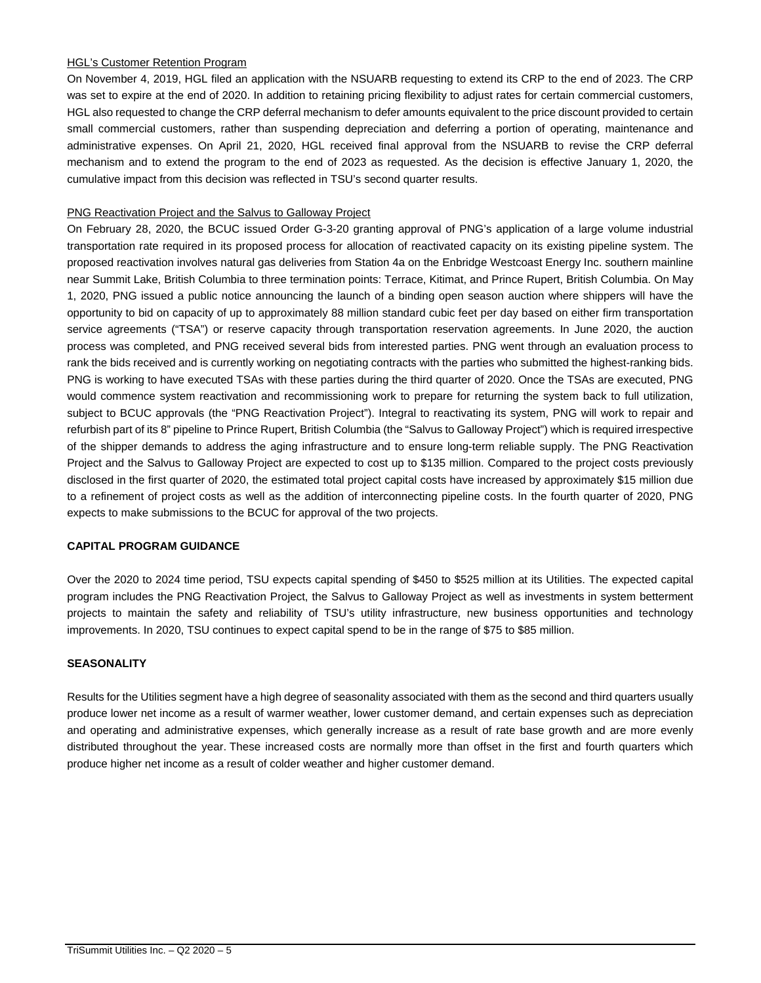# HGL's Customer Retention Program

On November 4, 2019, HGL filed an application with the NSUARB requesting to extend its CRP to the end of 2023. The CRP was set to expire at the end of 2020. In addition to retaining pricing flexibility to adjust rates for certain commercial customers, HGL also requested to change the CRP deferral mechanism to defer amounts equivalent to the price discount provided to certain small commercial customers, rather than suspending depreciation and deferring a portion of operating, maintenance and administrative expenses. On April 21, 2020, HGL received final approval from the NSUARB to revise the CRP deferral mechanism and to extend the program to the end of 2023 as requested. As the decision is effective January 1, 2020, the cumulative impact from this decision was reflected in TSU's second quarter results.

# PNG Reactivation Project and the Salvus to Galloway Project

On February 28, 2020, the BCUC issued Order G-3-20 granting approval of PNG's application of a large volume industrial transportation rate required in its proposed process for allocation of reactivated capacity on its existing pipeline system. The proposed reactivation involves natural gas deliveries from Station 4a on the Enbridge Westcoast Energy Inc. southern mainline near Summit Lake, British Columbia to three termination points: Terrace, Kitimat, and Prince Rupert, British Columbia. On May 1, 2020, PNG issued a public notice announcing the launch of a binding open season auction where shippers will have the opportunity to bid on capacity of up to approximately 88 million standard cubic feet per day based on either firm transportation service agreements ("TSA") or reserve capacity through transportation reservation agreements. In June 2020, the auction process was completed, and PNG received several bids from interested parties. PNG went through an evaluation process to rank the bids received and is currently working on negotiating contracts with the parties who submitted the highest-ranking bids. PNG is working to have executed TSAs with these parties during the third quarter of 2020. Once the TSAs are executed, PNG would commence system reactivation and recommissioning work to prepare for returning the system back to full utilization, subject to BCUC approvals (the "PNG Reactivation Project"). Integral to reactivating its system, PNG will work to repair and refurbish part of its 8" pipeline to Prince Rupert, British Columbia (the "Salvus to Galloway Project") which is required irrespective of the shipper demands to address the aging infrastructure and to ensure long-term reliable supply. The PNG Reactivation Project and the Salvus to Galloway Project are expected to cost up to \$135 million. Compared to the project costs previously disclosed in the first quarter of 2020, the estimated total project capital costs have increased by approximately \$15 million due to a refinement of project costs as well as the addition of interconnecting pipeline costs. In the fourth quarter of 2020, PNG expects to make submissions to the BCUC for approval of the two projects.

#### **CAPITAL PROGRAM GUIDANCE**

Over the 2020 to 2024 time period, TSU expects capital spending of \$450 to \$525 million at its Utilities. The expected capital program includes the PNG Reactivation Project, the Salvus to Galloway Project as well as investments in system betterment projects to maintain the safety and reliability of TSU's utility infrastructure, new business opportunities and technology improvements. In 2020, TSU continues to expect capital spend to be in the range of \$75 to \$85 million.

# **SEASONALITY**

Results for the Utilities segment have a high degree of seasonality associated with them as the second and third quarters usually produce lower net income as a result of warmer weather, lower customer demand, and certain expenses such as depreciation and operating and administrative expenses, which generally increase as a result of rate base growth and are more evenly distributed throughout the year. These increased costs are normally more than offset in the first and fourth quarters which produce higher net income as a result of colder weather and higher customer demand.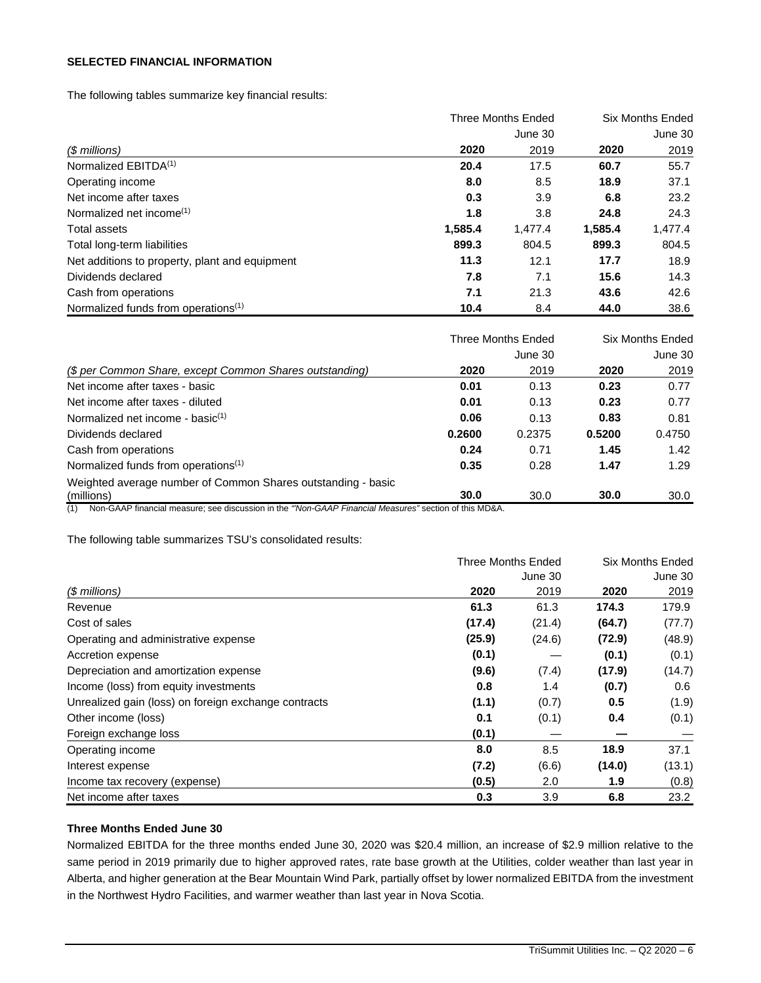# **SELECTED FINANCIAL INFORMATION**

The following tables summarize key financial results:

|                                                 |         | <b>Three Months Ended</b> |         |         |
|-------------------------------------------------|---------|---------------------------|---------|---------|
|                                                 |         | June 30                   |         | June 30 |
| (\$ millions)                                   | 2020    | 2019                      | 2020    | 2019    |
| Normalized EBITDA <sup>(1)</sup>                | 20.4    | 17.5                      | 60.7    | 55.7    |
| Operating income                                | 8.0     | 8.5                       | 18.9    | 37.1    |
| Net income after taxes                          | 0.3     | 3.9                       | 6.8     | 23.2    |
| Normalized net income <sup>(1)</sup>            | 1.8     | 3.8                       | 24.8    | 24.3    |
| Total assets                                    | 1,585.4 | 1,477.4                   | 1,585.4 | 1,477.4 |
| Total long-term liabilities                     | 899.3   | 804.5                     | 899.3   | 804.5   |
| Net additions to property, plant and equipment  | 11.3    | 12.1                      | 17.7    | 18.9    |
| Dividends declared                              | 7.8     | 7.1                       | 15.6    | 14.3    |
| Cash from operations                            | 7.1     | 21.3                      | 43.6    | 42.6    |
| Normalized funds from operations <sup>(1)</sup> | 10.4    | 8.4                       | 44.0    | 38.6    |

|                                                              |        | Three Months Ended |        | Six Months Ended |
|--------------------------------------------------------------|--------|--------------------|--------|------------------|
|                                                              |        | June 30            |        | June 30          |
| (\$ per Common Share, except Common Shares outstanding)      | 2020   | 2019               | 2020   | 2019             |
| Net income after taxes - basic                               | 0.01   | 0.13               | 0.23   | 0.77             |
| Net income after taxes - diluted                             | 0.01   | 0.13               | 0.23   | 0.77             |
| Normalized net income - basi $c^{(1)}$                       | 0.06   | 0.13               | 0.83   | 0.81             |
| Dividends declared                                           | 0.2600 | 0.2375             | 0.5200 | 0.4750           |
| Cash from operations                                         | 0.24   | 0.71               | 1.45   | 1.42             |
| Normalized funds from operations <sup>(1)</sup>              | 0.35   | 0.28               | 1.47   | 1.29             |
| Weighted average number of Common Shares outstanding - basic |        |                    |        |                  |
| (millions)                                                   | 30.0   | 30.0               | 30.0   | 30.0             |

(1) Non-GAAP financial measure; see discussion in the *"'Non-GAAP Financial Measures"* section of this MD&A.

The following table summarizes TSU's consolidated results:

|                                                      | <b>Three Months Ended</b> | Six Months Ended |        |         |
|------------------------------------------------------|---------------------------|------------------|--------|---------|
|                                                      |                           | June 30          |        | June 30 |
| $$$ millions)                                        | 2020                      | 2019             | 2020   | 2019    |
| Revenue                                              | 61.3                      | 61.3             | 174.3  | 179.9   |
| Cost of sales                                        | (17.4)                    | (21.4)           | (64.7) | (77.7)  |
| Operating and administrative expense                 | (25.9)                    | (24.6)           | (72.9) | (48.9)  |
| Accretion expense                                    | (0.1)                     |                  | (0.1)  | (0.1)   |
| Depreciation and amortization expense                | (9.6)                     | (7.4)            | (17.9) | (14.7)  |
| Income (loss) from equity investments                | 0.8                       | 1.4              | (0.7)  | 0.6     |
| Unrealized gain (loss) on foreign exchange contracts | (1.1)                     | (0.7)            | 0.5    | (1.9)   |
| Other income (loss)                                  | 0.1                       | (0.1)            | 0.4    | (0.1)   |
| Foreign exchange loss                                | (0.1)                     |                  |        |         |
| Operating income                                     | 8.0                       | 8.5              | 18.9   | 37.1    |
| Interest expense                                     | (7.2)                     | (6.6)            | (14.0) | (13.1)  |
| Income tax recovery (expense)                        | (0.5)                     | 2.0              | 1.9    | (0.8)   |
| Net income after taxes                               | 0.3                       | 3.9              | 6.8    | 23.2    |

# **Three Months Ended June 30**

Normalized EBITDA for the three months ended June 30, 2020 was \$20.4 million, an increase of \$2.9 million relative to the same period in 2019 primarily due to higher approved rates, rate base growth at the Utilities, colder weather than last year in Alberta, and higher generation at the Bear Mountain Wind Park, partially offset by lower normalized EBITDA from the investment in the Northwest Hydro Facilities, and warmer weather than last year in Nova Scotia.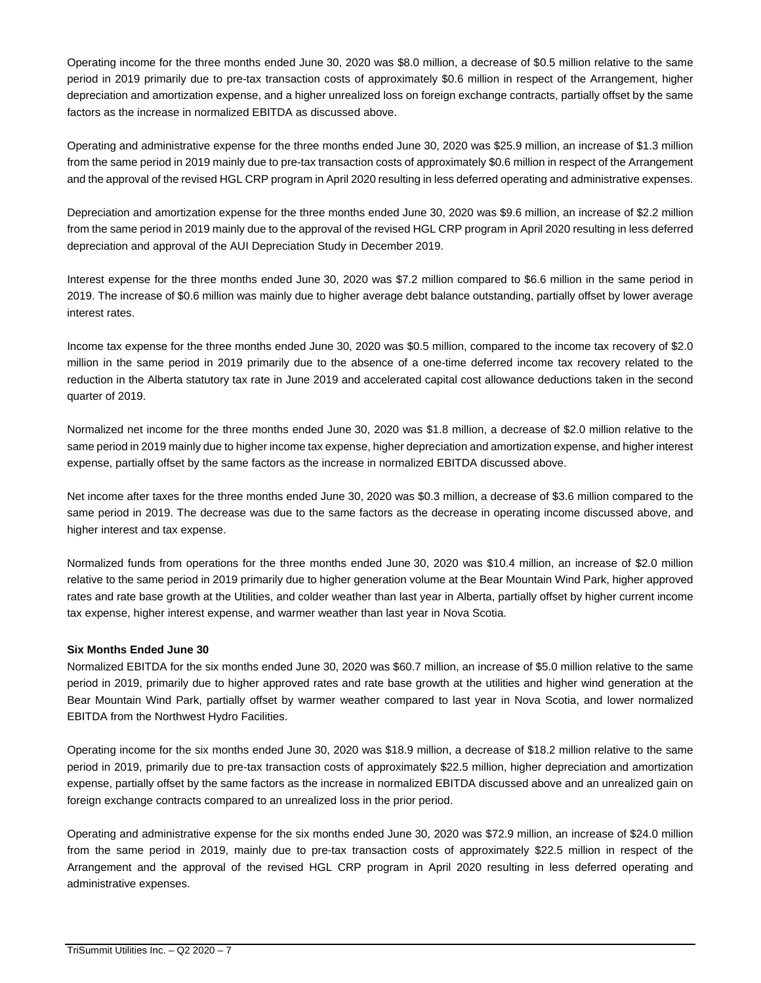Operating income for the three months ended June 30, 2020 was \$8.0 million, a decrease of \$0.5 million relative to the same period in 2019 primarily due to pre-tax transaction costs of approximately \$0.6 million in respect of the Arrangement, higher depreciation and amortization expense, and a higher unrealized loss on foreign exchange contracts, partially offset by the same factors as the increase in normalized EBITDA as discussed above.

Operating and administrative expense for the three months ended June 30, 2020 was \$25.9 million, an increase of \$1.3 million from the same period in 2019 mainly due to pre-tax transaction costs of approximately \$0.6 million in respect of the Arrangement and the approval of the revised HGL CRP program in April 2020 resulting in less deferred operating and administrative expenses.

Depreciation and amortization expense for the three months ended June 30, 2020 was \$9.6 million, an increase of \$2.2 million from the same period in 2019 mainly due to the approval of the revised HGL CRP program in April 2020 resulting in less deferred depreciation and approval of the AUI Depreciation Study in December 2019.

Interest expense for the three months ended June 30, 2020 was \$7.2 million compared to \$6.6 million in the same period in 2019. The increase of \$0.6 million was mainly due to higher average debt balance outstanding, partially offset by lower average interest rates.

Income tax expense for the three months ended June 30, 2020 was \$0.5 million, compared to the income tax recovery of \$2.0 million in the same period in 2019 primarily due to the absence of a one-time deferred income tax recovery related to the reduction in the Alberta statutory tax rate in June 2019 and accelerated capital cost allowance deductions taken in the second quarter of 2019.

Normalized net income for the three months ended June 30, 2020 was \$1.8 million, a decrease of \$2.0 million relative to the same period in 2019 mainly due to higher income tax expense, higher depreciation and amortization expense, and higher interest expense, partially offset by the same factors as the increase in normalized EBITDA discussed above.

Net income after taxes for the three months ended June 30, 2020 was \$0.3 million, a decrease of \$3.6 million compared to the same period in 2019. The decrease was due to the same factors as the decrease in operating income discussed above, and higher interest and tax expense.

Normalized funds from operations for the three months ended June 30, 2020 was \$10.4 million, an increase of \$2.0 million relative to the same period in 2019 primarily due to higher generation volume at the Bear Mountain Wind Park, higher approved rates and rate base growth at the Utilities, and colder weather than last year in Alberta, partially offset by higher current income tax expense, higher interest expense, and warmer weather than last year in Nova Scotia.

# **Six Months Ended June 30**

Normalized EBITDA for the six months ended June 30, 2020 was \$60.7 million, an increase of \$5.0 million relative to the same period in 2019, primarily due to higher approved rates and rate base growth at the utilities and higher wind generation at the Bear Mountain Wind Park, partially offset by warmer weather compared to last year in Nova Scotia, and lower normalized EBITDA from the Northwest Hydro Facilities.

Operating income for the six months ended June 30, 2020 was \$18.9 million, a decrease of \$18.2 million relative to the same period in 2019, primarily due to pre-tax transaction costs of approximately \$22.5 million, higher depreciation and amortization expense, partially offset by the same factors as the increase in normalized EBITDA discussed above and an unrealized gain on foreign exchange contracts compared to an unrealized loss in the prior period.

Operating and administrative expense for the six months ended June 30, 2020 was \$72.9 million, an increase of \$24.0 million from the same period in 2019, mainly due to pre-tax transaction costs of approximately \$22.5 million in respect of the Arrangement and the approval of the revised HGL CRP program in April 2020 resulting in less deferred operating and administrative expenses.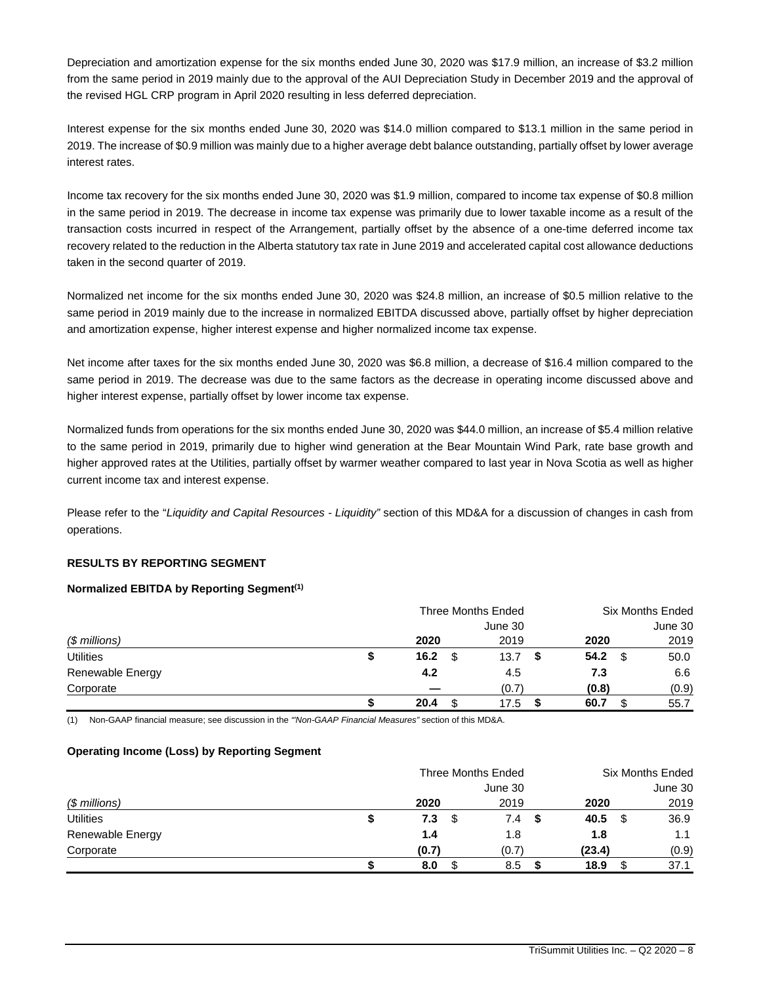Depreciation and amortization expense for the six months ended June 30, 2020 was \$17.9 million, an increase of \$3.2 million from the same period in 2019 mainly due to the approval of the AUI Depreciation Study in December 2019 and the approval of the revised HGL CRP program in April 2020 resulting in less deferred depreciation.

Interest expense for the six months ended June 30, 2020 was \$14.0 million compared to \$13.1 million in the same period in 2019. The increase of \$0.9 million was mainly due to a higher average debt balance outstanding, partially offset by lower average interest rates.

Income tax recovery for the six months ended June 30, 2020 was \$1.9 million, compared to income tax expense of \$0.8 million in the same period in 2019. The decrease in income tax expense was primarily due to lower taxable income as a result of the transaction costs incurred in respect of the Arrangement, partially offset by the absence of a one-time deferred income tax recovery related to the reduction in the Alberta statutory tax rate in June 2019 and accelerated capital cost allowance deductions taken in the second quarter of 2019.

Normalized net income for the six months ended June 30, 2020 was \$24.8 million, an increase of \$0.5 million relative to the same period in 2019 mainly due to the increase in normalized EBITDA discussed above, partially offset by higher depreciation and amortization expense, higher interest expense and higher normalized income tax expense.

Net income after taxes for the six months ended June 30, 2020 was \$6.8 million, a decrease of \$16.4 million compared to the same period in 2019. The decrease was due to the same factors as the decrease in operating income discussed above and higher interest expense, partially offset by lower income tax expense.

Normalized funds from operations for the six months ended June 30, 2020 was \$44.0 million, an increase of \$5.4 million relative to the same period in 2019, primarily due to higher wind generation at the Bear Mountain Wind Park, rate base growth and higher approved rates at the Utilities, partially offset by warmer weather compared to last year in Nova Scotia as well as higher current income tax and interest expense.

Please refer to the "*Liquidity and Capital Resources - Liquidity"* section of this MD&A for a discussion of changes in cash from operations.

# **RESULTS BY REPORTING SEGMENT**

# **Normalized EBITDA by Reporting Segment(1)**

|                  |   | Three Months Ended |  |         | <b>Six Months Ended</b> |       |     |         |
|------------------|---|--------------------|--|---------|-------------------------|-------|-----|---------|
|                  |   |                    |  | June 30 |                         |       |     | June 30 |
| $$$ millions)    |   | 2020               |  | 2019    |                         | 2020  |     | 2019    |
| <b>Utilities</b> | S | 16.2               |  | 13.7    |                         | 54.2  | \$. | 50.0    |
| Renewable Energy |   | 4.2                |  | 4.5     |                         | 7.3   |     | 6.6     |
| Corporate        |   |                    |  | (0.7)   |                         | (0.8) |     | (0.9)   |
|                  |   | 20.4               |  | 17.5    |                         | 60.7  |     | 55.7    |

(1) Non-GAAP financial measure; see discussion in the *"'Non-GAAP Financial Measures"* section of this MD&A.

# **Operating Income (Loss) by Reporting Segment**

|                  | Three Months Ended |         | <b>Six Months Ended</b> |         |
|------------------|--------------------|---------|-------------------------|---------|
|                  |                    | June 30 |                         | June 30 |
| $$$ millions)    | 2020               | 2019    | 2020                    | 2019    |
| <b>Utilities</b> | \$<br>7.3<br>\$    | 7.4     | 40.5<br>- \$            | 36.9    |
| Renewable Energy | 1.4                | 1.8     | 1.8                     | 1.1     |
| Corporate        | (0.7)              | (0.7)   | (23.4)                  | (0.9)   |
|                  | 8.0                | 8.5     | 18.9                    | 37.1    |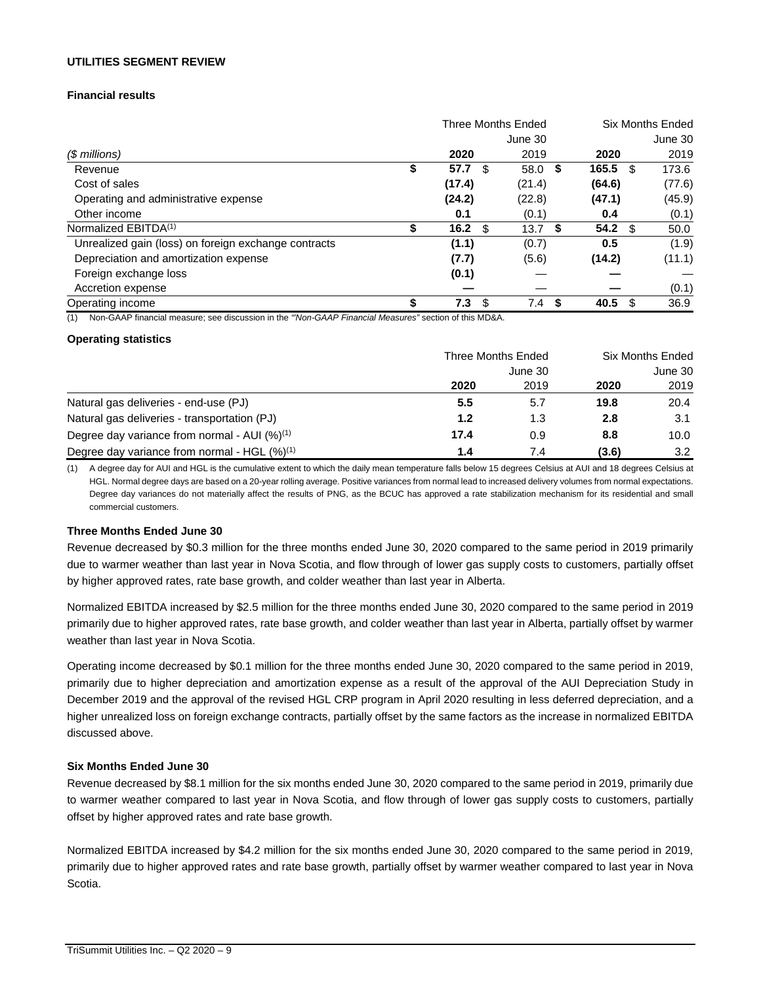# **UTILITIES SEGMENT REVIEW**

# **Financial results**

|                                                      | <b>Three Months Ended</b> |            |            | Six Months Ended |  |
|------------------------------------------------------|---------------------------|------------|------------|------------------|--|
|                                                      |                           | June 30    |            | June 30          |  |
| (\$ millions)                                        | 2020                      | 2019       | 2020       | 2019             |  |
| Revenue                                              | \$<br>57.7<br>\$          | 58.0<br>\$ | 165.5<br>S | 173.6            |  |
| Cost of sales                                        | (17.4)                    | (21.4)     | (64.6)     | (77.6)           |  |
| Operating and administrative expense                 | (24.2)                    | (22.8)     | (47.1)     | (45.9)           |  |
| Other income                                         | 0.1                       | (0.1)      | 0.4        | (0.1)            |  |
| Normalized EBITDA <sup>(1)</sup>                     | 16.2 $\sqrt{3}$           | 13.7<br>S. | 54.2<br>S  | 50.0             |  |
| Unrealized gain (loss) on foreign exchange contracts | (1.1)                     | (0.7)      | 0.5        | (1.9)            |  |
| Depreciation and amortization expense                | (7.7)                     | (5.6)      | (14.2)     | (11.1)           |  |
| Foreign exchange loss                                | (0.1)                     |            |            |                  |  |
| Accretion expense                                    |                           |            |            | (0.1)            |  |
| Operating income                                     | 7.3<br>\$.                | 7.4<br>S.  | 40.5       | 36.9             |  |

(1) Non-GAAP financial measure; see discussion in the *"'Non-GAAP Financial Measures"* section of this MD&A.

#### **Operating statistics**

|                                                    | Three Months Ended | <b>Six Months Ended</b> |       |      |
|----------------------------------------------------|--------------------|-------------------------|-------|------|
|                                                    |                    | June 30                 |       |      |
|                                                    | 2020               | 2019                    | 2020  | 2019 |
| Natural gas deliveries - end-use (PJ)              | 5.5                | 5.7                     | 19.8  | 20.4 |
| Natural gas deliveries - transportation (PJ)       | 1.2                | 1.3                     | 2.8   | 3.1  |
| Degree day variance from normal - AUI $(%)^{(1)}$  | 17.4               | 0.9                     | 8.8   | 10.0 |
| Degree day variance from normal - HGL $(\%)^{(1)}$ | 1.4                | 7.4                     | (3.6) | 3.2  |

(1) A degree day for AUI and HGL is the cumulative extent to which the daily mean temperature falls below 15 degrees Celsius at AUI and 18 degrees Celsius at HGL. Normal degree days are based on a 20-year rolling average. Positive variances from normal lead to increased delivery volumes from normal expectations. Degree day variances do not materially affect the results of PNG, as the BCUC has approved a rate stabilization mechanism for its residential and small commercial customers.

#### **Three Months Ended June 30**

Revenue decreased by \$0.3 million for the three months ended June 30, 2020 compared to the same period in 2019 primarily due to warmer weather than last year in Nova Scotia, and flow through of lower gas supply costs to customers, partially offset by higher approved rates, rate base growth, and colder weather than last year in Alberta.

Normalized EBITDA increased by \$2.5 million for the three months ended June 30, 2020 compared to the same period in 2019 primarily due to higher approved rates, rate base growth, and colder weather than last year in Alberta, partially offset by warmer weather than last year in Nova Scotia.

Operating income decreased by \$0.1 million for the three months ended June 30, 2020 compared to the same period in 2019, primarily due to higher depreciation and amortization expense as a result of the approval of the AUI Depreciation Study in December 2019 and the approval of the revised HGL CRP program in April 2020 resulting in less deferred depreciation, and a higher unrealized loss on foreign exchange contracts, partially offset by the same factors as the increase in normalized EBITDA discussed above.

#### **Six Months Ended June 30**

Revenue decreased by \$8.1 million for the six months ended June 30, 2020 compared to the same period in 2019, primarily due to warmer weather compared to last year in Nova Scotia, and flow through of lower gas supply costs to customers, partially offset by higher approved rates and rate base growth.

Normalized EBITDA increased by \$4.2 million for the six months ended June 30, 2020 compared to the same period in 2019, primarily due to higher approved rates and rate base growth, partially offset by warmer weather compared to last year in Nova Scotia.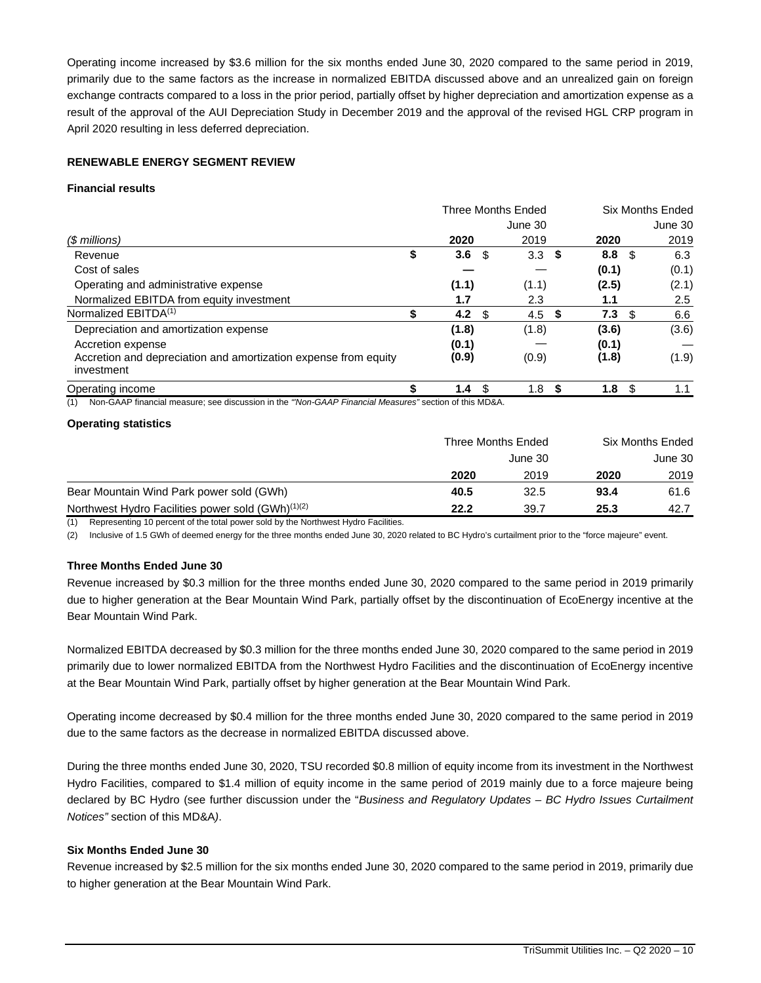Operating income increased by \$3.6 million for the six months ended June 30, 2020 compared to the same period in 2019, primarily due to the same factors as the increase in normalized EBITDA discussed above and an unrealized gain on foreign exchange contracts compared to a loss in the prior period, partially offset by higher depreciation and amortization expense as a result of the approval of the AUI Depreciation Study in December 2019 and the approval of the revised HGL CRP program in April 2020 resulting in less deferred depreciation.

# **RENEWABLE ENERGY SEGMENT REVIEW**

#### **Financial results**

|                                                                                                              | <b>Three Months Ended</b> |                |     |                  |     |                  | Six Months Ended |         |
|--------------------------------------------------------------------------------------------------------------|---------------------------|----------------|-----|------------------|-----|------------------|------------------|---------|
|                                                                                                              |                           |                |     | June 30          |     |                  |                  | June 30 |
| (\$ millions)                                                                                                |                           | 2020           |     | 2019             |     | 2020             |                  | 2019    |
| Revenue                                                                                                      |                           | 3.6            | -\$ | 3.3              | -\$ | 8.8              | -\$              | 6.3     |
| Cost of sales                                                                                                |                           |                |     |                  |     | (0.1)            |                  | (0.1)   |
| Operating and administrative expense                                                                         |                           | (1.1)          |     | (1.1)            |     | (2.5)            |                  | (2.1)   |
| Normalized EBITDA from equity investment                                                                     |                           | 1.7            |     | 2.3              |     | 1.1              |                  | 2.5     |
| Normalized EBITDA <sup>(1)</sup>                                                                             |                           | 4.2            | -S  | 4.5              | S   | 7.3              | \$.              | 6.6     |
| Depreciation and amortization expense                                                                        |                           | (1.8)          |     | (1.8)            |     | (3.6)            |                  | (3.6)   |
| Accretion expense                                                                                            |                           | (0.1)          |     |                  |     | (0.1)            |                  |         |
| Accretion and depreciation and amortization expense from equity<br>investment                                |                           | (0.9)          |     | (0.9)            |     | (1.8)            |                  | (1.9)   |
| Operating income                                                                                             |                           | 1.4 $\sqrt{3}$ |     | 1.8 <sup>5</sup> |     | 1.8 <sup>5</sup> |                  |         |
| Non-GAAP financial measure; see discussion in the "Non-GAAP Financial Measures" section of this MD&A.<br>(1) |                           |                |     |                  |     |                  |                  |         |

#### **Operating statistics**

|                                                               | Three Months Ended | Six Months Ended |         |      |
|---------------------------------------------------------------|--------------------|------------------|---------|------|
|                                                               |                    |                  | June 30 |      |
|                                                               | 2020               | 2019             | 2020    | 2019 |
| Bear Mountain Wind Park power sold (GWh)                      | 40.5               | 32.5             | 93.4    | 61.6 |
| Northwest Hydro Facilities power sold (GWh) <sup>(1)(2)</sup> | 22.2               | 39.7             | 25.3    | 42.7 |

(1) Representing 10 percent of the total power sold by the Northwest Hydro Facilities.

(2) Inclusive of 1.5 GWh of deemed energy for the three months ended June 30, 2020 related to BC Hydro's curtailment prior to the "force majeure" event.

# **Three Months Ended June 30**

Revenue increased by \$0.3 million for the three months ended June 30, 2020 compared to the same period in 2019 primarily due to higher generation at the Bear Mountain Wind Park, partially offset by the discontinuation of EcoEnergy incentive at the Bear Mountain Wind Park.

Normalized EBITDA decreased by \$0.3 million for the three months ended June 30, 2020 compared to the same period in 2019 primarily due to lower normalized EBITDA from the Northwest Hydro Facilities and the discontinuation of EcoEnergy incentive at the Bear Mountain Wind Park, partially offset by higher generation at the Bear Mountain Wind Park.

Operating income decreased by \$0.4 million for the three months ended June 30, 2020 compared to the same period in 2019 due to the same factors as the decrease in normalized EBITDA discussed above.

During the three months ended June 30, 2020, TSU recorded \$0.8 million of equity income from its investment in the Northwest Hydro Facilities, compared to \$1.4 million of equity income in the same period of 2019 mainly due to a force majeure being declared by BC Hydro (see further discussion under the "*Business and Regulatory Updates – BC Hydro Issues Curtailment Notices"* section of this MD&A*)*.

#### **Six Months Ended June 30**

Revenue increased by \$2.5 million for the six months ended June 30, 2020 compared to the same period in 2019, primarily due to higher generation at the Bear Mountain Wind Park.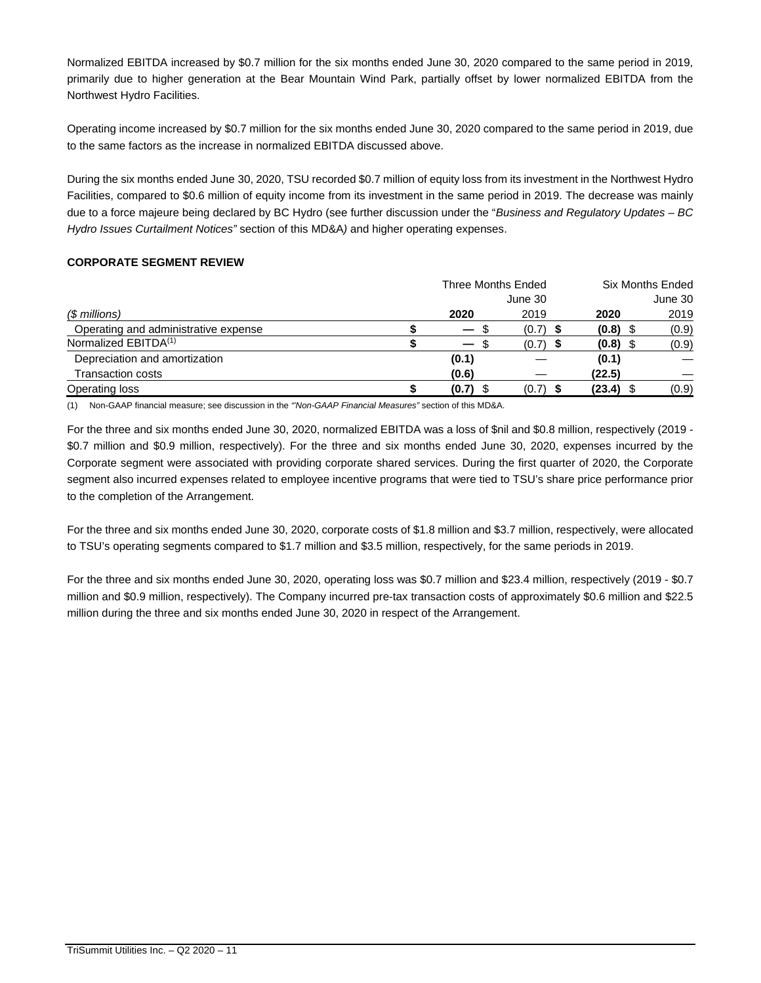Normalized EBITDA increased by \$0.7 million for the six months ended June 30, 2020 compared to the same period in 2019, primarily due to higher generation at the Bear Mountain Wind Park, partially offset by lower normalized EBITDA from the Northwest Hydro Facilities.

Operating income increased by \$0.7 million for the six months ended June 30, 2020 compared to the same period in 2019, due to the same factors as the increase in normalized EBITDA discussed above.

During the six months ended June 30, 2020, TSU recorded \$0.7 million of equity loss from its investment in the Northwest Hydro Facilities, compared to \$0.6 million of equity income from its investment in the same period in 2019. The decrease was mainly due to a force majeure being declared by BC Hydro (see further discussion under the "*Business and Regulatory Updates – BC Hydro Issues Curtailment Notices"* section of this MD&A*)* and higher operating expenses.

# **CORPORATE SEGMENT REVIEW**

|                                      | Three Months Ended |                                 |            |        | <b>Six Months Ended</b> |  |
|--------------------------------------|--------------------|---------------------------------|------------|--------|-------------------------|--|
|                                      |                    |                                 | June 30    |        | June 30                 |  |
| (\$ millions)                        |                    | 2020                            | 2019       | 2020   | 2019                    |  |
| Operating and administrative expense |                    | SБ.<br>$\overline{\phantom{0}}$ | (0.7)      | (0.8)  | (0.9)                   |  |
| Normalized EBITDA <sup>(1)</sup>     |                    |                                 | $(0.7)$ \$ | (0.8)  | (0.9)                   |  |
| Depreciation and amortization        |                    | (0.1)                           |            | (0.1)  |                         |  |
| Transaction costs                    |                    | (0.6)                           |            | (22.5) |                         |  |
| Operating loss                       |                    | (0.7)                           | (0.7)      | (23.4) | (0.9)                   |  |

(1) Non-GAAP financial measure; see discussion in the *"'Non-GAAP Financial Measures"* section of this MD&A.

For the three and six months ended June 30, 2020, normalized EBITDA was a loss of \$nil and \$0.8 million, respectively (2019 - \$0.7 million and \$0.9 million, respectively). For the three and six months ended June 30, 2020, expenses incurred by the Corporate segment were associated with providing corporate shared services. During the first quarter of 2020, the Corporate segment also incurred expenses related to employee incentive programs that were tied to TSU's share price performance prior to the completion of the Arrangement.

For the three and six months ended June 30, 2020, corporate costs of \$1.8 million and \$3.7 million, respectively, were allocated to TSU's operating segments compared to \$1.7 million and \$3.5 million, respectively, for the same periods in 2019.

For the three and six months ended June 30, 2020, operating loss was \$0.7 million and \$23.4 million, respectively (2019 - \$0.7 million and \$0.9 million, respectively). The Company incurred pre-tax transaction costs of approximately \$0.6 million and \$22.5 million during the three and six months ended June 30, 2020 in respect of the Arrangement.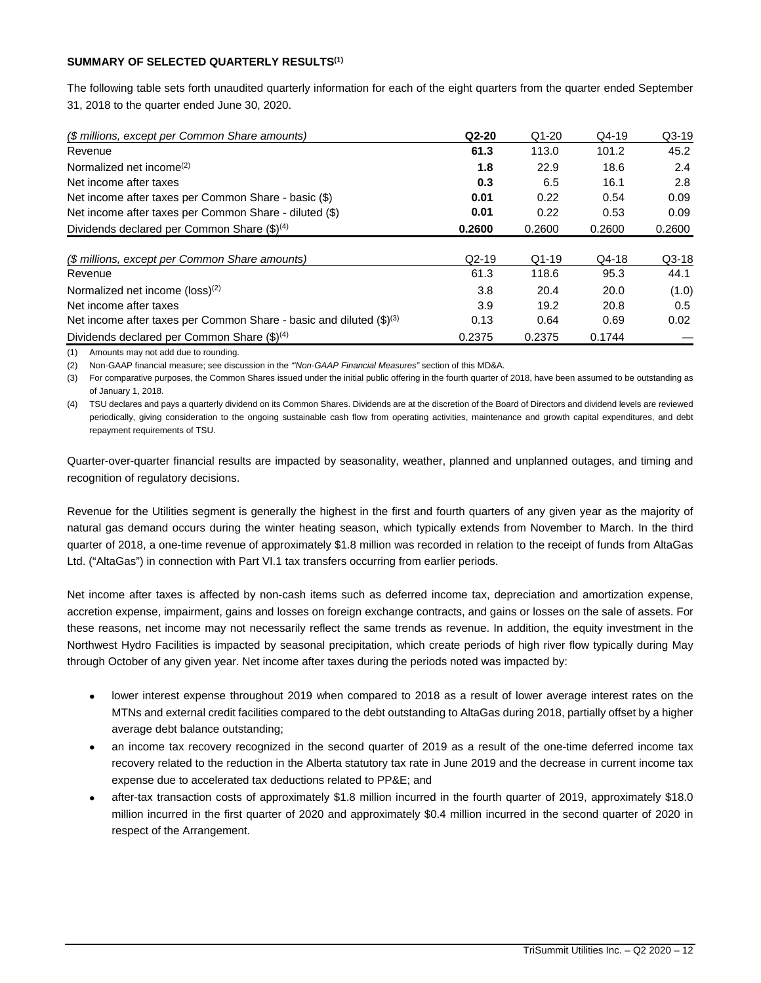# **SUMMARY OF SELECTED QUARTERLY RESULTS(1)**

The following table sets forth unaudited quarterly information for each of the eight quarters from the quarter ended September 31, 2018 to the quarter ended June 30, 2020.

| (\$ millions, except per Common Share amounts)                                  | $Q2-20$ | $Q1-20$ | $Q4-19$ | $Q3-19$ |
|---------------------------------------------------------------------------------|---------|---------|---------|---------|
| Revenue                                                                         | 61.3    | 113.0   | 101.2   | 45.2    |
| Normalized net income <sup>(2)</sup>                                            | 1.8     | 22.9    | 18.6    | 2.4     |
| Net income after taxes                                                          | 0.3     | 6.5     | 16.1    | 2.8     |
| Net income after taxes per Common Share - basic (\$)                            | 0.01    | 0.22    | 0.54    | 0.09    |
| Net income after taxes per Common Share - diluted (\$)                          | 0.01    | 0.22    | 0.53    | 0.09    |
| Dividends declared per Common Share $(\text{$\mathfrak{F}$})^{(4)}$             | 0.2600  | 0.2600  | 0.2600  | 0.2600  |
| (\$ millions, except per Common Share amounts)                                  | $Q2-19$ | $Q1-19$ | $Q4-18$ | $Q3-18$ |
| Revenue                                                                         | 61.3    | 118.6   | 95.3    | 44.1    |
| Normalized net income (loss) <sup>(2)</sup>                                     | 3.8     | 20.4    | 20.0    | (1.0)   |
| Net income after taxes                                                          | 3.9     | 19.2    | 20.8    | 0.5     |
| Net income after taxes per Common Share - basic and diluted (\$) <sup>(3)</sup> | 0.13    | 0.64    | 0.69    | 0.02    |
| Dividends declared per Common Share $(\text{$\mathfrak{F}$})^{(4)}$             | 0.2375  | 0.2375  | 0.1744  |         |

(1) Amounts may not add due to rounding.

(2) Non-GAAP financial measure; see discussion in the *"'Non-GAAP Financial Measures"* section of this MD&A.

(3) For comparative purposes, the Common Shares issued under the initial public offering in the fourth quarter of 2018, have been assumed to be outstanding as of January 1, 2018.

(4) TSU declares and pays a quarterly dividend on its Common Shares. Dividends are at the discretion of the Board of Directors and dividend levels are reviewed periodically, giving consideration to the ongoing sustainable cash flow from operating activities, maintenance and growth capital expenditures, and debt repayment requirements of TSU.

Quarter-over-quarter financial results are impacted by seasonality, weather, planned and unplanned outages, and timing and recognition of regulatory decisions.

Revenue for the Utilities segment is generally the highest in the first and fourth quarters of any given year as the majority of natural gas demand occurs during the winter heating season, which typically extends from November to March. In the third quarter of 2018, a one-time revenue of approximately \$1.8 million was recorded in relation to the receipt of funds from AltaGas Ltd. ("AltaGas") in connection with Part VI.1 tax transfers occurring from earlier periods.

Net income after taxes is affected by non-cash items such as deferred income tax, depreciation and amortization expense, accretion expense, impairment, gains and losses on foreign exchange contracts, and gains or losses on the sale of assets. For these reasons, net income may not necessarily reflect the same trends as revenue. In addition, the equity investment in the Northwest Hydro Facilities is impacted by seasonal precipitation, which create periods of high river flow typically during May through October of any given year. Net income after taxes during the periods noted was impacted by:

- lower interest expense throughout 2019 when compared to 2018 as a result of lower average interest rates on the MTNs and external credit facilities compared to the debt outstanding to AltaGas during 2018, partially offset by a higher average debt balance outstanding;
- an income tax recovery recognized in the second quarter of 2019 as a result of the one-time deferred income tax recovery related to the reduction in the Alberta statutory tax rate in June 2019 and the decrease in current income tax expense due to accelerated tax deductions related to PP&E; and
- after-tax transaction costs of approximately \$1.8 million incurred in the fourth quarter of 2019, approximately \$18.0 million incurred in the first quarter of 2020 and approximately \$0.4 million incurred in the second quarter of 2020 in respect of the Arrangement.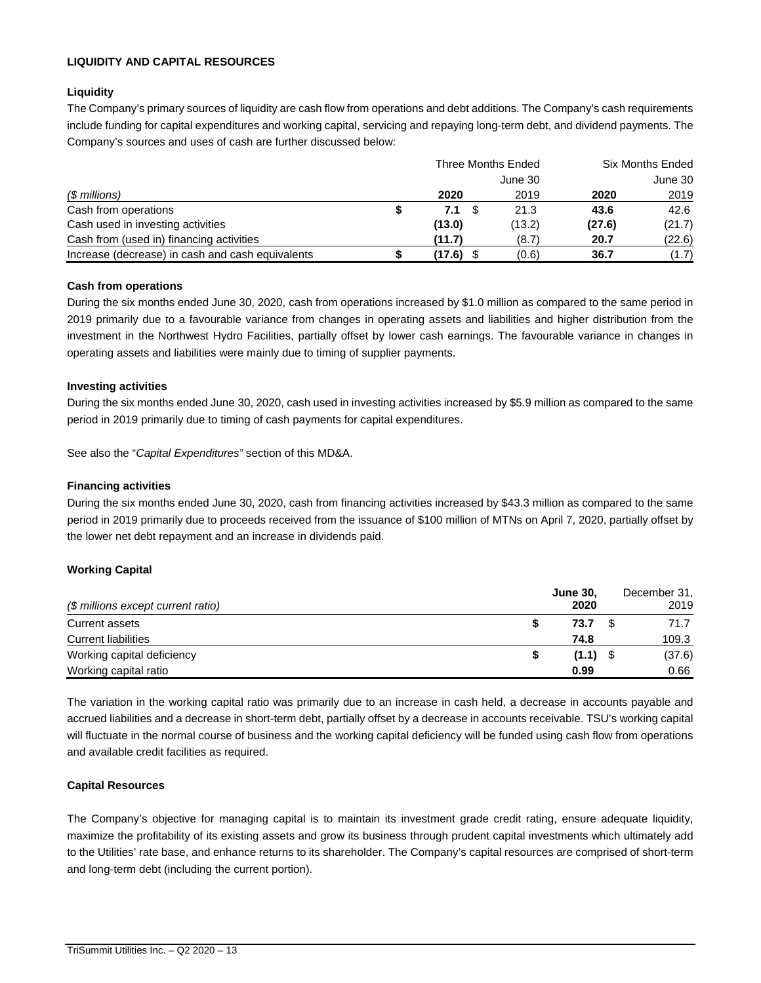# **LIQUIDITY AND CAPITAL RESOURCES**

# **Liquidity**

The Company's primary sources of liquidity are cash flow from operations and debt additions. The Company's cash requirements include funding for capital expenditures and working capital, servicing and repaying long-term debt, and dividend payments. The Company's sources and uses of cash are further discussed below:

|                                                  | Three Months Ended |         | <b>Six Months Ended</b> |         |  |
|--------------------------------------------------|--------------------|---------|-------------------------|---------|--|
|                                                  |                    | June 30 |                         | June 30 |  |
| (\$ millions)                                    | 2020               | 2019    | 2020                    | 2019    |  |
| Cash from operations                             | 7.1 \$             | 21.3    | 43.6                    | 42.6    |  |
| Cash used in investing activities                | (13.0)             | (13.2)  | (27.6)                  | (21.7)  |  |
| Cash from (used in) financing activities         | (11.7)             | (8.7)   | 20.7                    | (22.6)  |  |
| Increase (decrease) in cash and cash equivalents | $(17.6)$ \$        | (0.6)   | 36.7                    | (1.7)   |  |

# **Cash from operations**

During the six months ended June 30, 2020, cash from operations increased by \$1.0 million as compared to the same period in 2019 primarily due to a favourable variance from changes in operating assets and liabilities and higher distribution from the investment in the Northwest Hydro Facilities, partially offset by lower cash earnings. The favourable variance in changes in operating assets and liabilities were mainly due to timing of supplier payments.

# **Investing activities**

During the six months ended June 30, 2020, cash used in investing activities increased by \$5.9 million as compared to the same period in 2019 primarily due to timing of cash payments for capital expenditures.

See also the "*Capital Expenditures"* section of this MD&A.

# **Financing activities**

During the six months ended June 30, 2020, cash from financing activities increased by \$43.3 million as compared to the same period in 2019 primarily due to proceeds received from the issuance of \$100 million of MTNs on April 7, 2020, partially offset by the lower net debt repayment and an increase in dividends paid.

# **Working Capital**

|                                    | <b>June 30,</b> | December 31, |
|------------------------------------|-----------------|--------------|
| (\$ millions except current ratio) | 2020            | 2019         |
| Current assets                     | 73.7            | 71.7         |
| <b>Current liabilities</b>         | 74.8            | 109.3        |
| Working capital deficiency         | $(1.1)$ \$      | (37.6)       |
| Working capital ratio              | 0.99            | 0.66         |

The variation in the working capital ratio was primarily due to an increase in cash held, a decrease in accounts payable and accrued liabilities and a decrease in short-term debt, partially offset by a decrease in accounts receivable. TSU's working capital will fluctuate in the normal course of business and the working capital deficiency will be funded using cash flow from operations and available credit facilities as required.

# **Capital Resources**

The Company's objective for managing capital is to maintain its investment grade credit rating, ensure adequate liquidity, maximize the profitability of its existing assets and grow its business through prudent capital investments which ultimately add to the Utilities' rate base, and enhance returns to its shareholder. The Company's capital resources are comprised of short-term and long-term debt (including the current portion).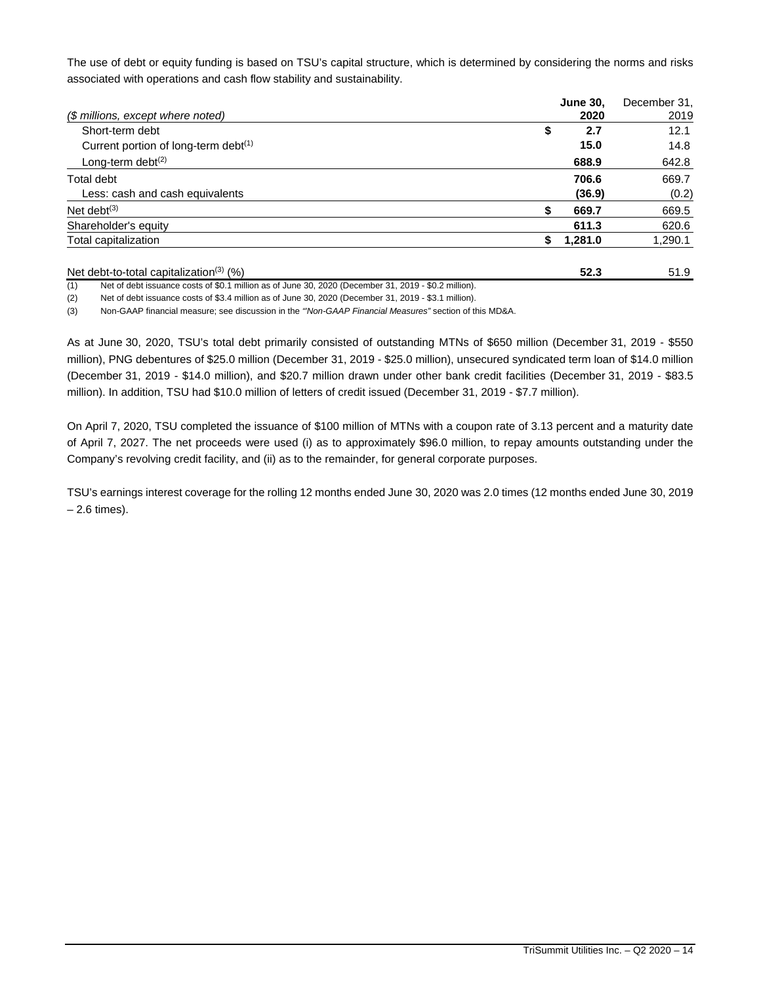The use of debt or equity funding is based on TSU's capital structure, which is determined by considering the norms and risks associated with operations and cash flow stability and sustainability.

|                                                     | <b>June 30,</b> | December 31, |
|-----------------------------------------------------|-----------------|--------------|
| (\$ millions, except where noted)                   | 2020            | 2019         |
| Short-term debt                                     | 2.7<br>\$       | 12.1         |
| Current portion of long-term debt <sup>(1)</sup>    | 15.0            | 14.8         |
| Long-term debt <sup>(2)</sup>                       | 688.9           | 642.8        |
| Total debt                                          | 706.6           | 669.7        |
| Less: cash and cash equivalents                     | (36.9)          | (0.2)        |
| Net debt $(3)$                                      | 669.7           | 669.5        |
| Shareholder's equity                                | 611.3           | 620.6        |
| Total capitalization                                | \$<br>1,281.0   | 1,290.1      |
| Net debt-to-total capitalization <sup>(3)</sup> (%) | 52.3            | 51.9         |

(1) Net of debt issuance costs of \$0.1 million as of June 30, 2020 (December 31, 2019 - \$0.2 million).

(2) Net of debt issuance costs of \$3.4 million as of June 30, 2020 (December 31, 2019 - \$3.1 million).

(3) Non-GAAP financial measure; see discussion in the *"'Non-GAAP Financial Measures"* section of this MD&A.

As at June 30, 2020, TSU's total debt primarily consisted of outstanding MTNs of \$650 million (December 31, 2019 - \$550 million), PNG debentures of \$25.0 million (December 31, 2019 - \$25.0 million), unsecured syndicated term loan of \$14.0 million (December 31, 2019 - \$14.0 million), and \$20.7 million drawn under other bank credit facilities (December 31, 2019 - \$83.5 million). In addition, TSU had \$10.0 million of letters of credit issued (December 31, 2019 - \$7.7 million).

On April 7, 2020, TSU completed the issuance of \$100 million of MTNs with a coupon rate of 3.13 percent and a maturity date of April 7, 2027. The net proceeds were used (i) as to approximately \$96.0 million, to repay amounts outstanding under the Company's revolving credit facility, and (ii) as to the remainder, for general corporate purposes.

TSU's earnings interest coverage for the rolling 12 months ended June 30, 2020 was 2.0 times (12 months ended June 30, 2019 – 2.6 times).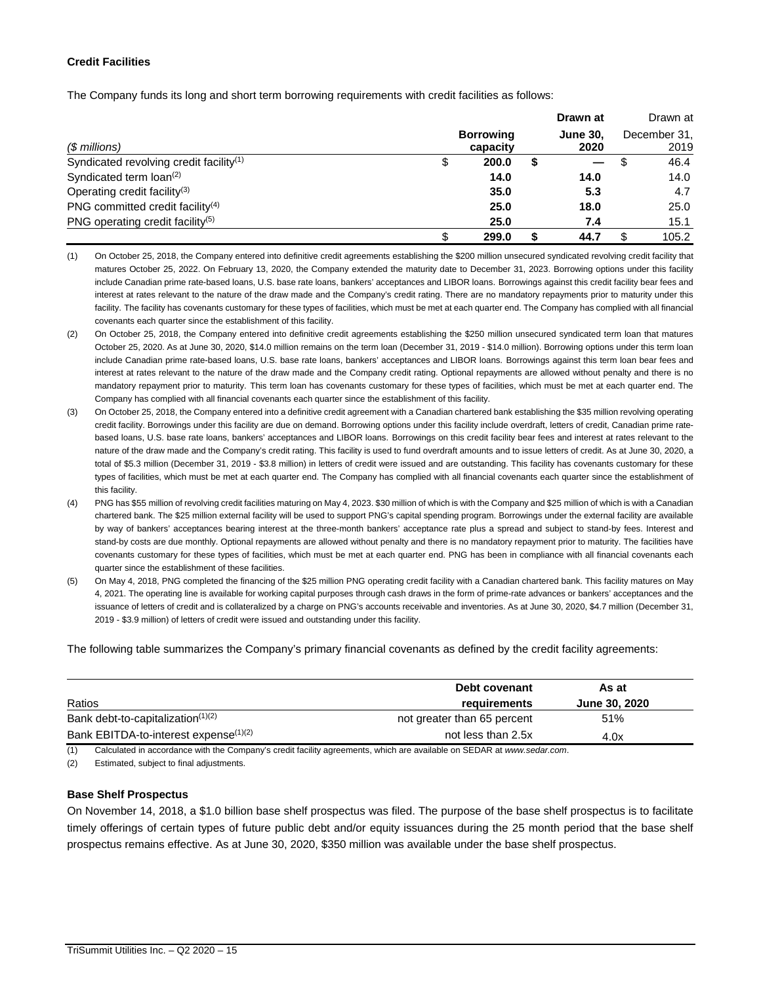# **Credit Facilities**

The Company funds its long and short term borrowing requirements with credit facilities as follows:

|                                                     |   |                  |  | Drawn at |   | Drawn at     |
|-----------------------------------------------------|---|------------------|--|----------|---|--------------|
|                                                     |   | <b>Borrowing</b> |  |          |   | December 31, |
| $$$ millions)                                       |   | capacity         |  | 2020     |   | 2019         |
| Syndicated revolving credit facility <sup>(1)</sup> | C | 200.0            |  |          | S | 46.4         |
| Syndicated term $\text{loan}^{(2)}$                 |   | 14.0             |  | 14.0     |   | 14.0         |
| Operating credit facility <sup>(3)</sup>            |   | 35.0             |  | 5.3      |   | 4.7          |
| PNG committed credit facility <sup>(4)</sup>        |   | 25.0             |  | 18.0     |   | 25.0         |
| PNG operating credit facility <sup>(5)</sup>        |   | 25.0             |  | 7.4      |   | 15.1         |
|                                                     |   | 299.0            |  | 44.7     |   | 105.2        |

<sup>(1)</sup> On October 25, 2018, the Company entered into definitive credit agreements establishing the \$200 million unsecured syndicated revolving credit facility that matures October 25, 2022. On February 13, 2020, the Company extended the maturity date to December 31, 2023. Borrowing options under this facility include Canadian prime rate-based loans, U.S. base rate loans, bankers' acceptances and LIBOR loans. Borrowings against this credit facility bear fees and interest at rates relevant to the nature of the draw made and the Company's credit rating. There are no mandatory repayments prior to maturity under this facility. The facility has covenants customary for these types of facilities, which must be met at each quarter end. The Company has complied with all financial covenants each quarter since the establishment of this facility.

- (2) On October 25, 2018, the Company entered into definitive credit agreements establishing the \$250 million unsecured syndicated term loan that matures October 25, 2020. As at June 30, 2020, \$14.0 million remains on the term loan (December 31, 2019 - \$14.0 million). Borrowing options under this term loan include Canadian prime rate-based loans, U.S. base rate loans, bankers' acceptances and LIBOR loans. Borrowings against this term loan bear fees and interest at rates relevant to the nature of the draw made and the Company credit rating. Optional repayments are allowed without penalty and there is no mandatory repayment prior to maturity. This term loan has covenants customary for these types of facilities, which must be met at each quarter end. The Company has complied with all financial covenants each quarter since the establishment of this facility.
- (3) On October 25, 2018, the Company entered into a definitive credit agreement with a Canadian chartered bank establishing the \$35 million revolving operating credit facility. Borrowings under this facility are due on demand. Borrowing options under this facility include overdraft, letters of credit, Canadian prime ratebased loans, U.S. base rate loans, bankers' acceptances and LIBOR loans. Borrowings on this credit facility bear fees and interest at rates relevant to the nature of the draw made and the Company's credit rating. This facility is used to fund overdraft amounts and to issue letters of credit. As at June 30, 2020, a total of \$5.3 million (December 31, 2019 - \$3.8 million) in letters of credit were issued and are outstanding. This facility has covenants customary for these types of facilities, which must be met at each quarter end. The Company has complied with all financial covenants each quarter since the establishment of this facility.
- (4) PNG has \$55 million of revolving credit facilities maturing on May 4, 2023. \$30 million of which is with the Company and \$25 million of which is with a Canadian chartered bank. The \$25 million external facility will be used to support PNG's capital spending program. Borrowings under the external facility are available by way of bankers' acceptances bearing interest at the three-month bankers' acceptance rate plus a spread and subject to stand-by fees. Interest and stand-by costs are due monthly. Optional repayments are allowed without penalty and there is no mandatory repayment prior to maturity. The facilities have covenants customary for these types of facilities, which must be met at each quarter end. PNG has been in compliance with all financial covenants each quarter since the establishment of these facilities.
- (5) On May 4, 2018, PNG completed the financing of the \$25 million PNG operating credit facility with a Canadian chartered bank. This facility matures on May 4, 2021. The operating line is available for working capital purposes through cash draws in the form of prime-rate advances or bankers' acceptances and the issuance of letters of credit and is collateralized by a charge on PNG's accounts receivable and inventories. As at June 30, 2020, \$4.7 million (December 31, 2019 - \$3.9 million) of letters of credit were issued and outstanding under this facility.

The following table summarizes the Company's primary financial covenants as defined by the credit facility agreements:

|                                                   | Debt covenant               | As at         |
|---------------------------------------------------|-----------------------------|---------------|
| Ratios                                            | requirements                | June 30, 2020 |
| Bank debt-to-capitalization(1)(2)                 | not greater than 65 percent | 51%           |
| Bank EBITDA-to-interest expense <sup>(1)(2)</sup> | not less than 2.5x          | 4.0x          |

(1) Calculated in accordance with the Company's credit facility agreements, which are available on SEDAR at *www.sedar.com*.

(2) Estimated, subject to final adjustments.

#### **Base Shelf Prospectus**

On November 14, 2018, a \$1.0 billion base shelf prospectus was filed. The purpose of the base shelf prospectus is to facilitate timely offerings of certain types of future public debt and/or equity issuances during the 25 month period that the base shelf prospectus remains effective. As at June 30, 2020, \$350 million was available under the base shelf prospectus.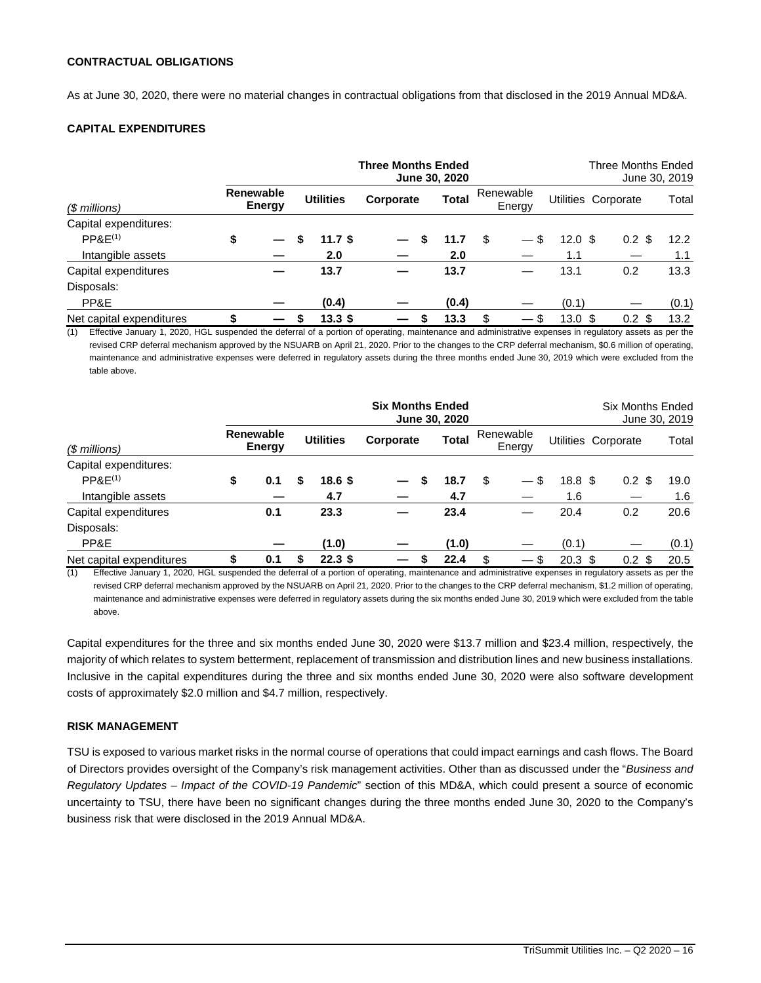#### **CONTRACTUAL OBLIGATIONS**

As at June 30, 2020, there were no material changes in contractual obligations from that disclosed in the 2019 Annual MD&A.

# **CAPITAL EXPENDITURES**

|                          |                            |  |   |                   | <b>Three Months Ended</b><br>June 30, 2020 |       |     |                     |                    | Three Months Ended<br>June 30, 2019 |       |
|--------------------------|----------------------------|--|---|-------------------|--------------------------------------------|-------|-----|---------------------|--------------------|-------------------------------------|-------|
| $$$ millions)            | <b>Renewable</b><br>Energy |  |   | <b>Utilities</b>  | Corporate                                  | Total |     | Renewable<br>Energy |                    | Utilities Corporate                 | Total |
| Capital expenditures:    |                            |  |   |                   |                                            |       |     |                     |                    |                                     |       |
| PPAE <sup>(1)</sup>      | \$                         |  | S | 11.7 $$$          | \$                                         | 11.7  | \$. | $-$ \$              | $12.0 \text{ }$ \$ | $0.2 \text{ } $$                    | 12.2  |
| Intangible assets        |                            |  |   | 2.0               |                                            | 2.0   |     |                     | 1.1                |                                     | 1.1   |
| Capital expenditures     |                            |  |   | 13.7              |                                            | 13.7  |     |                     | 13.1               | 0.2                                 | 13.3  |
| Disposals:               |                            |  |   |                   |                                            |       |     |                     |                    |                                     |       |
| PP&E                     |                            |  |   | (0.4)             |                                            | (0.4) |     |                     | (0.1)              |                                     | (0.1) |
| Net capital expenditures | \$                         |  | S | 13.3 <sup>5</sup> | \$                                         | 13.3  | \$  | $-$ \$              | $13.0 \text{ } $$  | 0.2 <sub>0</sub><br>\$.             | 13.2  |

(1) Effective January 1, 2020, HGL suspended the deferral of a portion of operating, maintenance and administrative expenses in regulatory assets as per the revised CRP deferral mechanism approved by the NSUARB on April 21, 2020. Prior to the changes to the CRP deferral mechanism, \$0.6 million of operating, maintenance and administrative expenses were deferred in regulatory assets during the three months ended June 30, 2019 which were excluded from the table above.

|                          |                            |     |   |                   | <b>Six Months Ended</b> |   | <b>June 30, 2020</b> |                     |        |                   | <b>Six Months Ended</b> | June 30, 2019 |
|--------------------------|----------------------------|-----|---|-------------------|-------------------------|---|----------------------|---------------------|--------|-------------------|-------------------------|---------------|
| $($$ millions)           | <b>Renewable</b><br>Energy |     |   | <b>Utilities</b>  | Corporate               |   | Total                | Renewable<br>Energy |        |                   | Utilities Corporate     | Total         |
| Capital expenditures:    |                            |     |   |                   |                         |   |                      |                     |        |                   |                         |               |
| PPAE <sup>(1)</sup>      | \$                         | 0.1 |   | 18.6 <sup>5</sup> |                         | S | 18.7                 | \$                  | — \$   | 18.8 <sup>5</sup> | $0.2 \text{ }$ \$       | 19.0          |
| Intangible assets        |                            |     |   | 4.7               |                         |   | 4.7                  |                     |        | 1.6               |                         | 1.6           |
| Capital expenditures     |                            | 0.1 |   | 23.3              |                         |   | 23.4                 |                     |        | 20.4              | 0.2                     | 20.6          |
| Disposals:               |                            |     |   |                   |                         |   |                      |                     |        |                   |                         |               |
| PP&E                     |                            |     |   | (1.0)             |                         |   | (1.0)                |                     |        | (0.1)             |                         | (0.1)         |
| Net capital expenditures | \$                         | 0.1 | S | 22.3 <sup>5</sup> |                         |   | 22.4                 | \$                  | $-$ \$ | $20.3 \text{ } $$ | 0.2 <sub>0</sub><br>-\$ | 20.5          |

(1) Effective January 1, 2020, HGL suspended the deferral of a portion of operating, maintenance and administrative expenses in regulatory assets as per the revised CRP deferral mechanism approved by the NSUARB on April 21, 2020. Prior to the changes to the CRP deferral mechanism, \$1.2 million of operating, maintenance and administrative expenses were deferred in regulatory assets during the six months ended June 30, 2019 which were excluded from the table above.

Capital expenditures for the three and six months ended June 30, 2020 were \$13.7 million and \$23.4 million, respectively, the majority of which relates to system betterment, replacement of transmission and distribution lines and new business installations. Inclusive in the capital expenditures during the three and six months ended June 30, 2020 were also software development costs of approximately \$2.0 million and \$4.7 million, respectively.

#### **RISK MANAGEMENT**

TSU is exposed to various market risks in the normal course of operations that could impact earnings and cash flows. The Board of Directors provides oversight of the Company's risk management activities. Other than as discussed under the "*Business and Regulatory Updates – Impact of the COVID-19 Pandemic*" section of this MD&A, which could present a source of economic uncertainty to TSU, there have been no significant changes during the three months ended June 30, 2020 to the Company's business risk that were disclosed in the 2019 Annual MD&A.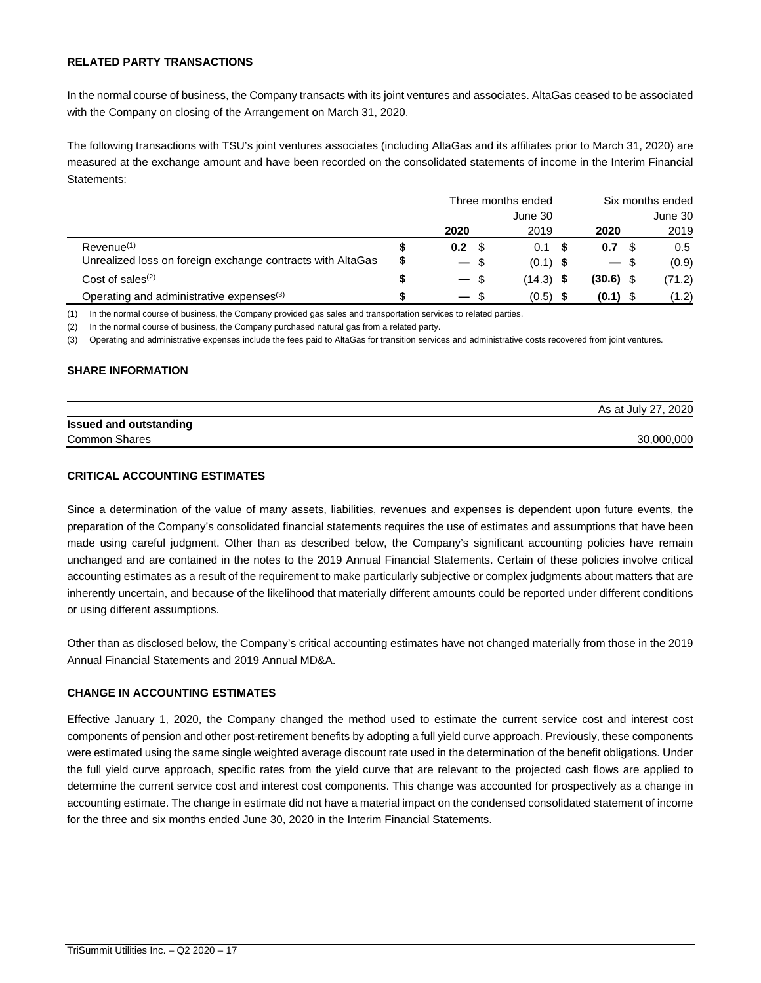# **RELATED PARTY TRANSACTIONS**

In the normal course of business, the Company transacts with its joint ventures and associates. AltaGas ceased to be associated with the Company on closing of the Arrangement on March 31, 2020.

The following transactions with TSU's joint ventures associates (including AltaGas and its affiliates prior to March 31, 2020) are measured at the exchange amount and have been recorded on the consolidated statements of income in the Interim Financial Statements:

|                                                            |   | Three months ended | Six months ended |             |        |        |
|------------------------------------------------------------|---|--------------------|------------------|-------------|--------|--------|
|                                                            |   |                    |                  | June 30     |        |        |
|                                                            |   | 2020               | 2019             | 2020        |        | 2019   |
| Revenue <sup>(1)</sup>                                     |   | 0.2 <sub>0</sub>   | 0.1              | 0.7         |        | 0.5    |
| Unrealized loss on foreign exchange contracts with AltaGas | S | $-$ \$             | $(0.1)$ \$       |             | $-$ \$ | (0.9)  |
| Cost of sales $(2)$                                        |   | $-$ \$             | $(14.3)$ \$      | $(30.6)$ \$ |        | (71.2) |
| Operating and administrative expenses <sup>(3)</sup>       |   | $-$ \$             | (0.5)            | (0.1)       |        | (1.2)  |

(1) In the normal course of business, the Company provided gas sales and transportation services to related parties.

(2) In the normal course of business, the Company purchased natural gas from a related party.

(3) Operating and administrative expenses include the fees paid to AltaGas for transition services and administrative costs recovered from joint ventures*.* 

#### **SHARE INFORMATION**

|                               | AS at JUIV 27, 2020 |
|-------------------------------|---------------------|
| <b>Issued and outstanding</b> |                     |
| <b>Common Shares</b>          | 30.000.000          |

 $\overline{A}$  at  $\overline{A}$   $\overline{B}$  2020

# **CRITICAL ACCOUNTING ESTIMATES**

Since a determination of the value of many assets, liabilities, revenues and expenses is dependent upon future events, the preparation of the Company's consolidated financial statements requires the use of estimates and assumptions that have been made using careful judgment. Other than as described below, the Company's significant accounting policies have remain unchanged and are contained in the notes to the 2019 Annual Financial Statements. Certain of these policies involve critical accounting estimates as a result of the requirement to make particularly subjective or complex judgments about matters that are inherently uncertain, and because of the likelihood that materially different amounts could be reported under different conditions or using different assumptions.

Other than as disclosed below, the Company's critical accounting estimates have not changed materially from those in the 2019 Annual Financial Statements and 2019 Annual MD&A.

#### **CHANGE IN ACCOUNTING ESTIMATES**

Effective January 1, 2020, the Company changed the method used to estimate the current service cost and interest cost components of pension and other post-retirement benefits by adopting a full yield curve approach. Previously, these components were estimated using the same single weighted average discount rate used in the determination of the benefit obligations. Under the full yield curve approach, specific rates from the yield curve that are relevant to the projected cash flows are applied to determine the current service cost and interest cost components. This change was accounted for prospectively as a change in accounting estimate. The change in estimate did not have a material impact on the condensed consolidated statement of income for the three and six months ended June 30, 2020 in the Interim Financial Statements.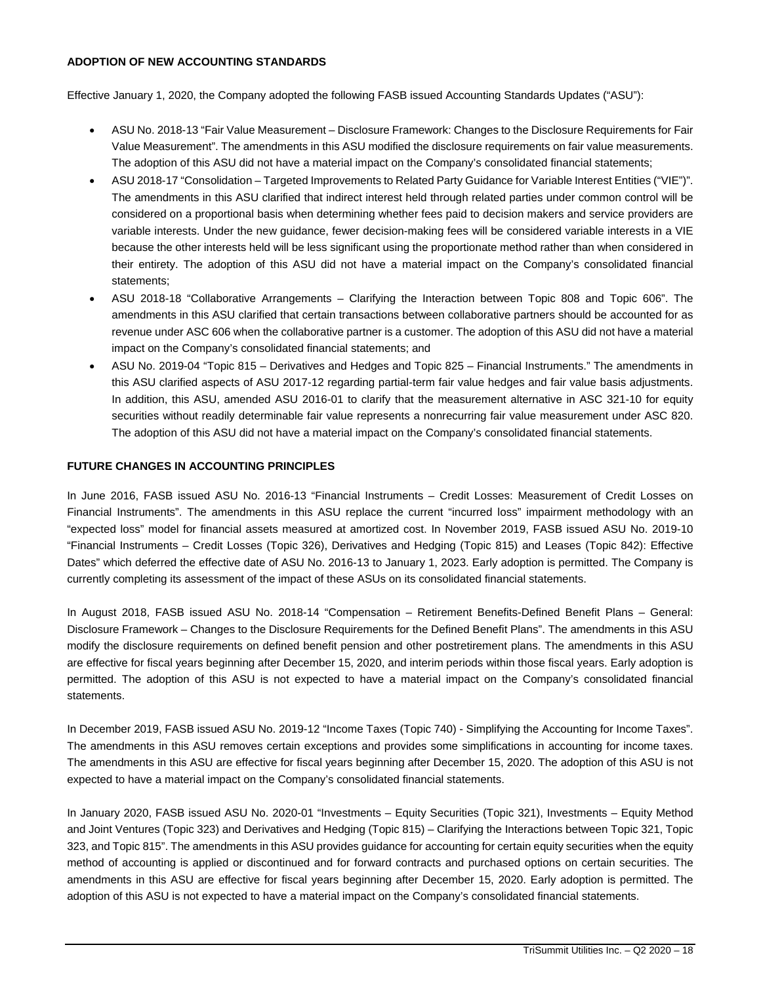# **ADOPTION OF NEW ACCOUNTING STANDARDS**

Effective January 1, 2020, the Company adopted the following FASB issued Accounting Standards Updates ("ASU"):

- ASU No. 2018-13 "Fair Value Measurement Disclosure Framework: Changes to the Disclosure Requirements for Fair Value Measurement". The amendments in this ASU modified the disclosure requirements on fair value measurements. The adoption of this ASU did not have a material impact on the Company's consolidated financial statements;
- ASU 2018-17 "Consolidation Targeted Improvements to Related Party Guidance for Variable Interest Entities ("VIE")". The amendments in this ASU clarified that indirect interest held through related parties under common control will be considered on a proportional basis when determining whether fees paid to decision makers and service providers are variable interests. Under the new guidance, fewer decision-making fees will be considered variable interests in a VIE because the other interests held will be less significant using the proportionate method rather than when considered in their entirety. The adoption of this ASU did not have a material impact on the Company's consolidated financial statements;
- ASU 2018-18 "Collaborative Arrangements Clarifying the Interaction between Topic 808 and Topic 606". The amendments in this ASU clarified that certain transactions between collaborative partners should be accounted for as revenue under ASC 606 when the collaborative partner is a customer. The adoption of this ASU did not have a material impact on the Company's consolidated financial statements; and
- ASU No. 2019-04 "Topic 815 Derivatives and Hedges and Topic 825 Financial Instruments." The amendments in this ASU clarified aspects of ASU 2017-12 regarding partial-term fair value hedges and fair value basis adjustments. In addition, this ASU, amended ASU 2016-01 to clarify that the measurement alternative in ASC 321-10 for equity securities without readily determinable fair value represents a nonrecurring fair value measurement under ASC 820. The adoption of this ASU did not have a material impact on the Company's consolidated financial statements.

# **FUTURE CHANGES IN ACCOUNTING PRINCIPLES**

In June 2016, FASB issued ASU No. 2016-13 "Financial Instruments – Credit Losses: Measurement of Credit Losses on Financial Instruments". The amendments in this ASU replace the current "incurred loss" impairment methodology with an "expected loss" model for financial assets measured at amortized cost. In November 2019, FASB issued ASU No. 2019-10 "Financial Instruments – Credit Losses (Topic 326), Derivatives and Hedging (Topic 815) and Leases (Topic 842): Effective Dates" which deferred the effective date of ASU No. 2016-13 to January 1, 2023. Early adoption is permitted. The Company is currently completing its assessment of the impact of these ASUs on its consolidated financial statements.

In August 2018, FASB issued ASU No. 2018-14 "Compensation – Retirement Benefits-Defined Benefit Plans – General: Disclosure Framework – Changes to the Disclosure Requirements for the Defined Benefit Plans". The amendments in this ASU modify the disclosure requirements on defined benefit pension and other postretirement plans. The amendments in this ASU are effective for fiscal years beginning after December 15, 2020, and interim periods within those fiscal years. Early adoption is permitted. The adoption of this ASU is not expected to have a material impact on the Company's consolidated financial statements.

In December 2019, FASB issued ASU No. 2019-12 "Income Taxes (Topic 740) - Simplifying the Accounting for Income Taxes". The amendments in this ASU removes certain exceptions and provides some simplifications in accounting for income taxes. The amendments in this ASU are effective for fiscal years beginning after December 15, 2020. The adoption of this ASU is not expected to have a material impact on the Company's consolidated financial statements.

In January 2020, FASB issued ASU No. 2020-01 "Investments – Equity Securities (Topic 321), Investments – Equity Method and Joint Ventures (Topic 323) and Derivatives and Hedging (Topic 815) – Clarifying the Interactions between Topic 321, Topic 323, and Topic 815". The amendments in this ASU provides guidance for accounting for certain equity securities when the equity method of accounting is applied or discontinued and for forward contracts and purchased options on certain securities. The amendments in this ASU are effective for fiscal years beginning after December 15, 2020. Early adoption is permitted. The adoption of this ASU is not expected to have a material impact on the Company's consolidated financial statements.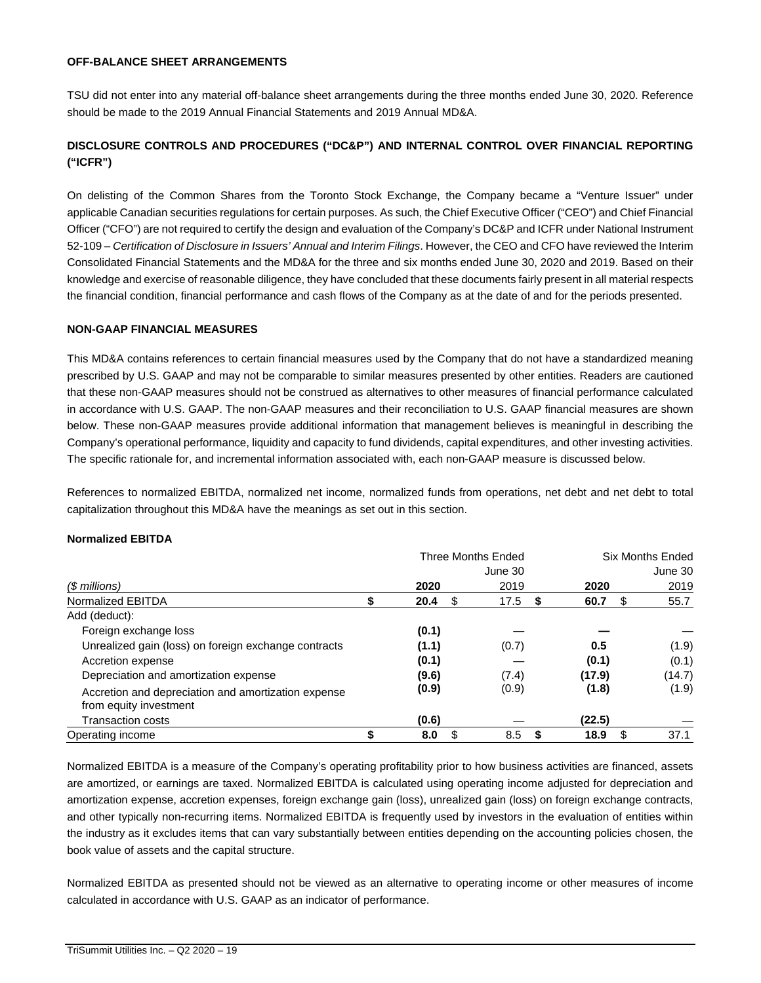# **OFF-BALANCE SHEET ARRANGEMENTS**

TSU did not enter into any material off-balance sheet arrangements during the three months ended June 30, 2020. Reference should be made to the 2019 Annual Financial Statements and 2019 Annual MD&A.

# **DISCLOSURE CONTROLS AND PROCEDURES ("DC&P") AND INTERNAL CONTROL OVER FINANCIAL REPORTING ("ICFR")**

On delisting of the Common Shares from the Toronto Stock Exchange, the Company became a "Venture Issuer" under applicable Canadian securities regulations for certain purposes. As such, the Chief Executive Officer ("CEO") and Chief Financial Officer ("CFO") are not required to certify the design and evaluation of the Company's DC&P and ICFR under National Instrument 52-109 – *Certification of Disclosure in Issuers' Annual and Interim Filings*. However, the CEO and CFO have reviewed the Interim Consolidated Financial Statements and the MD&A for the three and six months ended June 30, 2020 and 2019. Based on their knowledge and exercise of reasonable diligence, they have concluded that these documents fairly present in all material respects the financial condition, financial performance and cash flows of the Company as at the date of and for the periods presented.

# **NON-GAAP FINANCIAL MEASURES**

This MD&A contains references to certain financial measures used by the Company that do not have a standardized meaning prescribed by U.S. GAAP and may not be comparable to similar measures presented by other entities. Readers are cautioned that these non-GAAP measures should not be construed as alternatives to other measures of financial performance calculated in accordance with U.S. GAAP. The non-GAAP measures and their reconciliation to U.S. GAAP financial measures are shown below. These non-GAAP measures provide additional information that management believes is meaningful in describing the Company's operational performance, liquidity and capacity to fund dividends, capital expenditures, and other investing activities. The specific rationale for, and incremental information associated with, each non-GAAP measure is discussed below.

References to normalized EBITDA, normalized net income, normalized funds from operations, net debt and net debt to total capitalization throughout this MD&A have the meanings as set out in this section.

#### **Normalized EBITDA**

|                                                                               | <b>Three Months Ended</b> |          |            |            | <b>Six Months Ended</b> |
|-------------------------------------------------------------------------------|---------------------------|----------|------------|------------|-------------------------|
|                                                                               |                           |          | June 30    |            | June 30                 |
| (\$ millions)                                                                 |                           | 2020     | 2019       | 2020       | 2019                    |
| Normalized EBITDA                                                             | ъ                         | 20.4     | \$<br>17.5 | 60.7<br>\$ | 55.7<br>\$              |
| Add (deduct):                                                                 |                           |          |            |            |                         |
| Foreign exchange loss                                                         |                           | (0.1)    |            |            |                         |
| Unrealized gain (loss) on foreign exchange contracts                          |                           | (1.1)    | (0.7)      | 0.5        | (1.9)                   |
| Accretion expense                                                             |                           | (0.1)    |            | (0.1)      | (0.1)                   |
| Depreciation and amortization expense                                         |                           | (9.6)    | (7.4)      | (17.9)     | (14.7)                  |
| Accretion and depreciation and amortization expense<br>from equity investment |                           | (0.9)    | (0.9)      | (1.8)      | (1.9)                   |
| <b>Transaction costs</b>                                                      |                           | (0.6)    |            | (22.5)     |                         |
| Operating income                                                              |                           | S<br>8.0 | 8.5        | 18.9<br>S  | S<br>37.1               |

Normalized EBITDA is a measure of the Company's operating profitability prior to how business activities are financed, assets are amortized, or earnings are taxed. Normalized EBITDA is calculated using operating income adjusted for depreciation and amortization expense, accretion expenses, foreign exchange gain (loss), unrealized gain (loss) on foreign exchange contracts, and other typically non-recurring items. Normalized EBITDA is frequently used by investors in the evaluation of entities within the industry as it excludes items that can vary substantially between entities depending on the accounting policies chosen, the book value of assets and the capital structure.

Normalized EBITDA as presented should not be viewed as an alternative to operating income or other measures of income calculated in accordance with U.S. GAAP as an indicator of performance.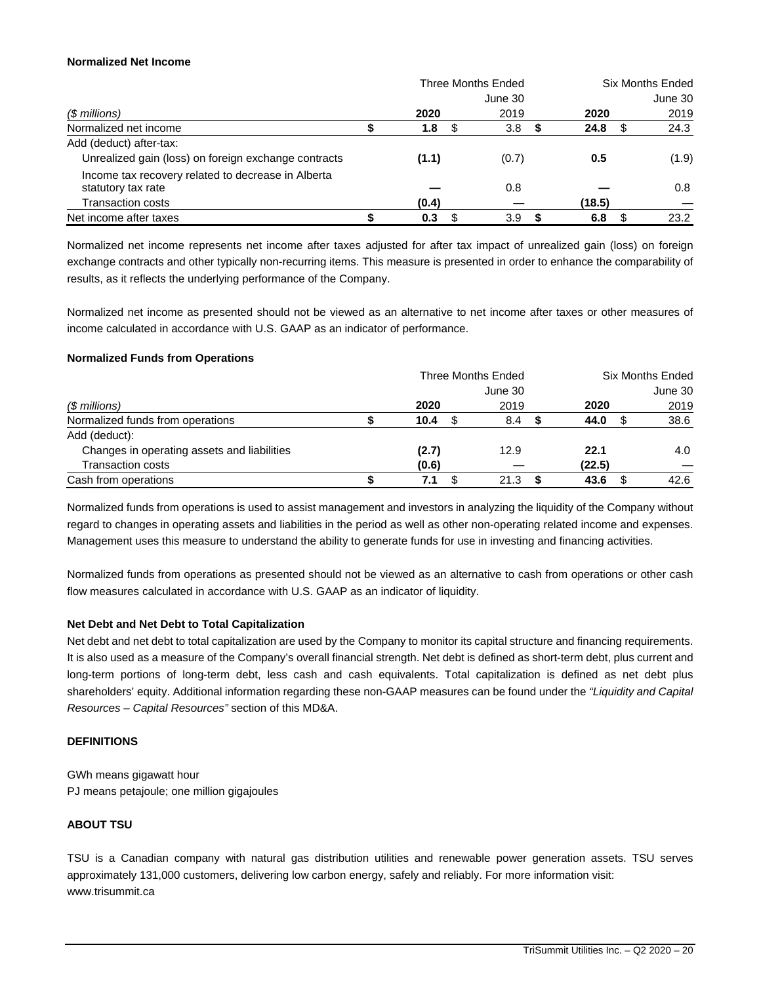#### **Normalized Net Income**

|                                                      | Three Months Ended |      |         |     |        |    | <b>Six Months Ended</b> |  |
|------------------------------------------------------|--------------------|------|---------|-----|--------|----|-------------------------|--|
|                                                      |                    |      | June 30 |     |        |    | June 30                 |  |
| (\$ millions)                                        | 2020               |      | 2019    |     | 2020   |    | 2019                    |  |
| Normalized net income                                | 1.8                | - \$ | 3.8     | - 5 | 24.8   | -S | 24.3                    |  |
| Add (deduct) after-tax:                              |                    |      |         |     |        |    |                         |  |
| Unrealized gain (loss) on foreign exchange contracts | (1.1)              |      | (0.7)   |     | 0.5    |    | (1.9)                   |  |
| Income tax recovery related to decrease in Alberta   |                    |      |         |     |        |    |                         |  |
| statutory tax rate                                   |                    |      | 0.8     |     |        |    | 0.8                     |  |
| <b>Transaction costs</b>                             | (0.4)              |      |         |     | (18.5) |    |                         |  |
| Net income after taxes                               | 0.3                |      | 3.9     |     | 6.8    |    | 23.2                    |  |

Normalized net income represents net income after taxes adjusted for after tax impact of unrealized gain (loss) on foreign exchange contracts and other typically non-recurring items. This measure is presented in order to enhance the comparability of results, as it reflects the underlying performance of the Company.

Normalized net income as presented should not be viewed as an alternative to net income after taxes or other measures of income calculated in accordance with U.S. GAAP as an indicator of performance.

#### **Normalized Funds from Operations**

|                                             | <b>Three Months Ended</b> |  |         |  |        |  | <b>Six Months Ended</b> |  |
|---------------------------------------------|---------------------------|--|---------|--|--------|--|-------------------------|--|
|                                             |                           |  | June 30 |  |        |  | June 30                 |  |
| (\$ millions)                               | 2020                      |  | 2019    |  | 2020   |  | 2019                    |  |
| Normalized funds from operations            | 10.4                      |  | 8.4     |  | 44.0   |  | 38.6                    |  |
| Add (deduct):                               |                           |  |         |  |        |  |                         |  |
| Changes in operating assets and liabilities | (2.7)                     |  | 12.9    |  | 22.1   |  | 4.0                     |  |
| <b>Transaction costs</b>                    | (0.6)                     |  |         |  | (22.5) |  |                         |  |
| Cash from operations                        |                           |  | 21.3    |  | 43.6   |  | 42.6                    |  |

Normalized funds from operations is used to assist management and investors in analyzing the liquidity of the Company without regard to changes in operating assets and liabilities in the period as well as other non-operating related income and expenses. Management uses this measure to understand the ability to generate funds for use in investing and financing activities.

Normalized funds from operations as presented should not be viewed as an alternative to cash from operations or other cash flow measures calculated in accordance with U.S. GAAP as an indicator of liquidity.

#### **Net Debt and Net Debt to Total Capitalization**

Net debt and net debt to total capitalization are used by the Company to monitor its capital structure and financing requirements. It is also used as a measure of the Company's overall financial strength. Net debt is defined as short-term debt, plus current and long-term portions of long-term debt, less cash and cash equivalents. Total capitalization is defined as net debt plus shareholders' equity. Additional information regarding these non-GAAP measures can be found under the *"Liquidity and Capital Resources – Capital Resources"* section of this MD&A.

#### **DEFINITIONS**

GWh means gigawatt hour PJ means petajoule; one million gigajoules

#### **ABOUT TSU**

TSU is a Canadian company with natural gas distribution utilities and renewable power generation assets. TSU serves approximately 131,000 customers, delivering low carbon energy, safely and reliably. For more information visit: www.trisummit.ca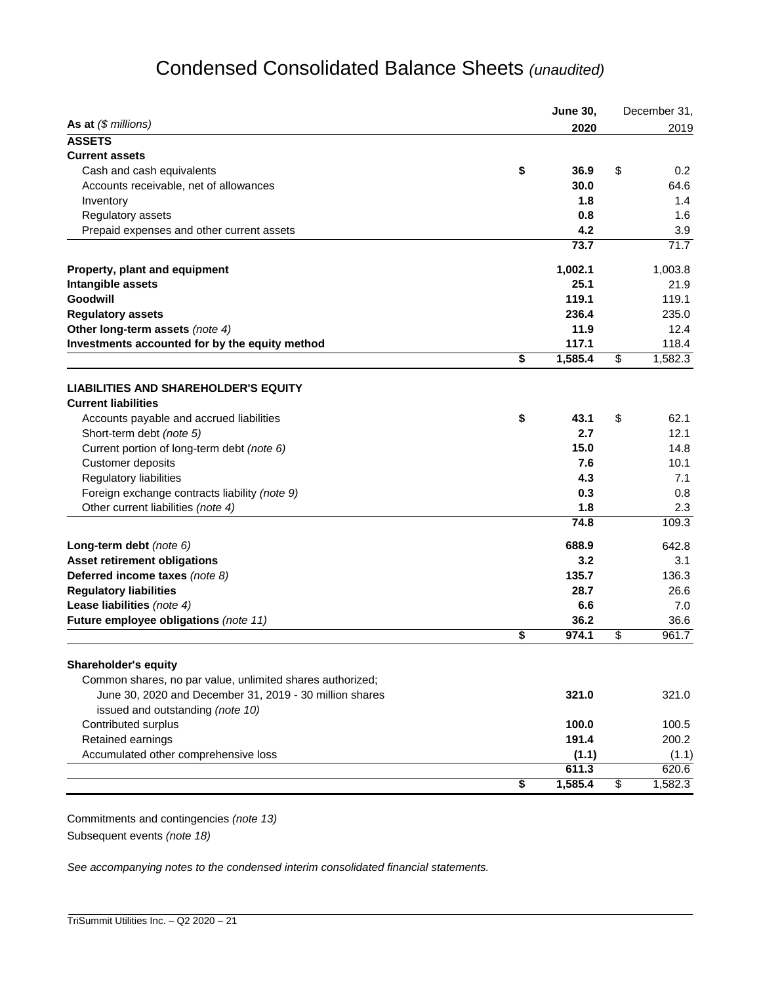# Condensed Consolidated Balance Sheets *(unaudited)*

|                                                                           | <b>June 30,</b> | December 31,   |
|---------------------------------------------------------------------------|-----------------|----------------|
| As at $(\$$ millions)                                                     | 2020            | 2019           |
| <b>ASSETS</b>                                                             |                 |                |
| <b>Current assets</b>                                                     |                 |                |
| Cash and cash equivalents                                                 | \$<br>36.9      | \$<br>0.2      |
| Accounts receivable, net of allowances                                    | 30.0            | 64.6           |
| Inventory                                                                 | 1.8             | 1.4            |
| Regulatory assets                                                         | 0.8             | 1.6            |
| Prepaid expenses and other current assets                                 | 4.2             | 3.9            |
|                                                                           | 73.7            | 71.7           |
| Property, plant and equipment                                             | 1,002.1         | 1,003.8        |
| Intangible assets                                                         | 25.1            | 21.9           |
| Goodwill                                                                  | 119.1           | 119.1          |
| <b>Regulatory assets</b>                                                  | 236.4           | 235.0          |
| Other long-term assets (note 4)                                           | 11.9            | 12.4           |
| Investments accounted for by the equity method                            | 117.1           | 118.4          |
|                                                                           | \$<br>1,585.4   | \$<br>1,582.3  |
|                                                                           |                 |                |
| <b>LIABILITIES AND SHAREHOLDER'S EQUITY</b><br><b>Current liabilities</b> |                 |                |
| Accounts payable and accrued liabilities                                  | \$<br>43.1      | \$<br>62.1     |
| Short-term debt (note 5)                                                  | 2.7             | 12.1           |
|                                                                           | 15.0            |                |
| Current portion of long-term debt (note 6)                                | 7.6             | 14.8           |
| Customer deposits                                                         |                 | 10.1           |
| Regulatory liabilities                                                    | 4.3             | 7.1            |
| Foreign exchange contracts liability (note 9)                             | 0.3             | 0.8            |
| Other current liabilities (note 4)                                        | 1.8             | 2.3            |
|                                                                           | 74.8            | 109.3          |
| Long-term debt (note 6)                                                   | 688.9           | 642.8          |
| <b>Asset retirement obligations</b>                                       | 3.2             | 3.1            |
| Deferred income taxes (note 8)                                            | 135.7           | 136.3          |
| <b>Regulatory liabilities</b>                                             | 28.7            | 26.6           |
| Lease liabilities (note 4)                                                | 6.6             | 7.0            |
| Future employee obligations (note 11)                                     | 36.2            | 36.6           |
|                                                                           | \$<br>974.1     | \$<br>961.7    |
| <b>Shareholder's equity</b>                                               |                 |                |
| Common shares, no par value, unlimited shares authorized;                 |                 |                |
| June 30, 2020 and December 31, 2019 - 30 million shares                   | 321.0           | 321.0          |
| issued and outstanding (note 10)                                          |                 |                |
| Contributed surplus                                                       | 100.0           | 100.5          |
|                                                                           | 191.4           | 200.2          |
| Retained earnings<br>Accumulated other comprehensive loss                 |                 |                |
|                                                                           | (1.1)<br>611.3  | (1.1)<br>620.6 |
|                                                                           | \$<br>1,585.4   | \$<br>1,582.3  |
|                                                                           |                 |                |

Commitments and contingencies *(note 13)*  Subsequent events *(note 18)*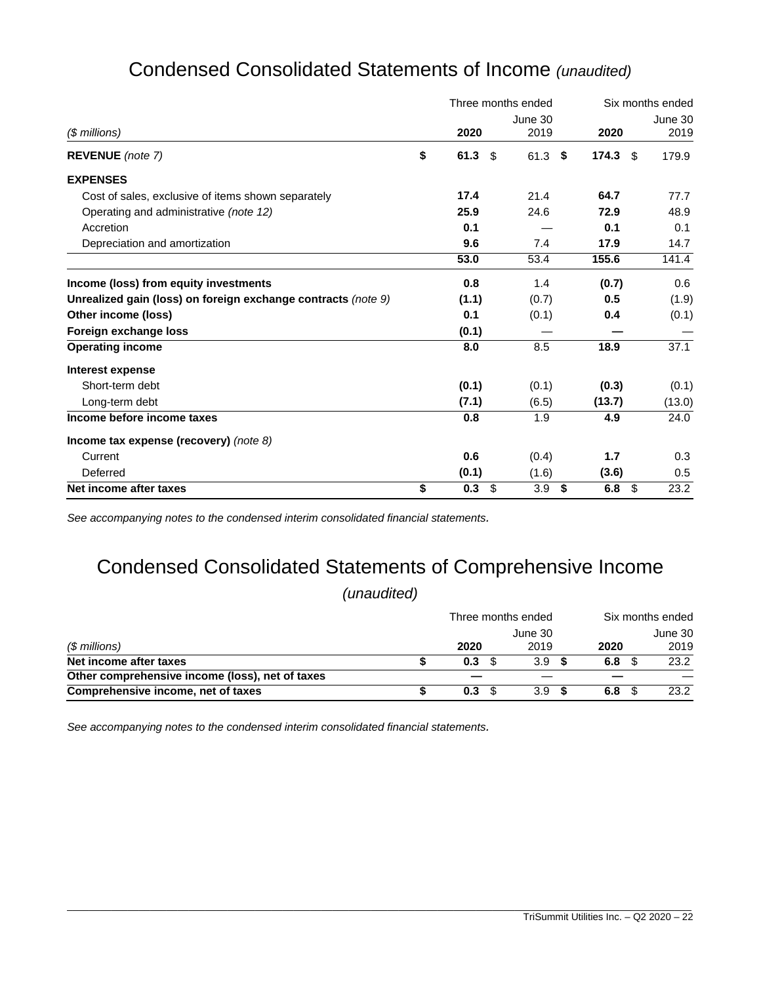| Condensed Consolidated Statements of Income (unaudited) |  |
|---------------------------------------------------------|--|
|---------------------------------------------------------|--|

|                                                               | Three months ended |      |         |    |        | Six months ended |
|---------------------------------------------------------------|--------------------|------|---------|----|--------|------------------|
|                                                               |                    |      | June 30 |    |        | June 30          |
| $$$ millions)                                                 | 2020               |      | 2019    |    | 2020   | 2019             |
| REVENUE (note 7)                                              | \$<br>61.3         | - \$ | 61.3    | \$ | 174.3  | 179.9<br>- \$    |
| <b>EXPENSES</b>                                               |                    |      |         |    |        |                  |
| Cost of sales, exclusive of items shown separately            | 17.4               |      | 21.4    |    | 64.7   | 77.7             |
| Operating and administrative (note 12)                        | 25.9               |      | 24.6    |    | 72.9   | 48.9             |
| Accretion                                                     | 0.1                |      |         |    | 0.1    | 0.1              |
| Depreciation and amortization                                 | 9.6                |      | 7.4     |    | 17.9   | 14.7             |
|                                                               | 53.0               |      | 53.4    |    | 155.6  | 141.4            |
| Income (loss) from equity investments                         | 0.8                |      | 1.4     |    | (0.7)  | 0.6              |
| Unrealized gain (loss) on foreign exchange contracts (note 9) | (1.1)              |      | (0.7)   |    | 0.5    | (1.9)            |
| Other income (loss)                                           | 0.1                |      | (0.1)   |    | 0.4    | (0.1)            |
| Foreign exchange loss                                         | (0.1)              |      |         |    |        |                  |
| <b>Operating income</b>                                       | 8.0                |      | 8.5     |    | 18.9   | 37.1             |
| Interest expense                                              |                    |      |         |    |        |                  |
| Short-term debt                                               | (0.1)              |      | (0.1)   |    | (0.3)  | (0.1)            |
| Long-term debt                                                | (7.1)              |      | (6.5)   |    | (13.7) | (13.0)           |
| Income before income taxes                                    | 0.8                |      | 1.9     |    | 4.9    | 24.0             |
| Income tax expense (recovery) (note $8$ )                     |                    |      |         |    |        |                  |
| Current                                                       | 0.6                |      | (0.4)   |    | 1.7    | 0.3              |
| Deferred                                                      | (0.1)              |      | (1.6)   |    | (3.6)  | 0.5              |
| Net income after taxes                                        | \$<br>0.3          | \$   | 3.9     | \$ | 6.8    | \$<br>23.2       |

*See accompanying notes to the condensed interim consolidated financial statements.*

# Condensed Consolidated Statements of Comprehensive Income

*(unaudited)*

|                                                 | Three months ended |         |  |      | Six months ended |         |  |  |
|-------------------------------------------------|--------------------|---------|--|------|------------------|---------|--|--|
|                                                 |                    | June 30 |  |      |                  | June 30 |  |  |
| (\$ millions)                                   | 2020               | 2019    |  | 2020 |                  | 2019    |  |  |
| Net income after taxes                          | 0.3                | 3.9     |  | 6.8  |                  | 23.2    |  |  |
| Other comprehensive income (loss), net of taxes |                    |         |  |      |                  |         |  |  |
| Comprehensive income, net of taxes              | 0.3                | 3.9     |  | 6.8  |                  | 23.2    |  |  |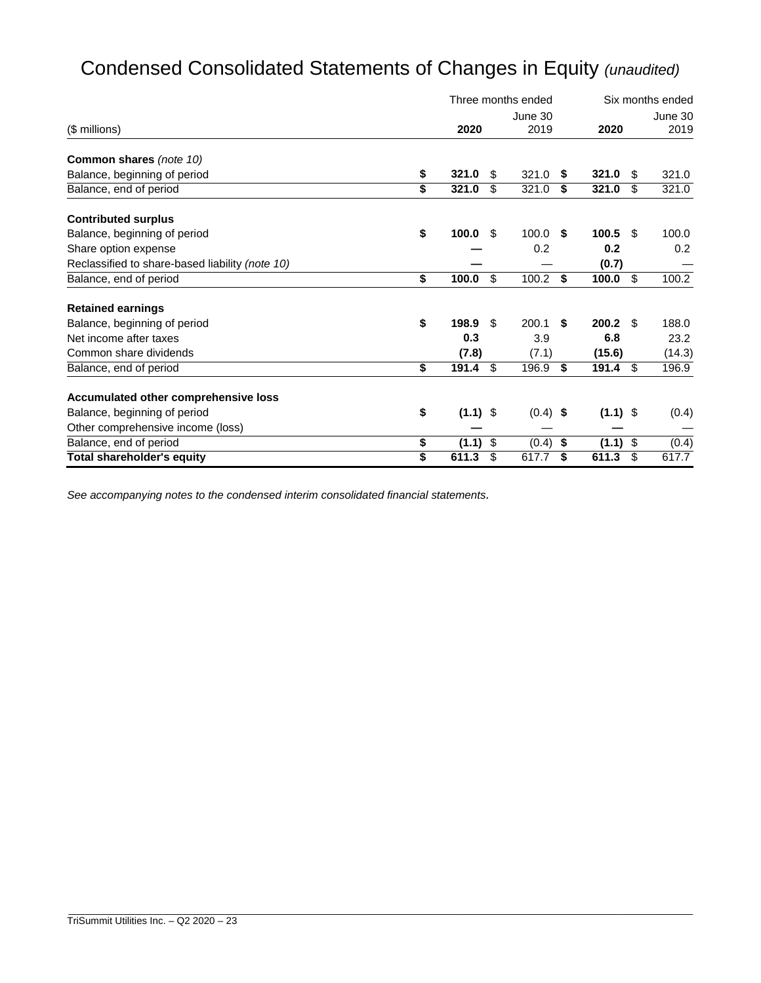# Condensed Consolidated Statements of Changes in Equity *(unaudited)*

|                                                 |                  | Three months ended |            |    | Six months ended |      |         |
|-------------------------------------------------|------------------|--------------------|------------|----|------------------|------|---------|
|                                                 |                  |                    | June 30    |    |                  |      | June 30 |
| (\$ millions)                                   | 2020             |                    | 2019       |    | 2020             |      | 2019    |
| Common shares (note 10)                         |                  |                    |            |    |                  |      |         |
| Balance, beginning of period                    | \$<br>321.0      | \$                 | 321.0      | S  | 321.0            | S    | 321.0   |
| Balance, end of period                          | \$<br>321.0      | \$                 | 321.0      | \$ | 321.0            | \$   | 321.0   |
| <b>Contributed surplus</b>                      |                  |                    |            |    |                  |      |         |
| Balance, beginning of period                    | \$<br>100.0      | \$.                | 100.0      | S  | 100.5            | \$.  | 100.0   |
| Share option expense                            |                  |                    | 0.2        |    | 0.2              |      | 0.2     |
| Reclassified to share-based liability (note 10) |                  |                    |            |    | (0.7)            |      |         |
| Balance, end of period                          | \$<br>100.0      | \$                 | 100.2      | \$ | 100.0            | \$   | 100.2   |
| <b>Retained earnings</b>                        |                  |                    |            |    |                  |      |         |
| Balance, beginning of period                    | \$<br>198.9      | \$.                | 200.1      | \$ | 200.2            | - \$ | 188.0   |
| Net income after taxes                          | 0.3              |                    | 3.9        |    | 6.8              |      | 23.2    |
| Common share dividends                          | (7.8)            |                    | (7.1)      |    | (15.6)           |      | (14.3)  |
| Balance, end of period                          | \$<br>191.4      | \$                 | 196.9      | \$ | 191.4            | \$   | 196.9   |
| Accumulated other comprehensive loss            |                  |                    |            |    |                  |      |         |
| Balance, beginning of period                    | \$<br>$(1.1)$ \$ |                    | $(0.4)$ \$ |    | $(1.1)$ \$       |      | (0.4)   |
| Other comprehensive income (loss)               |                  |                    |            |    |                  |      |         |
| Balance, end of period                          | \$<br>(1.1)      | \$                 | (0.4)      | \$ | (1.1)            | \$   | (0.4)   |
| <b>Total shareholder's equity</b>               | \$<br>611.3      | \$                 | 617.7      | \$ | 611.3            | \$   | 617.7   |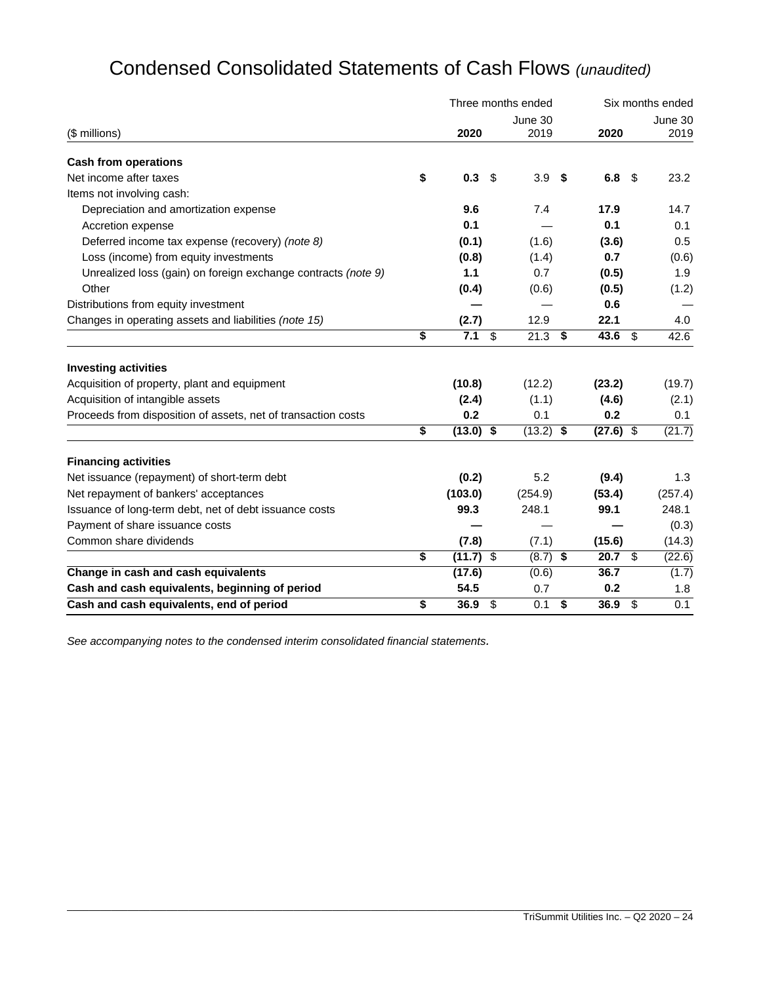|  |  | Condensed Consolidated Statements of Cash Flows (unaudited) |  |  |  |
|--|--|-------------------------------------------------------------|--|--|--|
|--|--|-------------------------------------------------------------|--|--|--|

|                                                               |    |             |                          | Three months ended | Six months ended |             |    |                  |  |
|---------------------------------------------------------------|----|-------------|--------------------------|--------------------|------------------|-------------|----|------------------|--|
|                                                               |    |             |                          | June 30            |                  |             |    | June 30          |  |
| (\$ millions)                                                 |    | 2020        |                          | 2019               |                  | 2020        |    | 2019             |  |
| <b>Cash from operations</b>                                   |    |             |                          |                    |                  |             |    |                  |  |
| Net income after taxes                                        | \$ | 0.3         | \$                       | 3.9                | -\$              | 6.8         | \$ | 23.2             |  |
| Items not involving cash:                                     |    |             |                          |                    |                  |             |    |                  |  |
| Depreciation and amortization expense                         |    | 9.6         |                          | 7.4                |                  | 17.9        |    | 14.7             |  |
| Accretion expense                                             |    | 0.1         |                          |                    |                  | 0.1         |    | 0.1              |  |
| Deferred income tax expense (recovery) (note 8)               |    | (0.1)       |                          | (1.6)              |                  | (3.6)       |    | 0.5              |  |
| Loss (income) from equity investments                         |    | (0.8)       |                          | (1.4)              |                  | 0.7         |    | (0.6)            |  |
| Unrealized loss (gain) on foreign exchange contracts (note 9) |    | 1.1         |                          | 0.7                |                  | (0.5)       |    | 1.9              |  |
| Other                                                         |    | (0.4)       |                          | (0.6)              |                  | (0.5)       |    | (1.2)            |  |
| Distributions from equity investment                          |    |             |                          |                    |                  | 0.6         |    |                  |  |
| Changes in operating assets and liabilities (note 15)         |    | (2.7)       |                          | 12.9               |                  | 22.1        |    | 4.0              |  |
|                                                               | \$ | 7.1         | $\overline{\mathcal{S}}$ | $21.3$ \$          |                  | 43.6        | \$ | 42.6             |  |
| <b>Investing activities</b>                                   |    |             |                          |                    |                  |             |    |                  |  |
| Acquisition of property, plant and equipment                  |    | (10.8)      |                          | (12.2)             |                  | (23.2)      |    | (19.7)           |  |
| Acquisition of intangible assets                              |    | (2.4)       |                          | (1.1)              |                  | (4.6)       |    | (2.1)            |  |
| Proceeds from disposition of assets, net of transaction costs |    | 0.2         |                          | 0.1                |                  | 0.2         |    | 0.1              |  |
|                                                               | \$ | $(13.0)$ \$ |                          | (13.2)             | \$               | $(27.6)$ \$ |    | (21.7)           |  |
| <b>Financing activities</b>                                   |    |             |                          |                    |                  |             |    |                  |  |
| Net issuance (repayment) of short-term debt                   |    | (0.2)       |                          | 5.2                |                  | (9.4)       |    | 1.3              |  |
| Net repayment of bankers' acceptances                         |    | (103.0)     |                          | (254.9)            |                  | (53.4)      |    | (257.4)          |  |
| Issuance of long-term debt, net of debt issuance costs        |    | 99.3        |                          | 248.1              |                  | 99.1        |    | 248.1            |  |
| Payment of share issuance costs                               |    |             |                          |                    |                  |             |    | (0.3)            |  |
| Common share dividends                                        |    | (7.8)       |                          | (7.1)              |                  | (15.6)      |    | (14.3)           |  |
|                                                               | \$ | $(11.7)$ \$ |                          | $(8.7)$ \$         |                  | $20.7$ \$   |    | (22.6)           |  |
| Change in cash and cash equivalents                           |    | (17.6)      |                          | (0.6)              |                  | 36.7        |    | (1.7)            |  |
| Cash and cash equivalents, beginning of period                |    | 54.5        |                          | 0.7                |                  | 0.2         |    | 1.8              |  |
| Cash and cash equivalents, end of period                      | \$ | 36.9        | \$                       | 0.1                | \$               | 36.9        | \$ | $\overline{0.1}$ |  |

\_\_\_\_\_\_\_\_\_\_\_\_\_\_\_\_\_\_\_\_\_\_\_\_\_\_\_\_\_\_\_\_\_\_\_\_\_\_\_\_\_\_\_\_\_\_\_\_\_\_\_\_\_\_\_\_\_\_\_\_\_\_\_\_\_\_\_\_\_\_\_\_\_\_\_\_\_\_\_\_\_\_\_\_\_\_\_\_\_\_\_\_\_\_\_\_\_\_\_\_\_\_\_\_\_\_\_\_\_\_\_\_\_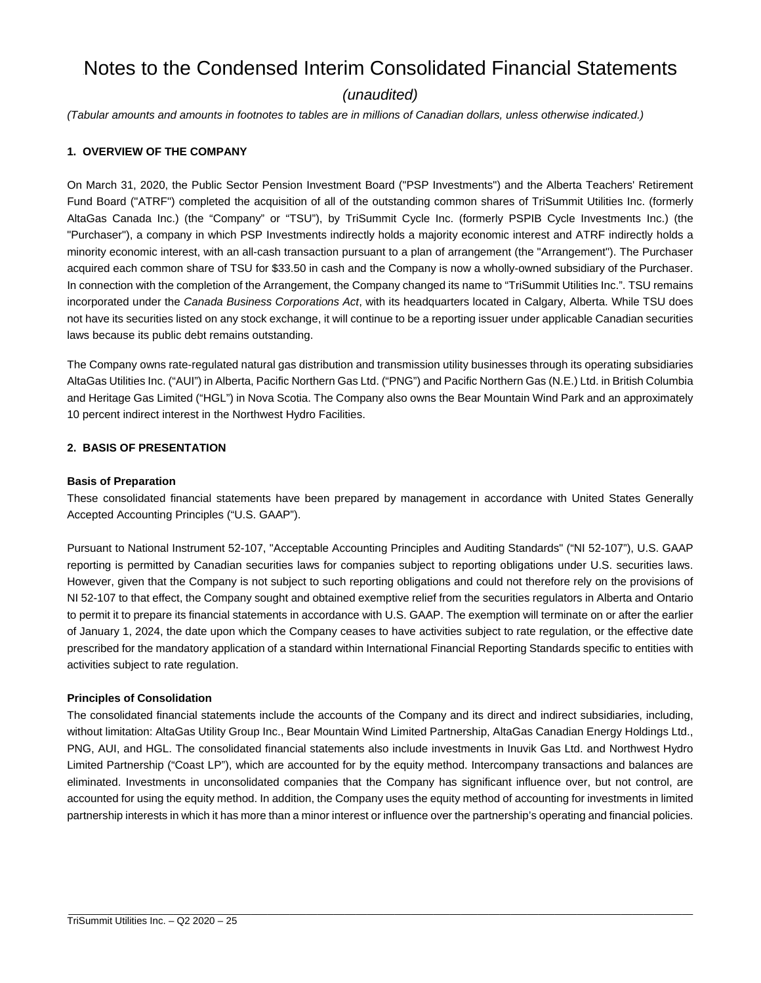# Notes to the Condensed Interim Consolidated Financial Statements

# *(unaudited)*

*(Tabular amounts and amounts in footnotes to tables are in millions of Canadian dollars, unless otherwise indicated.)* 

# **1. OVERVIEW OF THE COMPANY**

On March 31, 2020, the Public Sector Pension Investment Board ("PSP Investments") and the Alberta Teachers' Retirement Fund Board ("ATRF") completed the acquisition of all of the outstanding common shares of TriSummit Utilities Inc. (formerly AltaGas Canada Inc.) (the "Company" or "TSU"), by TriSummit Cycle Inc. (formerly PSPIB Cycle Investments Inc.) (the "Purchaser"), a company in which PSP Investments indirectly holds a majority economic interest and ATRF indirectly holds a minority economic interest, with an all-cash transaction pursuant to a plan of arrangement (the "Arrangement"). The Purchaser acquired each common share of TSU for \$33.50 in cash and the Company is now a wholly-owned subsidiary of the Purchaser. In connection with the completion of the Arrangement, the Company changed its name to "TriSummit Utilities Inc.". TSU remains incorporated under the *Canada Business Corporations Act*, with its headquarters located in Calgary, Alberta. While TSU does not have its securities listed on any stock exchange, it will continue to be a reporting issuer under applicable Canadian securities laws because its public debt remains outstanding.

The Company owns rate-regulated natural gas distribution and transmission utility businesses through its operating subsidiaries AltaGas Utilities Inc. ("AUI") in Alberta, Pacific Northern Gas Ltd. ("PNG") and Pacific Northern Gas (N.E.) Ltd. in British Columbia and Heritage Gas Limited ("HGL") in Nova Scotia. The Company also owns the Bear Mountain Wind Park and an approximately 10 percent indirect interest in the Northwest Hydro Facilities.

#### **2. BASIS OF PRESENTATION**

#### **Basis of Preparation**

These consolidated financial statements have been prepared by management in accordance with United States Generally Accepted Accounting Principles ("U.S. GAAP").

Pursuant to National Instrument 52-107, "Acceptable Accounting Principles and Auditing Standards" ("NI 52-107"), U.S. GAAP reporting is permitted by Canadian securities laws for companies subject to reporting obligations under U.S. securities laws. However, given that the Company is not subject to such reporting obligations and could not therefore rely on the provisions of NI 52-107 to that effect, the Company sought and obtained exemptive relief from the securities regulators in Alberta and Ontario to permit it to prepare its financial statements in accordance with U.S. GAAP. The exemption will terminate on or after the earlier of January 1, 2024, the date upon which the Company ceases to have activities subject to rate regulation, or the effective date prescribed for the mandatory application of a standard within International Financial Reporting Standards specific to entities with activities subject to rate regulation.

#### **Principles of Consolidation**

The consolidated financial statements include the accounts of the Company and its direct and indirect subsidiaries, including, without limitation: AltaGas Utility Group Inc., Bear Mountain Wind Limited Partnership, AltaGas Canadian Energy Holdings Ltd., PNG, AUI, and HGL. The consolidated financial statements also include investments in Inuvik Gas Ltd. and Northwest Hydro Limited Partnership ("Coast LP"), which are accounted for by the equity method. Intercompany transactions and balances are eliminated. Investments in unconsolidated companies that the Company has significant influence over, but not control, are accounted for using the equity method. In addition, the Company uses the equity method of accounting for investments in limited partnership interests in which it has more than a minor interest or influence over the partnership's operating and financial policies.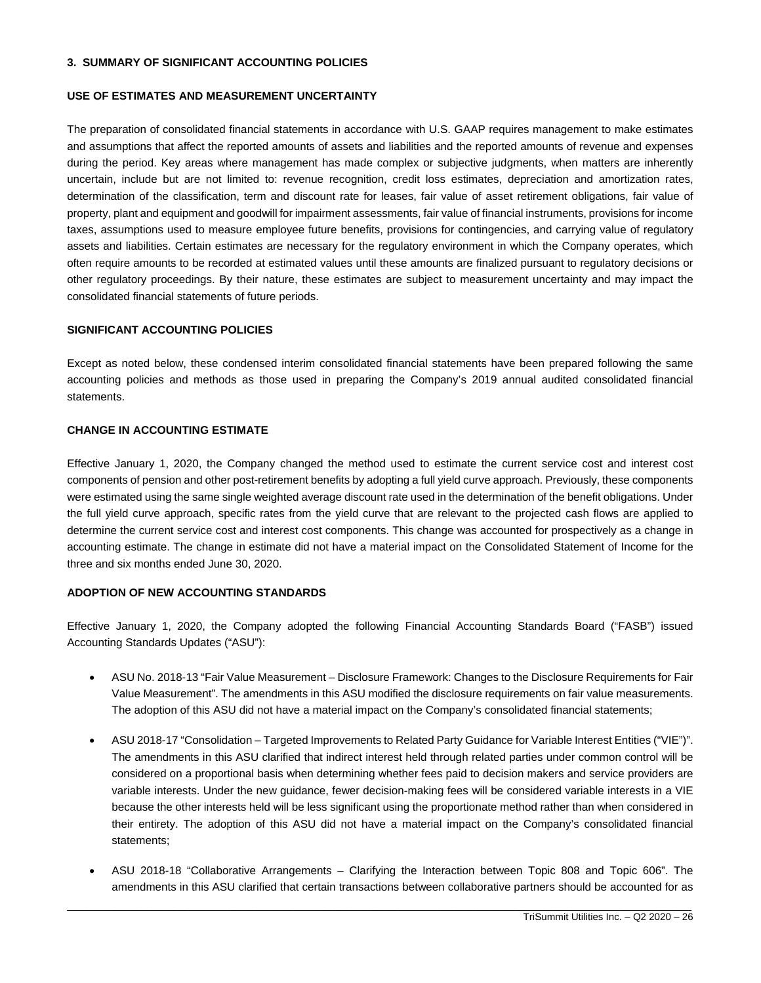#### **3. SUMMARY OF SIGNIFICANT ACCOUNTING POLICIES**

#### **USE OF ESTIMATES AND MEASUREMENT UNCERTAINTY**

The preparation of consolidated financial statements in accordance with U.S. GAAP requires management to make estimates and assumptions that affect the reported amounts of assets and liabilities and the reported amounts of revenue and expenses during the period. Key areas where management has made complex or subjective judgments, when matters are inherently uncertain, include but are not limited to: revenue recognition, credit loss estimates, depreciation and amortization rates, determination of the classification, term and discount rate for leases, fair value of asset retirement obligations, fair value of property, plant and equipment and goodwill for impairment assessments, fair value of financial instruments, provisions for income taxes, assumptions used to measure employee future benefits, provisions for contingencies, and carrying value of regulatory assets and liabilities. Certain estimates are necessary for the regulatory environment in which the Company operates, which often require amounts to be recorded at estimated values until these amounts are finalized pursuant to regulatory decisions or other regulatory proceedings. By their nature, these estimates are subject to measurement uncertainty and may impact the consolidated financial statements of future periods.

#### **SIGNIFICANT ACCOUNTING POLICIES**

Except as noted below, these condensed interim consolidated financial statements have been prepared following the same accounting policies and methods as those used in preparing the Company's 2019 annual audited consolidated financial statements.

# **CHANGE IN ACCOUNTING ESTIMATE**

Effective January 1, 2020, the Company changed the method used to estimate the current service cost and interest cost components of pension and other post-retirement benefits by adopting a full yield curve approach. Previously, these components were estimated using the same single weighted average discount rate used in the determination of the benefit obligations. Under the full yield curve approach, specific rates from the yield curve that are relevant to the projected cash flows are applied to determine the current service cost and interest cost components. This change was accounted for prospectively as a change in accounting estimate. The change in estimate did not have a material impact on the Consolidated Statement of Income for the three and six months ended June 30, 2020.

# **ADOPTION OF NEW ACCOUNTING STANDARDS**

Effective January 1, 2020, the Company adopted the following Financial Accounting Standards Board ("FASB") issued Accounting Standards Updates ("ASU"):

- ASU No. 2018-13 "Fair Value Measurement Disclosure Framework: Changes to the Disclosure Requirements for Fair Value Measurement". The amendments in this ASU modified the disclosure requirements on fair value measurements. The adoption of this ASU did not have a material impact on the Company's consolidated financial statements;
- ASU 2018-17 "Consolidation Targeted Improvements to Related Party Guidance for Variable Interest Entities ("VIE")". The amendments in this ASU clarified that indirect interest held through related parties under common control will be considered on a proportional basis when determining whether fees paid to decision makers and service providers are variable interests. Under the new guidance, fewer decision-making fees will be considered variable interests in a VIE because the other interests held will be less significant using the proportionate method rather than when considered in their entirety. The adoption of this ASU did not have a material impact on the Company's consolidated financial statements;
- ASU 2018-18 "Collaborative Arrangements Clarifying the Interaction between Topic 808 and Topic 606". The amendments in this ASU clarified that certain transactions between collaborative partners should be accounted for as

\_\_\_\_\_\_\_\_\_\_\_\_\_\_\_\_\_\_\_\_\_\_\_\_\_\_\_\_\_\_\_\_\_\_\_\_\_\_\_\_\_\_\_\_\_\_\_\_\_\_\_\_\_\_\_\_\_\_\_\_\_\_\_\_\_\_\_\_\_\_\_\_\_\_\_\_\_\_\_\_\_\_\_\_\_\_\_\_\_\_\_\_\_\_\_\_\_\_\_\_\_\_\_\_\_\_\_\_\_\_\_\_\_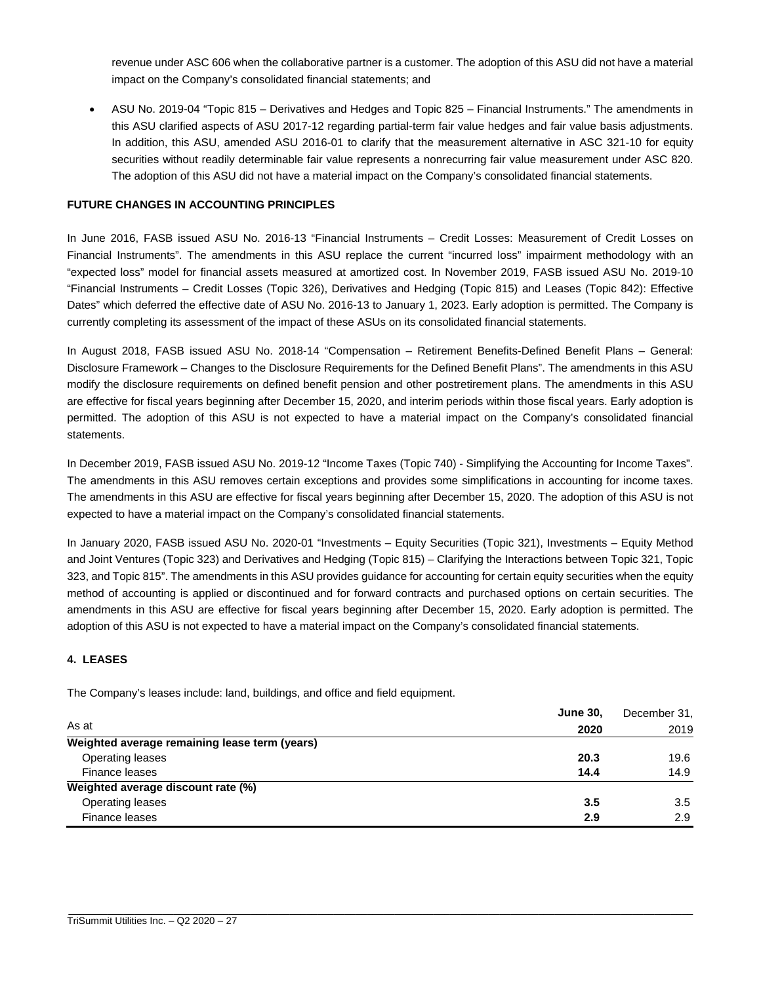revenue under ASC 606 when the collaborative partner is a customer. The adoption of this ASU did not have a material impact on the Company's consolidated financial statements; and

 ASU No. 2019-04 "Topic 815 – Derivatives and Hedges and Topic 825 – Financial Instruments." The amendments in this ASU clarified aspects of ASU 2017-12 regarding partial-term fair value hedges and fair value basis adjustments. In addition, this ASU, amended ASU 2016-01 to clarify that the measurement alternative in ASC 321-10 for equity securities without readily determinable fair value represents a nonrecurring fair value measurement under ASC 820. The adoption of this ASU did not have a material impact on the Company's consolidated financial statements.

# **FUTURE CHANGES IN ACCOUNTING PRINCIPLES**

In June 2016, FASB issued ASU No. 2016-13 "Financial Instruments – Credit Losses: Measurement of Credit Losses on Financial Instruments". The amendments in this ASU replace the current "incurred loss" impairment methodology with an "expected loss" model for financial assets measured at amortized cost. In November 2019, FASB issued ASU No. 2019-10 "Financial Instruments – Credit Losses (Topic 326), Derivatives and Hedging (Topic 815) and Leases (Topic 842): Effective Dates" which deferred the effective date of ASU No. 2016-13 to January 1, 2023. Early adoption is permitted. The Company is currently completing its assessment of the impact of these ASUs on its consolidated financial statements.

In August 2018, FASB issued ASU No. 2018-14 "Compensation – Retirement Benefits-Defined Benefit Plans – General: Disclosure Framework – Changes to the Disclosure Requirements for the Defined Benefit Plans". The amendments in this ASU modify the disclosure requirements on defined benefit pension and other postretirement plans. The amendments in this ASU are effective for fiscal years beginning after December 15, 2020, and interim periods within those fiscal years. Early adoption is permitted. The adoption of this ASU is not expected to have a material impact on the Company's consolidated financial statements.

In December 2019, FASB issued ASU No. 2019-12 "Income Taxes (Topic 740) - Simplifying the Accounting for Income Taxes". The amendments in this ASU removes certain exceptions and provides some simplifications in accounting for income taxes. The amendments in this ASU are effective for fiscal years beginning after December 15, 2020. The adoption of this ASU is not expected to have a material impact on the Company's consolidated financial statements.

In January 2020, FASB issued ASU No. 2020-01 "Investments – Equity Securities (Topic 321), Investments – Equity Method and Joint Ventures (Topic 323) and Derivatives and Hedging (Topic 815) – Clarifying the Interactions between Topic 321, Topic 323, and Topic 815". The amendments in this ASU provides guidance for accounting for certain equity securities when the equity method of accounting is applied or discontinued and for forward contracts and purchased options on certain securities. The amendments in this ASU are effective for fiscal years beginning after December 15, 2020. Early adoption is permitted. The adoption of this ASU is not expected to have a material impact on the Company's consolidated financial statements.

# **4. LEASES**

The Company's leases include: land, buildings, and office and field equipment.

|                                               | <b>June 30.</b> |      |  |  |
|-----------------------------------------------|-----------------|------|--|--|
| As at                                         | 2020            | 2019 |  |  |
| Weighted average remaining lease term (years) |                 |      |  |  |
| Operating leases                              | 20.3            | 19.6 |  |  |
| Finance leases                                | 14.4            | 14.9 |  |  |
| Weighted average discount rate (%)            |                 |      |  |  |
| Operating leases                              | 3.5             | 3.5  |  |  |
| Finance leases                                | 2.9             | 2.9  |  |  |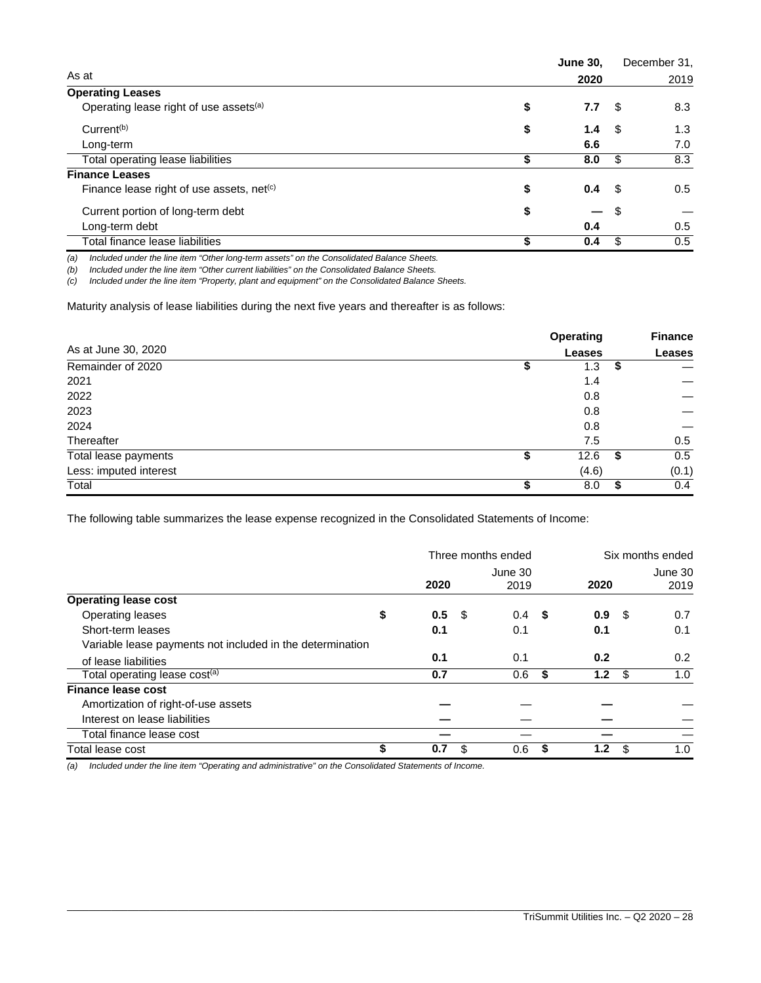|                                                    | <b>June 30.</b> |      | December 31, |
|----------------------------------------------------|-----------------|------|--------------|
| As at                                              | 2020            |      | 2019         |
| <b>Operating Leases</b>                            |                 |      |              |
| Operating lease right of use assets <sup>(a)</sup> | \$<br>7.7       | - \$ | 8.3          |
| Current <sup>(b)</sup>                             | \$<br>1.4       | - \$ | 1.3          |
| Long-term                                          | 6.6             |      | 7.0          |
| Total operating lease liabilities                  | \$<br>8.0       | \$   | 8.3          |
| <b>Finance Leases</b>                              |                 |      |              |
| Finance lease right of use assets, net $(c)$       | \$<br>0.4       | - \$ | 0.5          |
| Current portion of long-term debt                  | \$<br>–         | - \$ |              |
| Long-term debt                                     | 0.4             |      | 0.5          |
| Total finance lease liabilities                    | 0.4             | \$   | 0.5          |

*(a) Included under the line item "Other long-term assets" on the Consolidated Balance Sheets.* 

*(b) Included under the line item "Other current liabilities" on the Consolidated Balance Sheets.* 

*(c) Included under the line item "Property, plant and equipment" on the Consolidated Balance Sheets.* 

Maturity analysis of lease liabilities during the next five years and thereafter is as follows:

|                        |    | <b>Operating</b> | <b>Finance</b> |  |
|------------------------|----|------------------|----------------|--|
| As at June 30, 2020    |    | <b>Leases</b>    | <b>Leases</b>  |  |
| Remainder of 2020      | S  | 1.3              | \$             |  |
| 2021                   |    | 1.4              |                |  |
| 2022                   |    | 0.8              |                |  |
| 2023                   |    | 0.8              |                |  |
| 2024                   |    | 0.8              |                |  |
| Thereafter             |    | 7.5              | 0.5            |  |
| Total lease payments   | \$ | 12.6             | \$<br>0.5      |  |
| Less: imputed interest |    | (4.6)            | (0.1)          |  |
| Total                  | Œ  | 8.0              | \$<br>0.4      |  |

The following table summarizes the lease expense recognized in the Consolidated Statements of Income:

|                                                           |           |     | Three months ended |   | Six months ended |      |                 |
|-----------------------------------------------------------|-----------|-----|--------------------|---|------------------|------|-----------------|
|                                                           | 2020      |     | June 30<br>2019    |   | 2020             |      | June 30<br>2019 |
| <b>Operating lease cost</b>                               |           |     |                    |   |                  |      |                 |
| Operating leases                                          | \$<br>0.5 | -\$ | 0.4 <sup>5</sup>   |   | 0.9 <sup>5</sup> |      | 0.7             |
| Short-term leases                                         | 0.1       |     | 0.1                |   | 0.1              |      | 0.1             |
| Variable lease payments not included in the determination |           |     |                    |   |                  |      |                 |
| of lease liabilities                                      | 0.1       |     | 0.1                |   | 0.2              |      | 0.2             |
| Total operating lease cost <sup>(a)</sup>                 | 0.7       |     | 0.6                | S | 1.2              | - \$ | 1.0             |
| <b>Finance lease cost</b>                                 |           |     |                    |   |                  |      |                 |
| Amortization of right-of-use assets                       |           |     |                    |   |                  |      |                 |
| Interest on lease liabilities                             |           |     |                    |   |                  |      |                 |
| Total finance lease cost                                  |           |     |                    |   |                  |      |                 |
| Total lease cost                                          | \$<br>0.7 | \$. | 0.6                | S | 1.2              | \$   | 1.0             |

\_\_\_\_\_\_\_\_\_\_\_\_\_\_\_\_\_\_\_\_\_\_\_\_\_\_\_\_\_\_\_\_\_\_\_\_\_\_\_\_\_\_\_\_\_\_\_\_\_\_\_\_\_\_\_\_\_\_\_\_\_\_\_\_\_\_\_\_\_\_\_\_\_\_\_\_\_\_\_\_\_\_\_\_\_\_\_\_\_\_\_\_\_\_\_\_\_\_\_\_\_\_\_\_\_\_\_\_\_\_\_\_\_

*(a) Included under the line item "Operating and administrative" on the Consolidated Statements of Income.*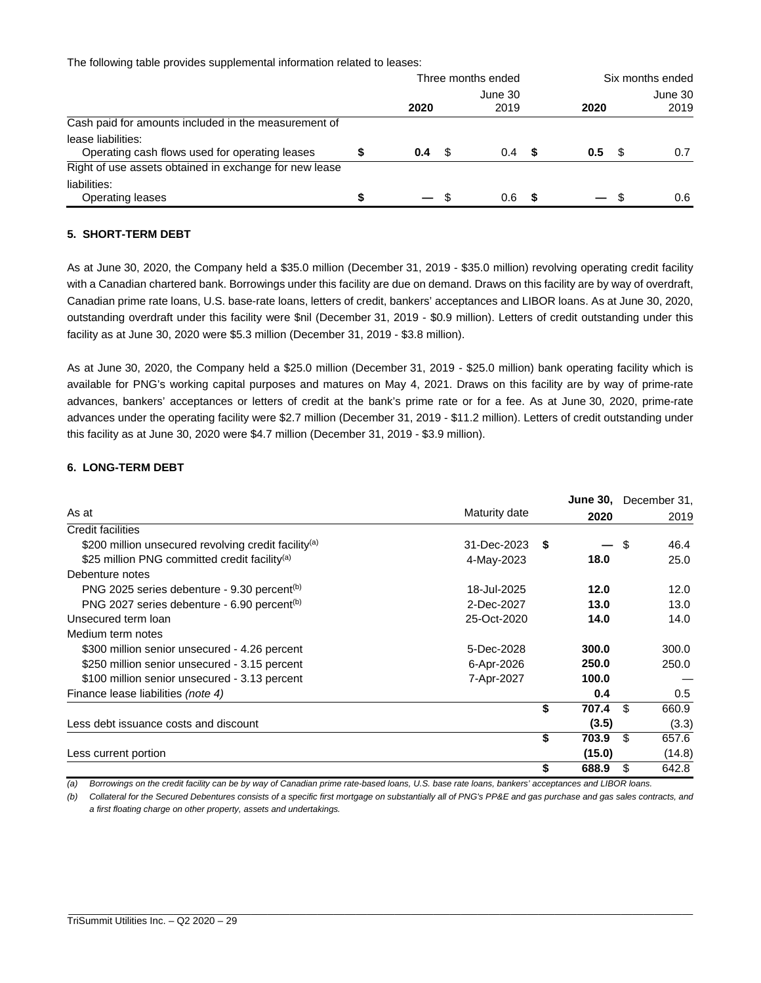The following table provides supplemental information related to leases:

|                                                                      |  | Three months ended |      |               |      |               |  | Six months ended |  |  |         |
|----------------------------------------------------------------------|--|--------------------|------|---------------|------|---------------|--|------------------|--|--|---------|
|                                                                      |  | June 30            |      |               |      |               |  |                  |  |  | June 30 |
|                                                                      |  | 2020               |      | 2019          |      | 2020          |  | 2019             |  |  |         |
| Cash paid for amounts included in the measurement of                 |  |                    |      |               |      |               |  |                  |  |  |         |
| lease liabilities:<br>Operating cash flows used for operating leases |  | 0.4                | - SS | $0.4^{\circ}$ | - 56 | $0.5^{\circ}$ |  | 0.7              |  |  |         |
| Right of use assets obtained in exchange for new lease               |  |                    |      |               |      |               |  |                  |  |  |         |
| liabilities:<br>Operating leases                                     |  |                    |      | 0.6           |      |               |  | 0.6              |  |  |         |

# **5. SHORT-TERM DEBT**

As at June 30, 2020, the Company held a \$35.0 million (December 31, 2019 - \$35.0 million) revolving operating credit facility with a Canadian chartered bank. Borrowings under this facility are due on demand. Draws on this facility are by way of overdraft, Canadian prime rate loans, U.S. base-rate loans, letters of credit, bankers' acceptances and LIBOR loans. As at June 30, 2020, outstanding overdraft under this facility were \$nil (December 31, 2019 - \$0.9 million). Letters of credit outstanding under this facility as at June 30, 2020 were \$5.3 million (December 31, 2019 - \$3.8 million).

As at June 30, 2020, the Company held a \$25.0 million (December 31, 2019 - \$25.0 million) bank operating facility which is available for PNG's working capital purposes and matures on May 4, 2021. Draws on this facility are by way of prime-rate advances, bankers' acceptances or letters of credit at the bank's prime rate or for a fee. As at June 30, 2020, prime-rate advances under the operating facility were \$2.7 million (December 31, 2019 - \$11.2 million). Letters of credit outstanding under this facility as at June 30, 2020 were \$4.7 million (December 31, 2019 - \$3.9 million).

# **6. LONG-TERM DEBT**

|                                                                  |                    |             |      | June 30, December 31, |
|------------------------------------------------------------------|--------------------|-------------|------|-----------------------|
| As at                                                            | Maturity date      | 2020        |      | 2019                  |
| Credit facilities                                                |                    |             |      |                       |
| \$200 million unsecured revolving credit facility <sup>(a)</sup> | $31 - Dec-2023$ \$ |             | - \$ | 46.4                  |
| \$25 million PNG committed credit facility <sup>(a)</sup>        | 4-May-2023         | 18.0        |      | 25.0                  |
| Debenture notes                                                  |                    |             |      |                       |
| PNG 2025 series debenture - 9.30 percent <sup>(b)</sup>          | 18-Jul-2025        | 12.0        |      | 12.0                  |
| PNG 2027 series debenture - 6.90 percent <sup>(b)</sup>          | 2-Dec-2027         | 13.0        |      | 13.0                  |
| Unsecured term loan                                              | 25-Oct-2020        | 14.0        |      | 14.0                  |
| Medium term notes                                                |                    |             |      |                       |
| \$300 million senior unsecured - 4.26 percent                    | 5-Dec-2028         | 300.0       |      | 300.0                 |
| \$250 million senior unsecured - 3.15 percent                    | 6-Apr-2026         | 250.0       |      | 250.0                 |
| \$100 million senior unsecured - 3.13 percent                    | 7-Apr-2027         | 100.0       |      |                       |
| Finance lease liabilities (note 4)                               |                    | 0.4         |      | 0.5                   |
|                                                                  |                    | \$<br>707.4 | \$.  | 660.9                 |
| Less debt issuance costs and discount                            |                    | (3.5)       |      | (3.3)                 |
|                                                                  |                    | \$<br>703.9 | \$.  | 657.6                 |
| Less current portion                                             |                    | (15.0)      |      | (14.8)                |
|                                                                  |                    | \$<br>688.9 | \$.  | 642.8                 |

*(a) Borrowings on the credit facility can be by way of Canadian prime rate-based loans, U.S. base rate loans, bankers' acceptances and LIBOR loans.* 

*(b) Collateral for the Secured Debentures consists of a specific first mortgage on substantially all of PNG's PP&E and gas purchase and gas sales contracts, and a first floating charge on other property, assets and undertakings.* 

\_\_\_\_\_\_\_\_\_\_\_\_\_\_\_\_\_\_\_\_\_\_\_\_\_\_\_\_\_\_\_\_\_\_\_\_\_\_\_\_\_\_\_\_\_\_\_\_\_\_\_\_\_\_\_\_\_\_\_\_\_\_\_\_\_\_\_\_\_\_\_\_\_\_\_\_\_\_\_\_\_\_\_\_\_\_\_\_\_\_\_\_\_\_\_\_\_\_\_\_\_\_\_\_\_\_\_\_\_\_\_\_\_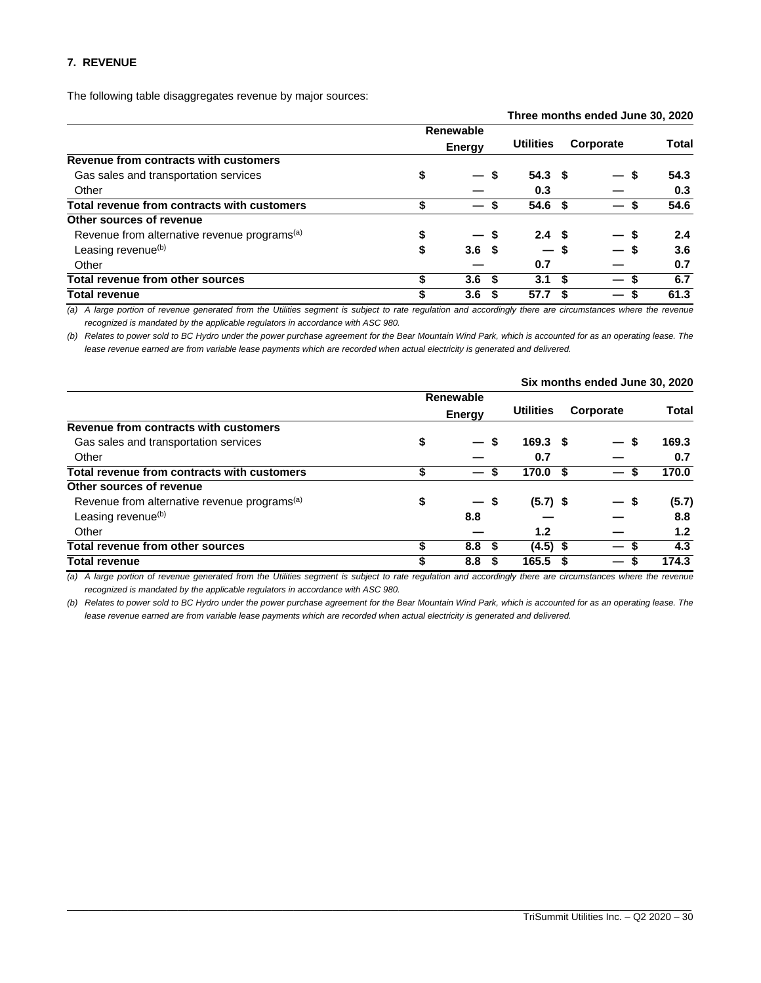# **7. REVENUE**

The following table disaggregates revenue by major sources:

|                                                          |    | Three months ended June 30, 2020 |                   |  |           |       |
|----------------------------------------------------------|----|----------------------------------|-------------------|--|-----------|-------|
|                                                          |    | <b>Renewable</b>                 |                   |  |           |       |
|                                                          |    | <b>Energy</b>                    | <b>Utilities</b>  |  | Corporate | Total |
| Revenue from contracts with customers                    |    |                                  |                   |  |           |       |
| Gas sales and transportation services                    | \$ | — \$                             | 54.3 <sup>5</sup> |  | — S       | 54.3  |
| Other                                                    |    |                                  | 0.3               |  |           | 0.3   |
| Total revenue from contracts with customers              | \$ |                                  | 54.6 <sup>5</sup> |  |           | 54.6  |
| Other sources of revenue                                 |    |                                  |                   |  |           |       |
| Revenue from alternative revenue programs <sup>(a)</sup> | \$ |                                  | 2.4 <sup>5</sup>  |  |           | 2.4   |
| Leasing revenue <sup>(b)</sup>                           | \$ | 3.6 <sup>5</sup>                 | — \$              |  |           | 3.6   |
| Other                                                    |    |                                  | 0.7               |  |           | 0.7   |
| <b>Total revenue from other sources</b>                  | \$ | 3.6 <sup>5</sup>                 | 3.1 <sup>5</sup>  |  |           | 6.7   |
| <b>Total revenue</b>                                     | \$ | 3.6                              | 57.7              |  | –         | 61.3  |

*(a) A large portion of revenue generated from the Utilities segment is subject to rate regulation and accordingly there are circumstances where the revenue recognized is mandated by the applicable regulators in accordance with ASC 980.* 

*(b) Relates to power sold to BC Hydro under the power purchase agreement for the Bear Mountain Wind Park, which is accounted for as an operating lease. The lease revenue earned are from variable lease payments which are recorded when actual electricity is generated and delivered.*

|                                | <b>Utilities</b>                                |      |                                  | <b>Total</b>                                                       |
|--------------------------------|-------------------------------------------------|------|----------------------------------|--------------------------------------------------------------------|
|                                |                                                 |      |                                  |                                                                    |
| \$<br>$\overline{\phantom{a}}$ |                                                 |      | -S<br>$\overline{\phantom{0}}$   | 169.3                                                              |
|                                | 0.7                                             |      |                                  | 0.7                                                                |
| \$<br>$\qquad \qquad \qquad$   | 170.0                                           | - \$ | S<br>—                           | 170.0                                                              |
|                                |                                                 |      |                                  |                                                                    |
| \$<br>$\overline{\phantom{0}}$ |                                                 |      | — \$                             | (5.7)                                                              |
| 8.8                            |                                                 |      |                                  | 8.8                                                                |
|                                | 1.2                                             |      |                                  | 1.2                                                                |
| \$<br>8.8                      |                                                 |      | -S<br>$\overline{\phantom{0}}$   | 4.3                                                                |
| \$<br>8.8                      | 165.5                                           |      | S<br>—                           | 174.3                                                              |
|                                | Renewable<br><b>Energy</b><br>S<br>S<br>\$<br>S |      | 169.3 <sup>5</sup><br>$(4.5)$ \$ | <b>SIX INDITIIS CHUCU JUNE 30, ZUZU</b><br>Corporate<br>$(5.7)$ \$ |

*(a) A large portion of revenue generated from the Utilities segment is subject to rate regulation and accordingly there are circumstances where the revenue recognized is mandated by the applicable regulators in accordance with ASC 980.* 

*(b) Relates to power sold to BC Hydro under the power purchase agreement for the Bear Mountain Wind Park, which is accounted for as an operating lease. The*  lease revenue earned are from variable lease payments which are recorded when actual electricity is generated and delivered.

\_\_\_\_\_\_\_\_\_\_\_\_\_\_\_\_\_\_\_\_\_\_\_\_\_\_\_\_\_\_\_\_\_\_\_\_\_\_\_\_\_\_\_\_\_\_\_\_\_\_\_\_\_\_\_\_\_\_\_\_\_\_\_\_\_\_\_\_\_\_\_\_\_\_\_\_\_\_\_\_\_\_\_\_\_\_\_\_\_\_\_\_\_\_\_\_\_\_\_\_\_\_\_\_\_\_\_\_\_\_\_\_\_

# **Six months ended June 30, 2020**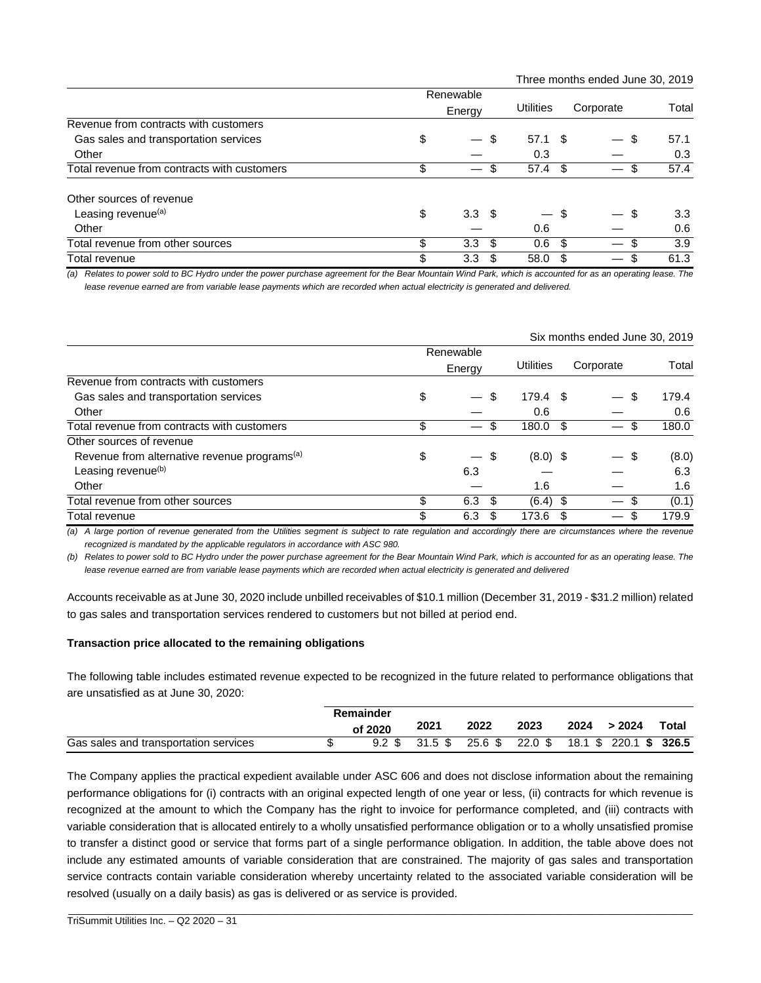| Three months ended June 30, 2019 |  |  |
|----------------------------------|--|--|
|----------------------------------|--|--|

|                                             | Renewable                      |     |                               |      |                                |                  |
|---------------------------------------------|--------------------------------|-----|-------------------------------|------|--------------------------------|------------------|
|                                             | Energy                         |     | <b>Utilities</b>              |      | Corporate                      | Total            |
| Revenue from contracts with customers       |                                |     |                               |      |                                |                  |
| Gas sales and transportation services       | \$<br>$\overline{\phantom{0}}$ | \$  | 57.1 S                        |      | S<br>$\overline{\phantom{0}}$  | 57.1             |
| Other                                       |                                |     | 0.3                           |      |                                | 0.3              |
| Total revenue from contracts with customers | \$                             | \$. | 57.4                          | - \$ | \$<br>$\overline{\phantom{0}}$ | 57.4             |
| Other sources of revenue                    |                                |     |                               |      |                                |                  |
| Leasing revenue <sup>(a)</sup>              | \$<br>3.3 <sup>5</sup>         |     | $\overbrace{\phantom{13333}}$ | - \$ | S                              | 3.3 <sub>1</sub> |
| Other                                       |                                |     | 0.6                           |      |                                | 0.6              |
| Total revenue from other sources            | \$<br>$3.3 \quad $$            |     | 0.6                           | -\$  | \$.                            | 3.9              |
| Total revenue                               | \$<br>3.3                      | \$. | 58.0                          | -S   | \$                             | 61.3             |

*(a) Relates to power sold to BC Hydro under the power purchase agreement for the Bear Mountain Wind Park, which is accounted for as an operating lease. The lease revenue earned are from variable lease payments which are recorded when actual electricity is generated and delivered.*

|                                                          |                   |            | Six months ended June 30, 2019       |       |
|----------------------------------------------------------|-------------------|------------|--------------------------------------|-------|
|                                                          | Renewable         |            |                                      |       |
|                                                          | Energy            | Utilities  | Corporate                            | Total |
| Revenue from contracts with customers                    |                   |            |                                      |       |
| Gas sales and transportation services                    | \$<br>\$          | 179.4 \$   | \$.                                  | 179.4 |
| Other                                                    |                   | 0.6        |                                      | 0.6   |
| Total revenue from contracts with customers              | \$                | 180.0      | -S<br>$\overline{\phantom{0}}$       | 180.0 |
| Other sources of revenue                                 |                   |            |                                      |       |
| Revenue from alternative revenue programs <sup>(a)</sup> | \$<br>- \$        | $(8.0)$ \$ | S                                    | (8.0) |
| Leasing revenue <sup>(b)</sup>                           | 6.3               |            |                                      | 6.3   |
| Other                                                    |                   | 1.6        |                                      | 1.6   |
| Total revenue from other sources                         | \$<br>6.3<br>- \$ | (6.4)      | -S<br>\$<br>$\overline{\phantom{0}}$ | (0.1) |
| Total revenue                                            | \$<br>6.3         | 173.6      | \$<br>—                              | 179.9 |

*(a) A large portion of revenue generated from the Utilities segment is subject to rate regulation and accordingly there are circumstances where the revenue*  recognized is mandated by the applicable regulators in accordance with ASC 980.

*(b) Relates to power sold to BC Hydro under the power purchase agreement for the Bear Mountain Wind Park, which is accounted for as an operating lease. The*  lease revenue earned are from variable lease payments which are recorded when actual electricity is generated and delivered

Accounts receivable as at June 30, 2020 include unbilled receivables of \$10.1 million (December 31, 2019 - \$31.2 million) related to gas sales and transportation services rendered to customers but not billed at period end.

#### **Transaction price allocated to the remaining obligations**

The following table includes estimated revenue expected to be recognized in the future related to performance obligations that are unsatisfied as at June 30, 2020:

|                                       | Remainder |                                  |                 |      |      |                        |       |
|---------------------------------------|-----------|----------------------------------|-----------------|------|------|------------------------|-------|
|                                       | of 2020   | 2021                             | 2022            | 2023 | 2024 | >2024                  | Total |
| Gas sales and transportation services |           | $9.2 \text{ } $31.5 \text{ } $3$ | 25.6 \$ 22.0 \$ |      |      | 18.1 \$ 220.1 \$ 326.5 |       |

The Company applies the practical expedient available under ASC 606 and does not disclose information about the remaining performance obligations for (i) contracts with an original expected length of one year or less, (ii) contracts for which revenue is recognized at the amount to which the Company has the right to invoice for performance completed, and (iii) contracts with variable consideration that is allocated entirely to a wholly unsatisfied performance obligation or to a wholly unsatisfied promise to transfer a distinct good or service that forms part of a single performance obligation. In addition, the table above does not include any estimated amounts of variable consideration that are constrained. The majority of gas sales and transportation service contracts contain variable consideration whereby uncertainty related to the associated variable consideration will be resolved (usually on a daily basis) as gas is delivered or as service is provided.

\_\_\_\_\_\_\_\_\_\_\_\_\_\_\_\_\_\_\_\_\_\_\_\_\_\_\_\_\_\_\_\_\_\_\_\_\_\_\_\_\_\_\_\_\_\_\_\_\_\_\_\_\_\_\_\_\_\_\_\_\_\_\_\_\_\_\_\_\_\_\_\_\_\_\_\_\_\_\_\_\_\_\_\_\_\_\_\_\_\_\_\_\_\_\_\_\_\_\_\_\_\_\_\_\_\_\_\_\_\_\_\_\_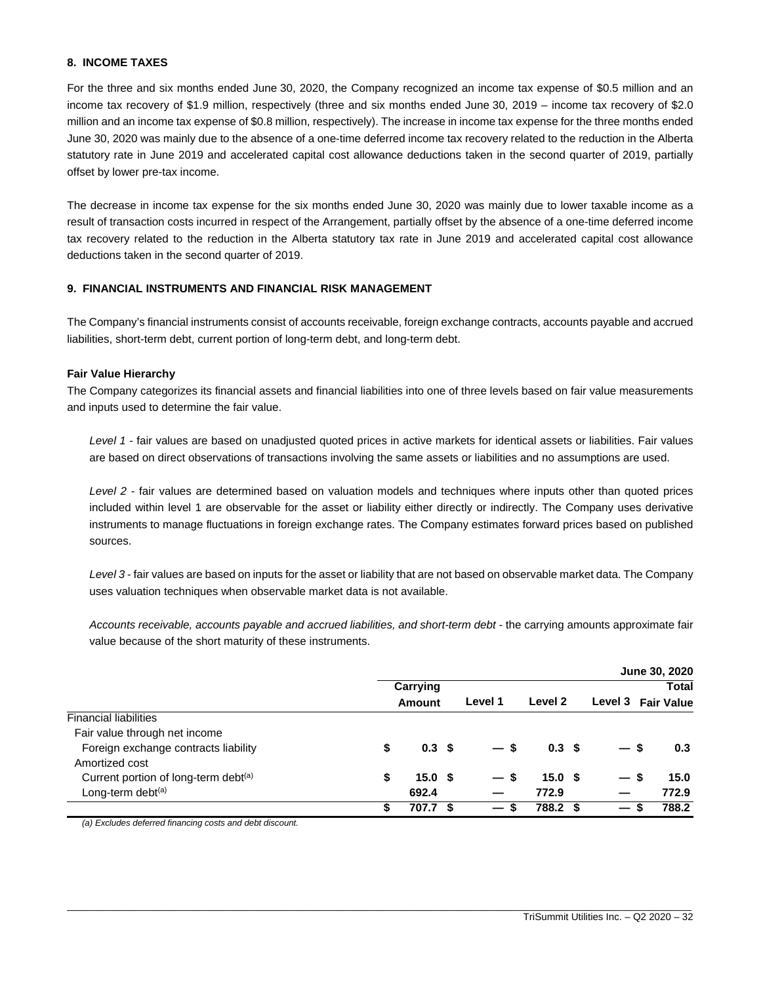# **8. INCOME TAXES**

For the three and six months ended June 30, 2020, the Company recognized an income tax expense of \$0.5 million and an income tax recovery of \$1.9 million, respectively (three and six months ended June 30, 2019 – income tax recovery of \$2.0 million and an income tax expense of \$0.8 million, respectively). The increase in income tax expense for the three months ended June 30, 2020 was mainly due to the absence of a one-time deferred income tax recovery related to the reduction in the Alberta statutory rate in June 2019 and accelerated capital cost allowance deductions taken in the second quarter of 2019, partially offset by lower pre-tax income.

The decrease in income tax expense for the six months ended June 30, 2020 was mainly due to lower taxable income as a result of transaction costs incurred in respect of the Arrangement, partially offset by the absence of a one-time deferred income tax recovery related to the reduction in the Alberta statutory tax rate in June 2019 and accelerated capital cost allowance deductions taken in the second quarter of 2019.

# **9. FINANCIAL INSTRUMENTS AND FINANCIAL RISK MANAGEMENT**

The Company's financial instruments consist of accounts receivable, foreign exchange contracts, accounts payable and accrued liabilities, short-term debt, current portion of long-term debt, and long-term debt.

# **Fair Value Hierarchy**

The Company categorizes its financial assets and financial liabilities into one of three levels based on fair value measurements and inputs used to determine the fair value.

*Level 1* - fair values are based on unadjusted quoted prices in active markets for identical assets or liabilities. Fair values are based on direct observations of transactions involving the same assets or liabilities and no assumptions are used.

*Level 2* - fair values are determined based on valuation models and techniques where inputs other than quoted prices included within level 1 are observable for the asset or liability either directly or indirectly. The Company uses derivative instruments to manage fluctuations in foreign exchange rates. The Company estimates forward prices based on published sources.

*Level 3* - fair values are based on inputs for the asset or liability that are not based on observable market data. The Company uses valuation techniques when observable market data is not available.

Accounts receivable, accounts payable and accrued liabilities, and short-term debt - the carrying amounts approximate fair value because of the short maturity of these instruments.

|                                                  |    |                   |    |                        |                   |         | June 30, 2020     |
|--------------------------------------------------|----|-------------------|----|------------------------|-------------------|---------|-------------------|
|                                                  |    | Carrying          |    |                        |                   |         | <b>Total</b>      |
|                                                  |    | Amount            |    | Level 1                | Level 2           | Level 3 | <b>Fair Value</b> |
| <b>Financial liabilities</b>                     |    |                   |    |                        |                   |         |                   |
| Fair value through net income                    |    |                   |    |                        |                   |         |                   |
| Foreign exchange contracts liability             | \$ | 0.3 <sup>5</sup>  |    | $-s$                   | 0.3 <sup>5</sup>  | — s     | 0.3               |
| Amortized cost                                   |    |                   |    |                        |                   |         |                   |
| Current portion of long-term debt <sup>(a)</sup> | \$ | 15.0 <sup>5</sup> |    | — s                    | 15.0 <sup>5</sup> | \$<br>— | 15.0              |
| Long-term debt <sup>(a)</sup>                    |    | 692.4             |    |                        | 772.9             |         | 772.9             |
|                                                  | S  | 707.7             | £. | $\qquad \qquad \qquad$ | 788.2 \$          | S       | 788.2             |

\_\_\_\_\_\_\_\_\_\_\_\_\_\_\_\_\_\_\_\_\_\_\_\_\_\_\_\_\_\_\_\_\_\_\_\_\_\_\_\_\_\_\_\_\_\_\_\_\_\_\_\_\_\_\_\_\_\_\_\_\_\_\_\_\_\_\_\_\_\_\_\_\_\_\_\_\_\_\_\_\_\_\_\_\_\_\_\_\_\_\_\_\_\_\_\_\_\_\_\_\_\_\_\_\_\_\_\_\_\_\_\_\_

*(a) Excludes deferred financing costs and debt discount.*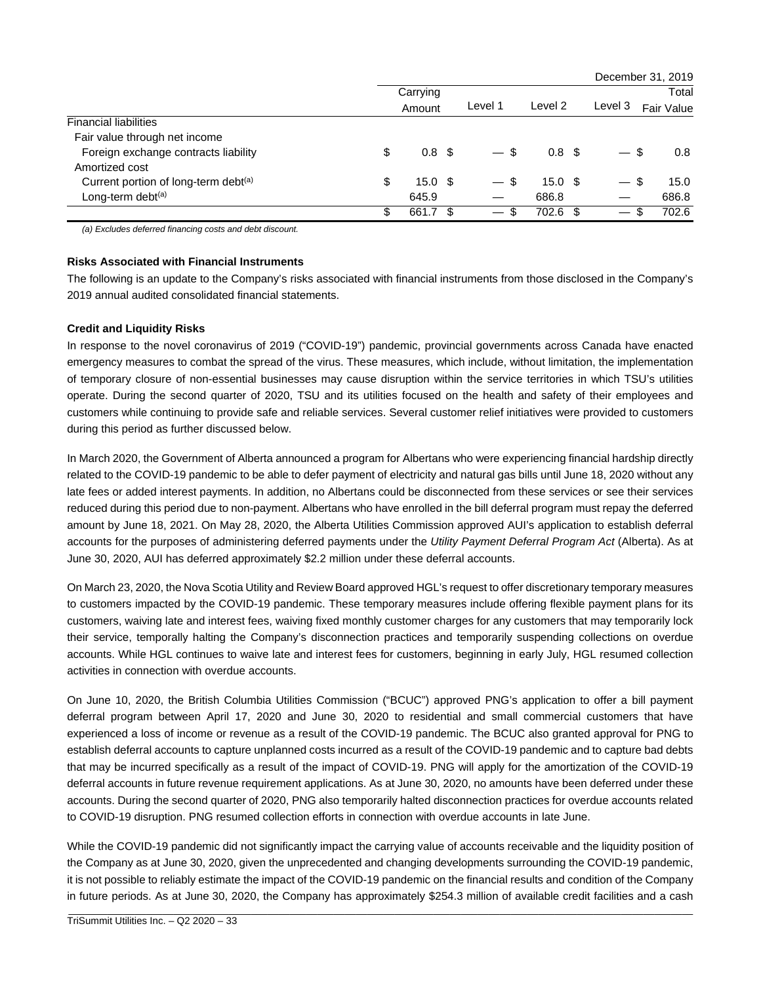|                                                  |    |                   |      |                                |                   |                                | December 31, 2019 |
|--------------------------------------------------|----|-------------------|------|--------------------------------|-------------------|--------------------------------|-------------------|
|                                                  |    | Carrying          |      |                                |                   |                                | Total             |
|                                                  |    | Amount            |      | Level 1                        | Level 2           | Level 3                        | Fair Value        |
| <b>Financial liabilities</b>                     |    |                   |      |                                |                   |                                |                   |
| Fair value through net income                    |    |                   |      |                                |                   |                                |                   |
| Foreign exchange contracts liability             | \$ | 0.8 <sup>5</sup>  |      | -S<br>$\overline{\phantom{0}}$ | 0.8 <sup>5</sup>  | - \$                           | 0.8               |
| Amortized cost                                   |    |                   |      |                                |                   |                                |                   |
| Current portion of long-term debt <sup>(a)</sup> | \$ | 15.0 <sup>5</sup> |      | $-$ \$                         | 15.0 <sup>5</sup> | -S<br>$\overline{\phantom{0}}$ | 15.0              |
| Long-term debt <sup>(a)</sup>                    |    | 645.9             |      |                                | 686.8             |                                | 686.8             |
|                                                  | S  | 661.7             | - 35 | S                              | 702.6 \$          | $\overline{\phantom{0}}$       | 702.6<br>S        |

*(a) Excludes deferred financing costs and debt discount.* 

# **Risks Associated with Financial Instruments**

The following is an update to the Company's risks associated with financial instruments from those disclosed in the Company's 2019 annual audited consolidated financial statements.

#### **Credit and Liquidity Risks**

In response to the novel coronavirus of 2019 ("COVID-19") pandemic, provincial governments across Canada have enacted emergency measures to combat the spread of the virus. These measures, which include, without limitation, the implementation of temporary closure of non-essential businesses may cause disruption within the service territories in which TSU's utilities operate. During the second quarter of 2020, TSU and its utilities focused on the health and safety of their employees and customers while continuing to provide safe and reliable services. Several customer relief initiatives were provided to customers during this period as further discussed below.

In March 2020, the Government of Alberta announced a program for Albertans who were experiencing financial hardship directly related to the COVID-19 pandemic to be able to defer payment of electricity and natural gas bills until June 18, 2020 without any late fees or added interest payments. In addition, no Albertans could be disconnected from these services or see their services reduced during this period due to non-payment. Albertans who have enrolled in the bill deferral program must repay the deferred amount by June 18, 2021. On May 28, 2020, the Alberta Utilities Commission approved AUI's application to establish deferral accounts for the purposes of administering deferred payments under the *Utility Payment Deferral Program Act* (Alberta). As at June 30, 2020, AUI has deferred approximately \$2.2 million under these deferral accounts.

On March 23, 2020, the Nova Scotia Utility and Review Board approved HGL's request to offer discretionary temporary measures to customers impacted by the COVID-19 pandemic. These temporary measures include offering flexible payment plans for its customers, waiving late and interest fees, waiving fixed monthly customer charges for any customers that may temporarily lock their service, temporally halting the Company's disconnection practices and temporarily suspending collections on overdue accounts. While HGL continues to waive late and interest fees for customers, beginning in early July, HGL resumed collection activities in connection with overdue accounts.

On June 10, 2020, the British Columbia Utilities Commission ("BCUC") approved PNG's application to offer a bill payment deferral program between April 17, 2020 and June 30, 2020 to residential and small commercial customers that have experienced a loss of income or revenue as a result of the COVID-19 pandemic. The BCUC also granted approval for PNG to establish deferral accounts to capture unplanned costs incurred as a result of the COVID-19 pandemic and to capture bad debts that may be incurred specifically as a result of the impact of COVID-19. PNG will apply for the amortization of the COVID-19 deferral accounts in future revenue requirement applications. As at June 30, 2020, no amounts have been deferred under these accounts. During the second quarter of 2020, PNG also temporarily halted disconnection practices for overdue accounts related to COVID-19 disruption. PNG resumed collection efforts in connection with overdue accounts in late June.

While the COVID-19 pandemic did not significantly impact the carrying value of accounts receivable and the liquidity position of the Company as at June 30, 2020, given the unprecedented and changing developments surrounding the COVID-19 pandemic, it is not possible to reliably estimate the impact of the COVID-19 pandemic on the financial results and condition of the Company in future periods. As at June 30, 2020, the Company has approximately \$254.3 million of available credit facilities and a cash

\_\_\_\_\_\_\_\_\_\_\_\_\_\_\_\_\_\_\_\_\_\_\_\_\_\_\_\_\_\_\_\_\_\_\_\_\_\_\_\_\_\_\_\_\_\_\_\_\_\_\_\_\_\_\_\_\_\_\_\_\_\_\_\_\_\_\_\_\_\_\_\_\_\_\_\_\_\_\_\_\_\_\_\_\_\_\_\_\_\_\_\_\_\_\_\_\_\_\_\_\_\_\_\_\_\_\_\_\_\_\_\_\_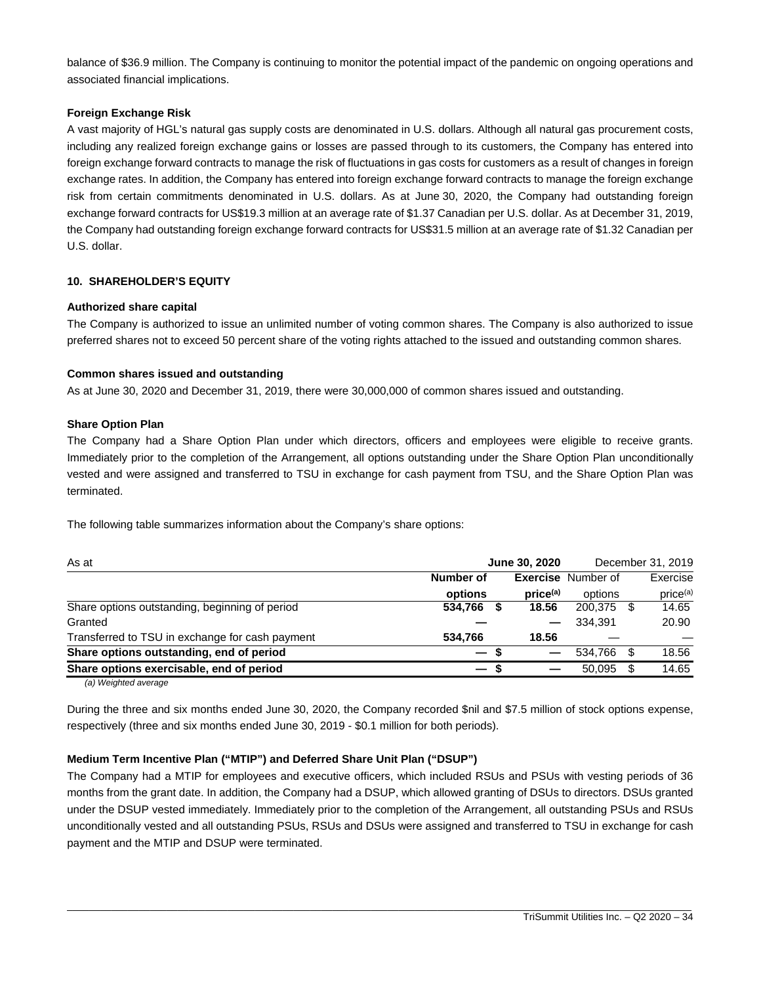balance of \$36.9 million. The Company is continuing to monitor the potential impact of the pandemic on ongoing operations and associated financial implications.

# **Foreign Exchange Risk**

A vast majority of HGL's natural gas supply costs are denominated in U.S. dollars. Although all natural gas procurement costs, including any realized foreign exchange gains or losses are passed through to its customers, the Company has entered into foreign exchange forward contracts to manage the risk of fluctuations in gas costs for customers as a result of changes in foreign exchange rates. In addition, the Company has entered into foreign exchange forward contracts to manage the foreign exchange risk from certain commitments denominated in U.S. dollars. As at June 30, 2020, the Company had outstanding foreign exchange forward contracts for US\$19.3 million at an average rate of \$1.37 Canadian per U.S. dollar. As at December 31, 2019, the Company had outstanding foreign exchange forward contracts for US\$31.5 million at an average rate of \$1.32 Canadian per U.S. dollar.

# **10. SHAREHOLDER'S EQUITY**

# **Authorized share capital**

The Company is authorized to issue an unlimited number of voting common shares. The Company is also authorized to issue preferred shares not to exceed 50 percent share of the voting rights attached to the issued and outstanding common shares.

# **Common shares issued and outstanding**

As at June 30, 2020 and December 31, 2019, there were 30,000,000 of common shares issued and outstanding.

# **Share Option Plan**

The Company had a Share Option Plan under which directors, officers and employees were eligible to receive grants. Immediately prior to the completion of the Arrangement, all options outstanding under the Share Option Plan unconditionally vested and were assigned and transferred to TSU in exchange for cash payment from TSU, and the Share Option Plan was terminated.

The following table summarizes information about the Company's share options:

| As at                                           |           | June 30, 2020        |                           | December 31, 2019    |
|-------------------------------------------------|-----------|----------------------|---------------------------|----------------------|
|                                                 | Number of |                      | <b>Exercise</b> Number of | Exercise             |
|                                                 | options   | price <sup>(a)</sup> | options                   | price <sup>(a)</sup> |
| Share options outstanding, beginning of period  | 534,766   | 18.56                | 200.375 \$                | 14.65                |
| Granted                                         |           |                      | 334.391                   | 20.90                |
| Transferred to TSU in exchange for cash payment | 534.766   | 18.56                |                           |                      |
| Share options outstanding, end of period        | — s       |                      | 534.766                   | 18.56                |
| Share options exercisable, end of period        | — s       |                      | 50.095                    | 14.65                |
|                                                 |           |                      |                           |                      |

*(a) Weighted average*

During the three and six months ended June 30, 2020, the Company recorded \$nil and \$7.5 million of stock options expense, respectively (three and six months ended June 30, 2019 - \$0.1 million for both periods).

# **Medium Term Incentive Plan ("MTIP") and Deferred Share Unit Plan ("DSUP")**

The Company had a MTIP for employees and executive officers, which included RSUs and PSUs with vesting periods of 36 months from the grant date. In addition, the Company had a DSUP, which allowed granting of DSUs to directors. DSUs granted under the DSUP vested immediately. Immediately prior to the completion of the Arrangement, all outstanding PSUs and RSUs unconditionally vested and all outstanding PSUs, RSUs and DSUs were assigned and transferred to TSU in exchange for cash payment and the MTIP and DSUP were terminated.

\_\_\_\_\_\_\_\_\_\_\_\_\_\_\_\_\_\_\_\_\_\_\_\_\_\_\_\_\_\_\_\_\_\_\_\_\_\_\_\_\_\_\_\_\_\_\_\_\_\_\_\_\_\_\_\_\_\_\_\_\_\_\_\_\_\_\_\_\_\_\_\_\_\_\_\_\_\_\_\_\_\_\_\_\_\_\_\_\_\_\_\_\_\_\_\_\_\_\_\_\_\_\_\_\_\_\_\_\_\_\_\_\_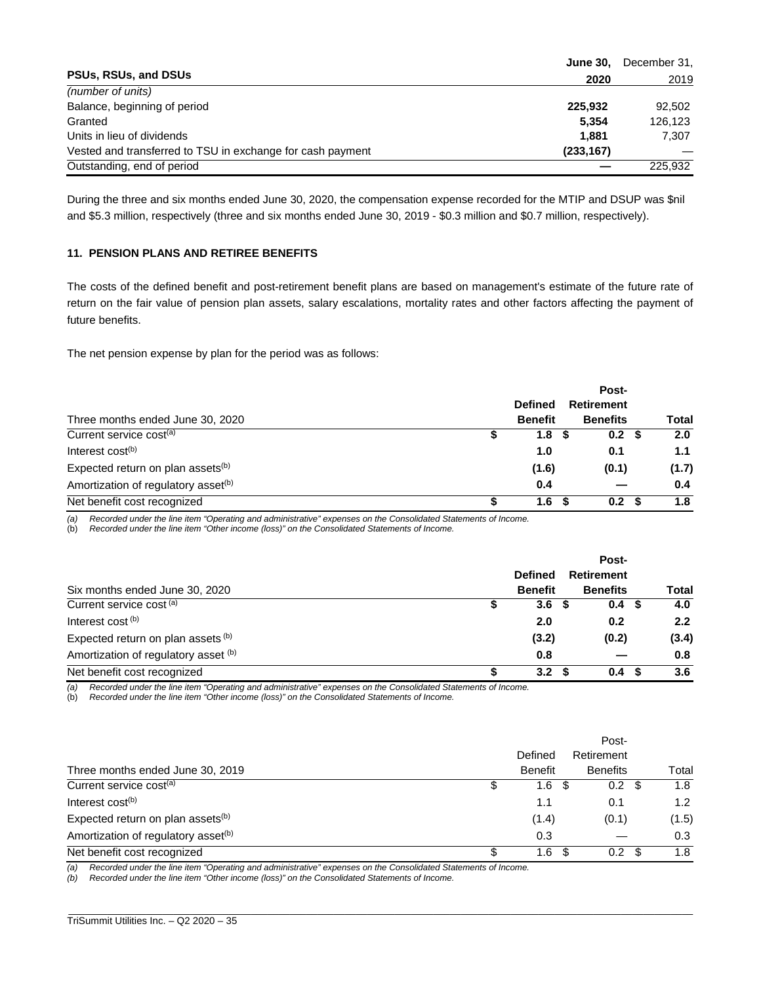|                                                            | <b>June 30.</b> | December 31, |
|------------------------------------------------------------|-----------------|--------------|
| <b>PSUs, RSUs, and DSUs</b>                                | 2020            | 2019         |
| (number of units)                                          |                 |              |
| Balance, beginning of period                               | 225.932         | 92.502       |
| Granted                                                    | 5.354           | 126.123      |
| Units in lieu of dividends                                 | 1.881           | 7.307        |
| Vested and transferred to TSU in exchange for cash payment | (233, 167)      |              |
| Outstanding, end of period                                 |                 | 225.932      |

During the three and six months ended June 30, 2020, the compensation expense recorded for the MTIP and DSUP was \$nil and \$5.3 million, respectively (three and six months ended June 30, 2019 - \$0.3 million and \$0.7 million, respectively).

# **11. PENSION PLANS AND RETIREE BENEFITS**

The costs of the defined benefit and post-retirement benefit plans are based on management's estimate of the future rate of return on the fair value of pension plan assets, salary escalations, mortality rates and other factors affecting the payment of future benefits.

The net pension expense by plan for the period was as follows:

|                                                 |                | Post- |                          |  |       |  |  |
|-------------------------------------------------|----------------|-------|--------------------------|--|-------|--|--|
|                                                 | <b>Defined</b> |       | Retirement               |  |       |  |  |
| Three months ended June 30, 2020                | <b>Benefit</b> |       | <b>Benefits</b>          |  | Total |  |  |
| Current service cost <sup>(a)</sup>             |                | 1.8   | 0.2 <sup>5</sup><br>- 56 |  | 2.0   |  |  |
| Interest cost <sup>(b)</sup>                    |                | 1.0   | 0.1                      |  | 1.1   |  |  |
| Expected return on plan assets <sup>(b)</sup>   |                | (1.6) | (0.1)                    |  | (1.7) |  |  |
| Amortization of regulatory asset <sup>(b)</sup> |                | 0.4   |                          |  | 0.4   |  |  |
| Net benefit cost recognized                     |                | 1.6   | 0.2                      |  | 1.8   |  |  |

*(a) Recorded under the line item "Operating and administrative" expenses on the Consolidated Statements of Income.* 

(b) *Recorded under the line item "Other income (loss)" on the Consolidated Statements of Income.*

|                                      |                  | Post-                    |       |
|--------------------------------------|------------------|--------------------------|-------|
|                                      | <b>Defined</b>   | <b>Retirement</b>        |       |
| Six months ended June 30, 2020       | <b>Benefit</b>   | <b>Benefits</b>          | Total |
| Current service cost (a)             | 3.6              | 0.4 <sup>5</sup><br>- 56 | 4.0   |
| Interest cost <sup>(b)</sup>         | 2.0              | 0.2                      | 2.2   |
| Expected return on plan assets (b)   | (3.2)            | (0.2)                    | (3.4) |
| Amortization of regulatory asset (b) | 0.8              |                          | 0.8   |
| Net benefit cost recognized          | 3.2 <sub>2</sub> | 0.4 <sup>5</sup>         | 3.6   |

*(a) Recorded under the line item "Operating and administrative" expenses on the Consolidated Statements of Income.* 

(b) *Recorded under the line item "Other income (loss)" on the Consolidated Statements of Income.*

|                                                 |    | Defined        | Post-<br>Retirement |    |       |
|-------------------------------------------------|----|----------------|---------------------|----|-------|
| Three months ended June 30, 2019                |    | <b>Benefit</b> | <b>Benefits</b>     |    | Total |
| Current service cost <sup>(a)</sup>             |    | 1.6<br>- \$    | $0.2 \text{ } $$    |    | 1.8   |
| Interest cost <sup>(b)</sup>                    |    | 1.1            | 0.1                 |    | 1.2   |
| Expected return on plan assets <sup>(b)</sup>   |    | (1.4)          | (0.1)               |    | (1.5) |
| Amortization of regulatory asset <sup>(b)</sup> |    | 0.3            |                     |    | 0.3   |
| Net benefit cost recognized                     | £. | 1.6<br>\$.     | 0.2                 | -S | 1.8   |

\_\_\_\_\_\_\_\_\_\_\_\_\_\_\_\_\_\_\_\_\_\_\_\_\_\_\_\_\_\_\_\_\_\_\_\_\_\_\_\_\_\_\_\_\_\_\_\_\_\_\_\_\_\_\_\_\_\_\_\_\_\_\_\_\_\_\_\_\_\_\_\_\_\_\_\_\_\_\_\_\_\_\_\_\_\_\_\_\_\_\_\_\_\_\_\_\_\_\_\_\_\_\_\_\_\_\_\_\_\_\_\_\_

*(a) Recorded under the line item "Operating and administrative" expenses on the Consolidated Statements of Income.* 

*(b) Recorded under the line item "Other income (loss)" on the Consolidated Statements of Income.*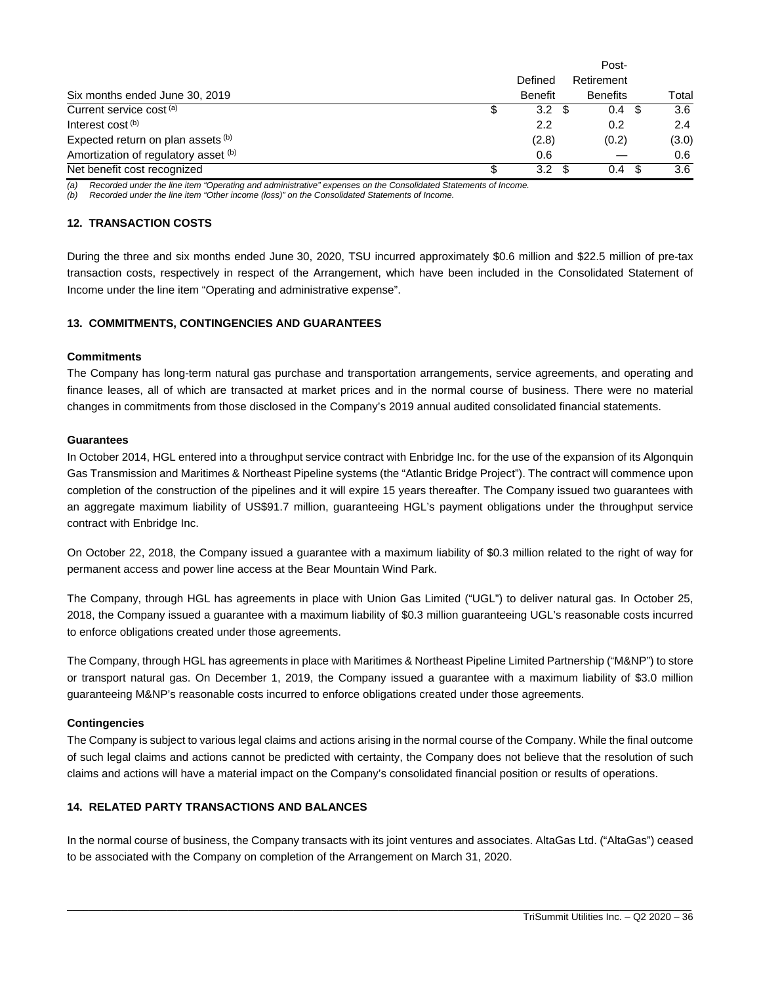|                                      |  | Defined        | Retirement       |       |  |
|--------------------------------------|--|----------------|------------------|-------|--|
| Six months ended June 30, 2019       |  | <b>Benefit</b> | <b>Benefits</b>  | Total |  |
| Current service cost <sup>(a)</sup>  |  | 3.2            | 0.4 <sup>5</sup> | 3.6   |  |
| Interest cost <sup>(b)</sup>         |  | 2.2            | 0.2              | 2.4   |  |
| Expected return on plan assets (b)   |  | (2.8)          | (0.2)            | (3.0) |  |
| Amortization of regulatory asset (b) |  | 0.6            |                  | 0.6   |  |
| Net benefit cost recognized          |  | 3.2            | 0.4              | 3.6   |  |

*(a) Recorded under the line item "Operating and administrative" expenses on the Consolidated Statements of Income.* 

*(b) Recorded under the line item "Other income (loss)" on the Consolidated Statements of Income.* 

#### **12. TRANSACTION COSTS**

During the three and six months ended June 30, 2020, TSU incurred approximately \$0.6 million and \$22.5 million of pre-tax transaction costs, respectively in respect of the Arrangement, which have been included in the Consolidated Statement of Income under the line item "Operating and administrative expense".

#### **13. COMMITMENTS, CONTINGENCIES AND GUARANTEES**

#### **Commitments**

The Company has long-term natural gas purchase and transportation arrangements, service agreements, and operating and finance leases, all of which are transacted at market prices and in the normal course of business. There were no material changes in commitments from those disclosed in the Company's 2019 annual audited consolidated financial statements.

#### **Guarantees**

In October 2014, HGL entered into a throughput service contract with Enbridge Inc. for the use of the expansion of its Algonquin Gas Transmission and Maritimes & Northeast Pipeline systems (the "Atlantic Bridge Project"). The contract will commence upon completion of the construction of the pipelines and it will expire 15 years thereafter. The Company issued two guarantees with an aggregate maximum liability of US\$91.7 million, guaranteeing HGL's payment obligations under the throughput service contract with Enbridge Inc.

On October 22, 2018, the Company issued a guarantee with a maximum liability of \$0.3 million related to the right of way for permanent access and power line access at the Bear Mountain Wind Park.

The Company, through HGL has agreements in place with Union Gas Limited ("UGL") to deliver natural gas. In October 25, 2018, the Company issued a guarantee with a maximum liability of \$0.3 million guaranteeing UGL's reasonable costs incurred to enforce obligations created under those agreements.

The Company, through HGL has agreements in place with Maritimes & Northeast Pipeline Limited Partnership ("M&NP") to store or transport natural gas. On December 1, 2019, the Company issued a guarantee with a maximum liability of \$3.0 million guaranteeing M&NP's reasonable costs incurred to enforce obligations created under those agreements.

#### **Contingencies**

The Company is subject to various legal claims and actions arising in the normal course of the Company. While the final outcome of such legal claims and actions cannot be predicted with certainty, the Company does not believe that the resolution of such claims and actions will have a material impact on the Company's consolidated financial position or results of operations.

# **14. RELATED PARTY TRANSACTIONS AND BALANCES**

In the normal course of business, the Company transacts with its joint ventures and associates. AltaGas Ltd. ("AltaGas") ceased to be associated with the Company on completion of the Arrangement on March 31, 2020.

\_\_\_\_\_\_\_\_\_\_\_\_\_\_\_\_\_\_\_\_\_\_\_\_\_\_\_\_\_\_\_\_\_\_\_\_\_\_\_\_\_\_\_\_\_\_\_\_\_\_\_\_\_\_\_\_\_\_\_\_\_\_\_\_\_\_\_\_\_\_\_\_\_\_\_\_\_\_\_\_\_\_\_\_\_\_\_\_\_\_\_\_\_\_\_\_\_\_\_\_\_\_\_\_\_\_\_\_\_\_\_\_\_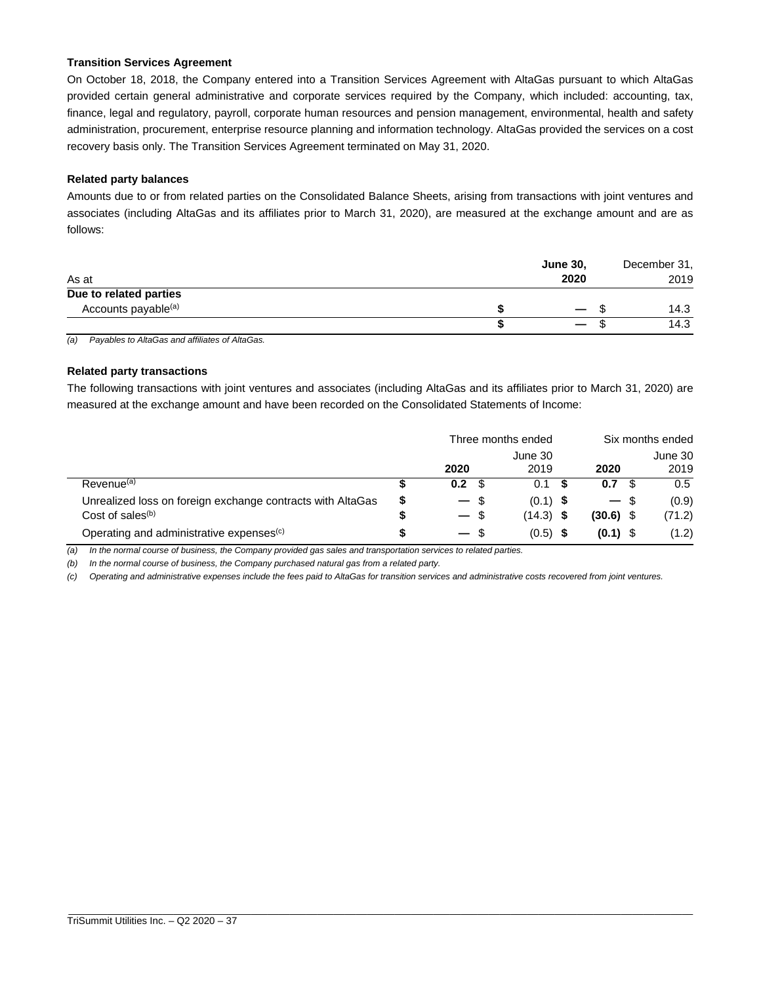#### **Transition Services Agreement**

On October 18, 2018, the Company entered into a Transition Services Agreement with AltaGas pursuant to which AltaGas provided certain general administrative and corporate services required by the Company, which included: accounting, tax, finance, legal and regulatory, payroll, corporate human resources and pension management, environmental, health and safety administration, procurement, enterprise resource planning and information technology. AltaGas provided the services on a cost recovery basis only. The Transition Services Agreement terminated on May 31, 2020.

# **Related party balances**

Amounts due to or from related parties on the Consolidated Balance Sheets, arising from transactions with joint ventures and associates (including AltaGas and its affiliates prior to March 31, 2020), are measured at the exchange amount and are as follows:

| As at                           | <b>June 30,</b> | 2020                     |      | December 31,<br>2019 |
|---------------------------------|-----------------|--------------------------|------|----------------------|
| Due to related parties          |                 |                          |      |                      |
| Accounts payable <sup>(a)</sup> |                 | $\overline{\phantom{0}}$ | - 35 | 14.3                 |
|                                 |                 | $\overline{\phantom{0}}$ |      | 14.3                 |

*(a) Payables to AltaGas and affiliates of AltaGas.* 

# **Related party transactions**

The following transactions with joint ventures and associates (including AltaGas and its affiliates prior to March 31, 2020) are measured at the exchange amount and have been recorded on the Consolidated Statements of Income:

|                                                            |   | Three months ended |     |                 |             | Six months ended |  |
|------------------------------------------------------------|---|--------------------|-----|-----------------|-------------|------------------|--|
|                                                            |   | 2020               |     | June 30<br>2019 | 2020        | June 30<br>2019  |  |
| Revenue <sup>(a)</sup>                                     |   | 0.2 <sub>0</sub>   | \$. | 0.1             | 0.7         | 0.5              |  |
| Unrealized loss on foreign exchange contracts with AltaGas | S | $-$ \$             |     | $(0.1)$ \$      | — \$        | (0.9)            |  |
| Cost of sales <sup>(b)</sup>                               | S | $-$ \$             |     | $(14.3)$ \$     | $(30.6)$ \$ | (71.2)           |  |
| Operating and administrative expenses <sup>(c)</sup>       |   | $-$ \$             |     | $(0.5)$ \$      | $(0.1)$ \$  | (1.2)            |  |

*(a) In the normal course of business, the Company provided gas sales and transportation services to related parties.* 

*(b) In the normal course of business, the Company purchased natural gas from a related party.* 

*(c) Operating and administrative expenses include the fees paid to AltaGas for transition services and administrative costs recovered from joint ventures.*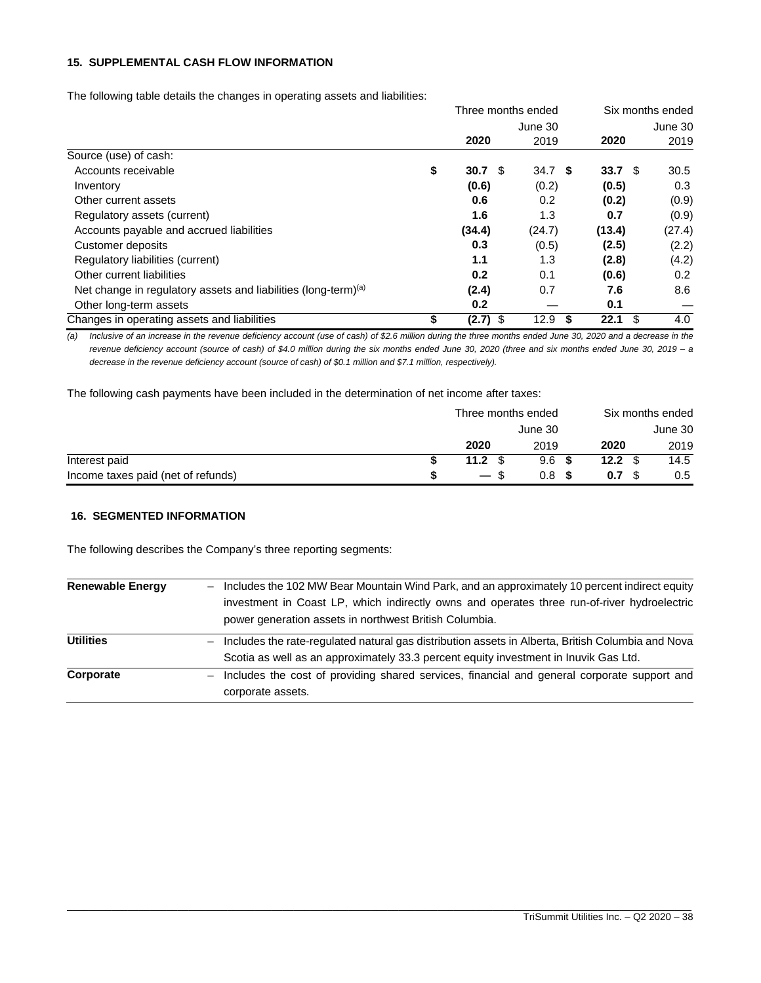# **15. SUPPLEMENTAL CASH FLOW INFORMATION**

The following table details the changes in operating assets and liabilities:

|                                                                            | Three months ended |                   | Six months ended |        |  |  |
|----------------------------------------------------------------------------|--------------------|-------------------|------------------|--------|--|--|
|                                                                            |                    | June 30           | June 30          |        |  |  |
|                                                                            | 2020               | 2019              | 2020             | 2019   |  |  |
| Source (use) of cash:                                                      |                    |                   |                  |        |  |  |
| Accounts receivable                                                        | \$<br>30.7<br>- \$ | 34.7 <sup>5</sup> | 33.7 $$$         | 30.5   |  |  |
| Inventory                                                                  | (0.6)              | (0.2)             | (0.5)            | 0.3    |  |  |
| Other current assets                                                       | 0.6                | 0.2               | (0.2)            | (0.9)  |  |  |
| Regulatory assets (current)                                                | 1.6                | 1.3               | 0.7              | (0.9)  |  |  |
| Accounts payable and accrued liabilities                                   | (34.4)             | (24.7)            | (13.4)           | (27.4) |  |  |
| Customer deposits                                                          | 0.3                | (0.5)             | (2.5)            | (2.2)  |  |  |
| Regulatory liabilities (current)                                           | 1.1                | 1.3               | (2.8)            | (4.2)  |  |  |
| Other current liabilities                                                  | 0.2                | 0.1               | (0.6)            | 0.2    |  |  |
| Net change in regulatory assets and liabilities (long-term) <sup>(a)</sup> | (2.4)              | 0.7               | 7.6              | 8.6    |  |  |
| Other long-term assets                                                     | 0.2                |                   | 0.1              |        |  |  |
| Changes in operating assets and liabilities                                | \$<br>$(2.7)$ \$   | 12.9<br>\$        | 22.1<br>\$       | 4.0    |  |  |

*(a) Inclusive of an increase in the revenue deficiency account (use of cash) of \$2.6 million during the three months ended June 30, 2020 and a decrease in the revenue deficiency account (source of cash) of \$4.0 million during the six months ended June 30, 2020 (three and six months ended June 30, 2019 – a decrease in the revenue deficiency account (source of cash) of \$0.1 million and \$7.1 million, respectively).* 

The following cash payments have been included in the determination of net income after taxes:

|                                    | Three months ended |                  | Six months ended |         |  |
|------------------------------------|--------------------|------------------|------------------|---------|--|
|                                    |                    | June 30          |                  | June 30 |  |
|                                    | 2020               | 2019             | 2020             | 2019    |  |
| Interest paid                      | 11.2 $\sqrt{3}$    | 9.6 <sup>5</sup> | 12.2 $\sqrt{3}$  | 14.5    |  |
| Income taxes paid (net of refunds) | $-$ \$             | 0.8 <sup>5</sup> | 0.7              | 0.5     |  |

#### **16. SEGMENTED INFORMATION**

The following describes the Company's three reporting segments:

| <b>Renewable Energy</b> | Includes the 102 MW Bear Mountain Wind Park, and an approximately 10 percent indirect equity      |
|-------------------------|---------------------------------------------------------------------------------------------------|
|                         | investment in Coast LP, which indirectly owns and operates three run-of-river hydroelectric       |
|                         | power generation assets in northwest British Columbia.                                            |
| <b>Utilities</b>        | Includes the rate-regulated natural gas distribution assets in Alberta, British Columbia and Nova |
|                         | Scotia as well as an approximately 33.3 percent equity investment in Inuvik Gas Ltd.              |
| Corporate               | Includes the cost of providing shared services, financial and general corporate support and       |
|                         | corporate assets.                                                                                 |

\_\_\_\_\_\_\_\_\_\_\_\_\_\_\_\_\_\_\_\_\_\_\_\_\_\_\_\_\_\_\_\_\_\_\_\_\_\_\_\_\_\_\_\_\_\_\_\_\_\_\_\_\_\_\_\_\_\_\_\_\_\_\_\_\_\_\_\_\_\_\_\_\_\_\_\_\_\_\_\_\_\_\_\_\_\_\_\_\_\_\_\_\_\_\_\_\_\_\_\_\_\_\_\_\_\_\_\_\_\_\_\_\_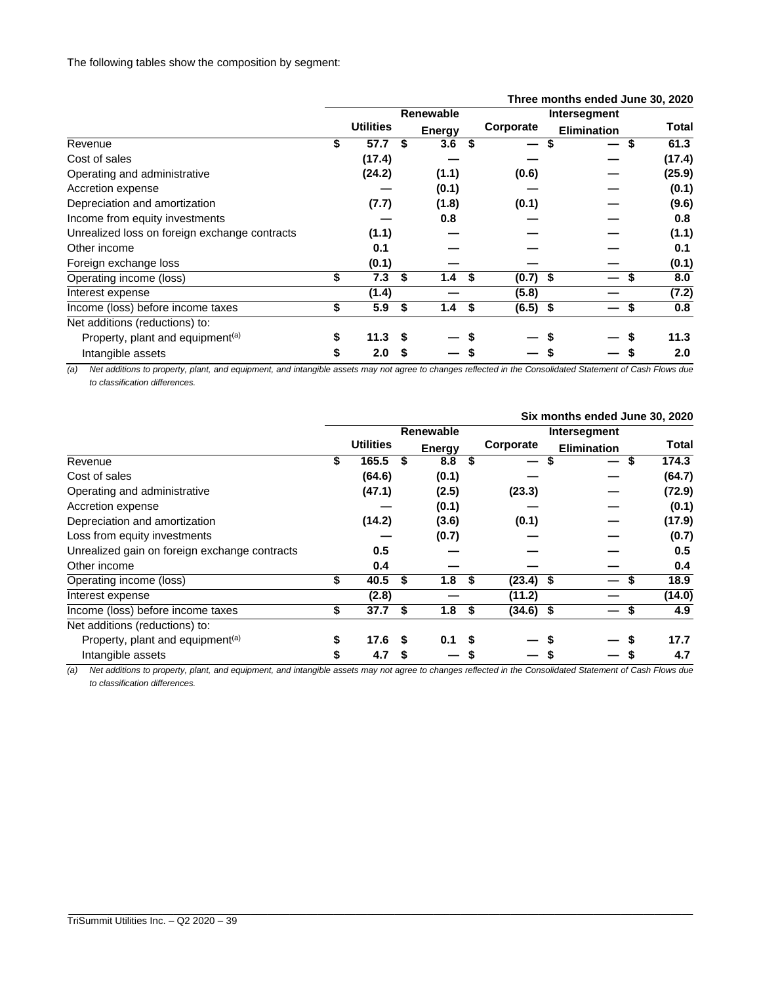|                                               |    | Three months ended June 30, 2020 |    |               |                  |                    |           |  |
|-----------------------------------------------|----|----------------------------------|----|---------------|------------------|--------------------|-----------|--|
|                                               |    |                                  |    | Renewable     |                  | Intersegment       |           |  |
|                                               |    | <b>Utilities</b>                 |    | <b>Energy</b> | Corporate        | <b>Elimination</b> | Total     |  |
| Revenue                                       | \$ | 57.7                             | \$ | 3.6           |                  | S                  | 61.3<br>S |  |
| Cost of sales                                 |    | (17.4)                           |    |               |                  |                    | (17.4)    |  |
| Operating and administrative                  |    | (24.2)                           |    | (1.1)         | (0.6)            |                    | (25.9)    |  |
| Accretion expense                             |    |                                  |    | (0.1)         |                  |                    | (0.1)     |  |
| Depreciation and amortization                 |    | (7.7)                            |    | (1.8)         | (0.1)            |                    | (9.6)     |  |
| Income from equity investments                |    |                                  |    | 0.8           |                  |                    | 0.8       |  |
| Unrealized loss on foreign exchange contracts |    | (1.1)                            |    |               |                  |                    | (1.1)     |  |
| Other income                                  |    | 0.1                              |    |               |                  |                    | 0.1       |  |
| Foreign exchange loss                         |    | (0.1)                            |    |               |                  |                    | (0.1)     |  |
| Operating income (loss)                       | \$ | 7.3                              | \$ | 1.4           | \$<br>$(0.7)$ \$ |                    | 8.0       |  |
| Interest expense                              |    | (1.4)                            |    |               | (5.8)            |                    | (7.2)     |  |
| Income (loss) before income taxes             | \$ | 5.9                              | \$ | 1.4           | \$<br>$(6.5)$ \$ |                    | 0.8       |  |
| Net additions (reductions) to:                |    |                                  |    |               |                  |                    |           |  |
| Property, plant and equipment <sup>(a)</sup>  | \$ | 11.3                             |    |               |                  |                    | 11.3      |  |
| Intangible assets                             |    | 2.0                              | S  |               |                  |                    | 2.0       |  |

*(a) Net additions to property, plant, and equipment, and intangible assets may not agree to changes reflected in the Consolidated Statement of Cash Flows due to classification differences.* 

|                                               | Six months ended June 30, 2020 |                  |    |                  |  |             |                    |              |  |  |
|-----------------------------------------------|--------------------------------|------------------|----|------------------|--|-------------|--------------------|--------------|--|--|
|                                               |                                |                  |    | <b>Renewable</b> |  |             |                    |              |  |  |
|                                               |                                | <b>Utilities</b> |    | <b>Energy</b>    |  | Corporate   | <b>Elimination</b> | <b>Total</b> |  |  |
| Revenue                                       | S                              | 165.5            |    | 8.8              |  | –           |                    | 174.3        |  |  |
| Cost of sales                                 |                                | (64.6)           |    | (0.1)            |  |             |                    | (64.7)       |  |  |
| Operating and administrative                  |                                | (47.1)           |    | (2.5)            |  | (23.3)      |                    | (72.9)       |  |  |
| Accretion expense                             |                                |                  |    | (0.1)            |  |             |                    | (0.1)        |  |  |
| Depreciation and amortization                 |                                | (14.2)           |    | (3.6)            |  | (0.1)       |                    | (17.9)       |  |  |
| Loss from equity investments                  |                                |                  |    | (0.7)            |  |             |                    | (0.7)        |  |  |
| Unrealized gain on foreign exchange contracts |                                | 0.5              |    |                  |  |             |                    | 0.5          |  |  |
| Other income                                  |                                | 0.4              |    |                  |  |             |                    | 0.4          |  |  |
| Operating income (loss)                       | \$                             | 40.5             | S  | 1.8 <sup>5</sup> |  | $(23.4)$ \$ |                    | 18.9         |  |  |
| Interest expense                              |                                | (2.8)            |    |                  |  | (11.2)      |                    | (14.0)       |  |  |
| Income (loss) before income taxes             | \$                             | 37.7             | \$ | 1.8 <sup>5</sup> |  | $(34.6)$ \$ |                    | 4.9          |  |  |
| Net additions (reductions) to:                |                                |                  |    |                  |  |             |                    |              |  |  |
| Property, plant and equipment <sup>(a)</sup>  |                                | 17.6             |    | 0.1              |  |             |                    | 17.7         |  |  |
| Intangible assets                             |                                | 4.7              | S  |                  |  |             |                    | 4.7          |  |  |

*(a) Net additions to property, plant, and equipment, and intangible assets may not agree to changes reflected in the Consolidated Statement of Cash Flows due to classification differences.*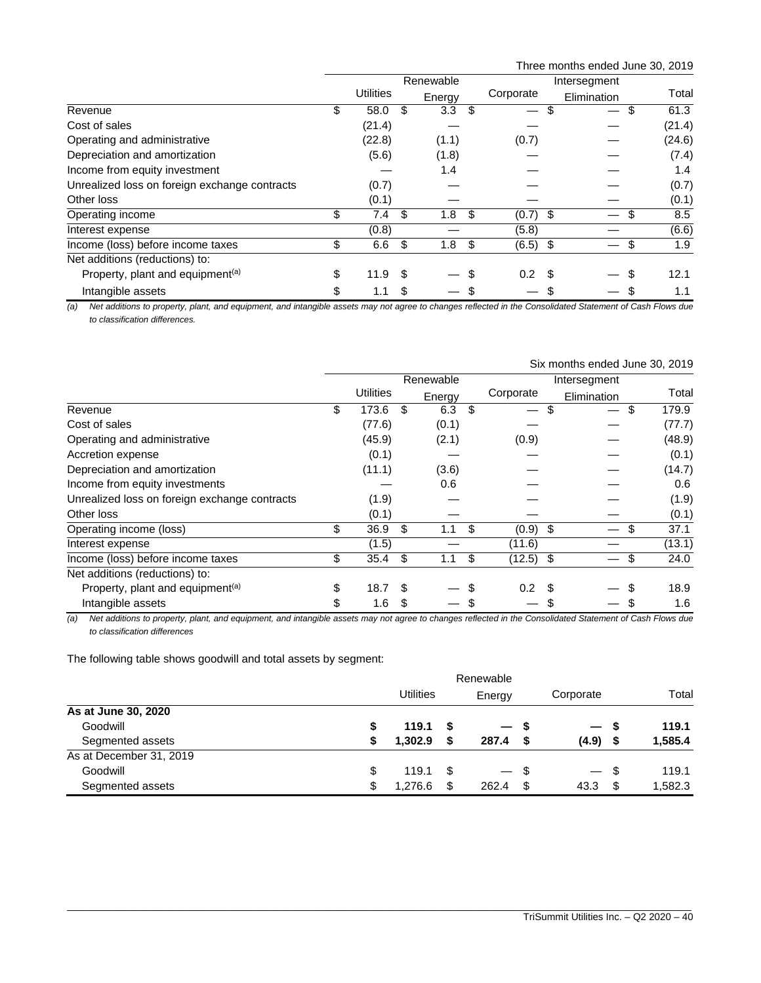Three months ended June 30, 2019

|                                               | Renewable |                  |     |        | Intersegment |                               |      |             |           |       |
|-----------------------------------------------|-----------|------------------|-----|--------|--------------|-------------------------------|------|-------------|-----------|-------|
|                                               |           | <b>Utilities</b> |     | Energy |              | Corporate                     |      | Elimination | Total     |       |
| Revenue                                       | \$        | 58.0             | \$  | 3.3    | -\$          | $\overbrace{\phantom{12333}}$ | S    |             | 61.3<br>S |       |
| Cost of sales                                 |           | (21.4)           |     |        |              |                               |      |             | (21.4)    |       |
| Operating and administrative                  |           | (22.8)           |     | (1.1)  |              | (0.7)                         |      |             | (24.6)    |       |
| Depreciation and amortization                 |           | (5.6)            |     | (1.8)  |              |                               |      |             | (7.4)     |       |
| Income from equity investment                 |           |                  |     | 1.4    |              |                               |      |             |           | 1.4   |
| Unrealized loss on foreign exchange contracts |           | (0.7)            |     |        |              |                               |      |             | (0.7)     |       |
| Other loss                                    |           | (0.1)            |     |        |              |                               |      |             |           | (0.1) |
| Operating income                              | \$        | 7.4              | \$  | 1.8    | -\$          | (0.7)                         | - \$ |             | S         | 8.5   |
| Interest expense                              |           | (0.8)            |     |        |              | (5.8)                         |      |             | (6.6)     |       |
| Income (loss) before income taxes             | \$        | 6.6              | -\$ | 1.8    | -\$          | $(6.5)$ \$                    |      |             | \$        | 1.9   |
| Net additions (reductions) to:                |           |                  |     |        |              |                               |      |             |           |       |
| Property, plant and equipment <sup>(a)</sup>  | \$        | 11.9             | \$  |        | \$           | 0.2                           | .S   |             | 12.1      |       |
| Intangible assets                             | \$        | 1.1              | \$  |        | \$           |                               |      |             | 1.1       |       |

*(a) Net additions to property, plant, and equipment, and intangible assets may not agree to changes reflected in the Consolidated Statement of Cash Flows due to classification differences.* 

|                                               | Six months ended June 30, 2019 |                  |    |           |    |             |    |                          |    |        |
|-----------------------------------------------|--------------------------------|------------------|----|-----------|----|-------------|----|--------------------------|----|--------|
|                                               |                                |                  |    | Renewable |    |             |    | Intersegment             |    |        |
|                                               |                                | <b>Utilities</b> |    | Energy    |    | Corporate   |    | Elimination              |    | Total  |
| Revenue                                       | \$                             | 173.6            | \$ | 6.3       | \$ | —           | \$ | $\overline{\phantom{m}}$ | \$ | 179.9  |
| Cost of sales                                 |                                | (77.6)           |    | (0.1)     |    |             |    |                          |    | (77.7) |
| Operating and administrative                  |                                | (45.9)           |    | (2.1)     |    | (0.9)       |    |                          |    | (48.9) |
| Accretion expense                             |                                | (0.1)            |    |           |    |             |    |                          |    | (0.1)  |
| Depreciation and amortization                 |                                | (11.1)           |    | (3.6)     |    |             |    |                          |    | (14.7) |
| Income from equity investments                |                                |                  |    | 0.6       |    |             |    |                          |    | 0.6    |
| Unrealized loss on foreign exchange contracts |                                | (1.9)            |    |           |    |             |    |                          |    | (1.9)  |
| Other loss                                    |                                | (0.1)            |    |           |    |             |    |                          |    | (0.1)  |
| Operating income (loss)                       | \$                             | 36.9             | \$ | 1.1       | \$ | $(0.9)$ \$  |    |                          |    | 37.1   |
| Interest expense                              |                                | (1.5)            |    |           |    | (11.6)      |    |                          |    | (13.1) |
| Income (loss) before income taxes             | \$                             | 35.4             | \$ | 1.1       | \$ | $(12.5)$ \$ |    |                          | \$ | 24.0   |
| Net additions (reductions) to:                |                                |                  |    |           |    |             |    |                          |    |        |
| Property, plant and equipment <sup>(a)</sup>  | \$                             | 18.7             | \$ |           | \$ | 0.2         |    |                          |    | 18.9   |
| Intangible assets                             | \$                             | 1.6              | \$ |           |    |             |    |                          |    | 1.6    |

*(a) Net additions to property, plant, and equipment, and intangible assets may not agree to changes reflected in the Consolidated Statement of Cash Flows due to classification differences*

The following table shows goodwill and total assets by segment:

|                         |    | <b>Utilities</b> | Energy | Corporate |                          | Total |         |
|-------------------------|----|------------------|--------|-----------|--------------------------|-------|---------|
| As at June 30, 2020     |    |                  |        |           |                          |       |         |
| Goodwill                | \$ | 119.1            | - \$   | — s       | $\overline{\phantom{0}}$ | - 5   | 119.1   |
| Segmented assets        | S  | 1.302.9          | S      | 287.4     | (4.9)                    | \$    | 1,585.4 |
| As at December 31, 2019 |    |                  |        |           |                          |       |         |
| Goodwill                | \$ | 119.1            | -S     | — \$      | $\overline{\phantom{0}}$ | - \$  | 119.1   |
| Segmented assets        | \$ | 1.276.6          | \$     | 262.4     | 43.3                     | \$    | 1,582.3 |

\_\_\_\_\_\_\_\_\_\_\_\_\_\_\_\_\_\_\_\_\_\_\_\_\_\_\_\_\_\_\_\_\_\_\_\_\_\_\_\_\_\_\_\_\_\_\_\_\_\_\_\_\_\_\_\_\_\_\_\_\_\_\_\_\_\_\_\_\_\_\_\_\_\_\_\_\_\_\_\_\_\_\_\_\_\_\_\_\_\_\_\_\_\_\_\_\_\_\_\_\_\_\_\_\_\_\_\_\_\_\_\_\_